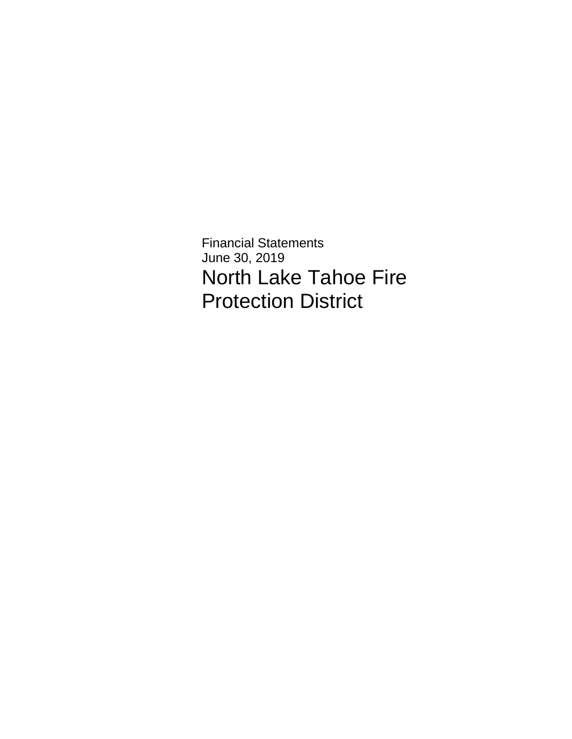Financial Statements June 30, 2019 North Lake Tahoe Fire Protection District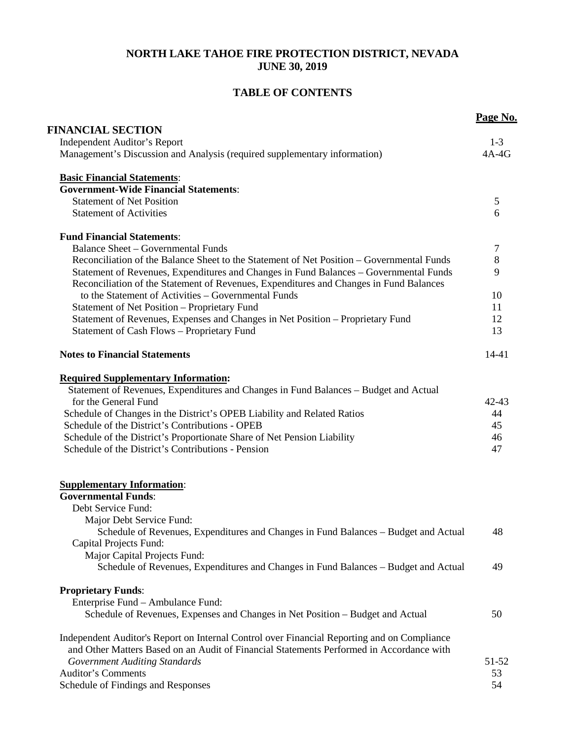### **NORTH LAKE TAHOE FIRE PROTECTION DISTRICT, NEVADA JUNE 30, 2019**

## **TABLE OF CONTENTS**

|                                                                                                                                                                                 | Page No. |
|---------------------------------------------------------------------------------------------------------------------------------------------------------------------------------|----------|
| <b>FINANCIAL SECTION</b>                                                                                                                                                        |          |
| <b>Independent Auditor's Report</b>                                                                                                                                             | $1-3$    |
| Management's Discussion and Analysis (required supplementary information)                                                                                                       | $4A-4G$  |
| <b>Basic Financial Statements:</b>                                                                                                                                              |          |
| <b>Government-Wide Financial Statements:</b>                                                                                                                                    |          |
| <b>Statement of Net Position</b>                                                                                                                                                | 5        |
| <b>Statement of Activities</b>                                                                                                                                                  | 6        |
| <b>Fund Financial Statements:</b>                                                                                                                                               |          |
| <b>Balance Sheet - Governmental Funds</b>                                                                                                                                       | 7        |
| Reconciliation of the Balance Sheet to the Statement of Net Position – Governmental Funds                                                                                       | $8\,$    |
| Statement of Revenues, Expenditures and Changes in Fund Balances - Governmental Funds<br>Reconciliation of the Statement of Revenues, Expenditures and Changes in Fund Balances | 9        |
| to the Statement of Activities - Governmental Funds                                                                                                                             | 10       |
| Statement of Net Position - Proprietary Fund                                                                                                                                    | 11       |
| Statement of Revenues, Expenses and Changes in Net Position - Proprietary Fund                                                                                                  | 12       |
| Statement of Cash Flows - Proprietary Fund                                                                                                                                      | 13       |
| <b>Notes to Financial Statements</b>                                                                                                                                            | 14-41    |
| <b>Required Supplementary Information:</b>                                                                                                                                      |          |
| Statement of Revenues, Expenditures and Changes in Fund Balances - Budget and Actual                                                                                            |          |
| for the General Fund                                                                                                                                                            | 42-43    |
| Schedule of Changes in the District's OPEB Liability and Related Ratios                                                                                                         | 44       |
| Schedule of the District's Contributions - OPEB                                                                                                                                 | 45       |
| Schedule of the District's Proportionate Share of Net Pension Liability                                                                                                         | 46       |
| Schedule of the District's Contributions - Pension                                                                                                                              | 47       |
| <b>Supplementary Information:</b>                                                                                                                                               |          |
| <b>Governmental Funds:</b>                                                                                                                                                      |          |
| Debt Service Fund:                                                                                                                                                              |          |
| Major Debt Service Fund:                                                                                                                                                        |          |
| Schedule of Revenues, Expenditures and Changes in Fund Balances – Budget and Actual                                                                                             | 48       |
| Capital Projects Fund:                                                                                                                                                          |          |
| Major Capital Projects Fund:                                                                                                                                                    |          |
| Schedule of Revenues, Expenditures and Changes in Fund Balances – Budget and Actual                                                                                             | 49       |
| <b>Proprietary Funds:</b>                                                                                                                                                       |          |
| Enterprise Fund - Ambulance Fund:                                                                                                                                               |          |
| Schedule of Revenues, Expenses and Changes in Net Position - Budget and Actual                                                                                                  | 50       |
| Independent Auditor's Report on Internal Control over Financial Reporting and on Compliance                                                                                     |          |
| and Other Matters Based on an Audit of Financial Statements Performed in Accordance with                                                                                        |          |
| <b>Government Auditing Standards</b>                                                                                                                                            | 51-52    |
| <b>Auditor's Comments</b>                                                                                                                                                       | 53       |
| Schedule of Findings and Responses                                                                                                                                              | 54       |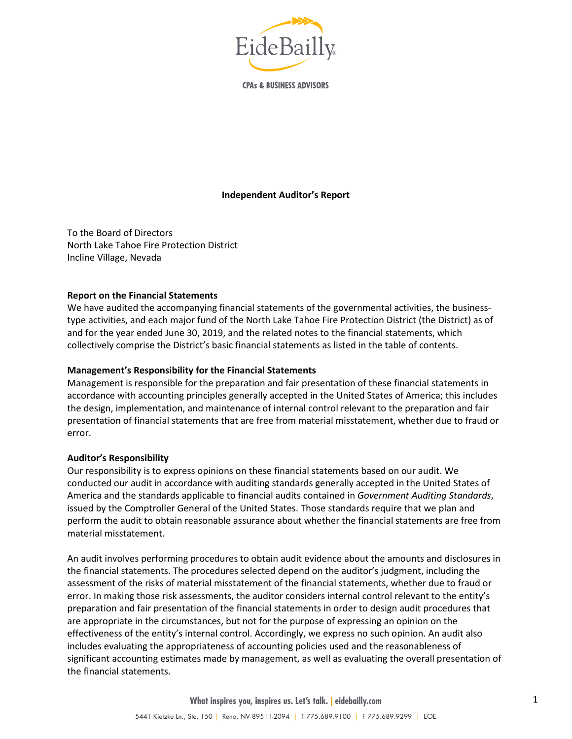

**CPAs & BUSINESS ADVISORS** 

#### **Independent Auditor's Report**

To the Board of Directors North Lake Tahoe Fire Protection District Incline Village, Nevada

#### **Report on the Financial Statements**

We have audited the accompanying financial statements of the governmental activities, the businesstype activities, and each major fund of the North Lake Tahoe Fire Protection District (the District) as of and for the year ended June 30, 2019, and the related notes to the financial statements, which collectively comprise the District's basic financial statements as listed in the table of contents.

#### **Management's Responsibility for the Financial Statements**

Management is responsible for the preparation and fair presentation of these financial statements in accordance with accounting principles generally accepted in the United States of America; this includes the design, implementation, and maintenance of internal control relevant to the preparation and fair presentation of financial statements that are free from material misstatement, whether due to fraud or error.

#### **Auditor's Responsibility**

Our responsibility is to express opinions on these financial statements based on our audit. We conducted our audit in accordance with auditing standards generally accepted in the United States of America and the standards applicable to financial audits contained in *Government Auditing Standards*, issued by the Comptroller General of the United States. Those standards require that we plan and perform the audit to obtain reasonable assurance about whether the financial statements are free from material misstatement.

An audit involves performing procedures to obtain audit evidence about the amounts and disclosures in the financial statements. The procedures selected depend on the auditor's judgment, including the assessment of the risks of material misstatement of the financial statements, whether due to fraud or error. In making those risk assessments, the auditor considers internal control relevant to the entity's preparation and fair presentation of the financial statements in order to design audit procedures that are appropriate in the circumstances, but not for the purpose of expressing an opinion on the effectiveness of the entity's internal control. Accordingly, we express no such opinion. An audit also includes evaluating the appropriateness of accounting policies used and the reasonableness of significant accounting estimates made by management, as well as evaluating the overall presentation of the financial statements.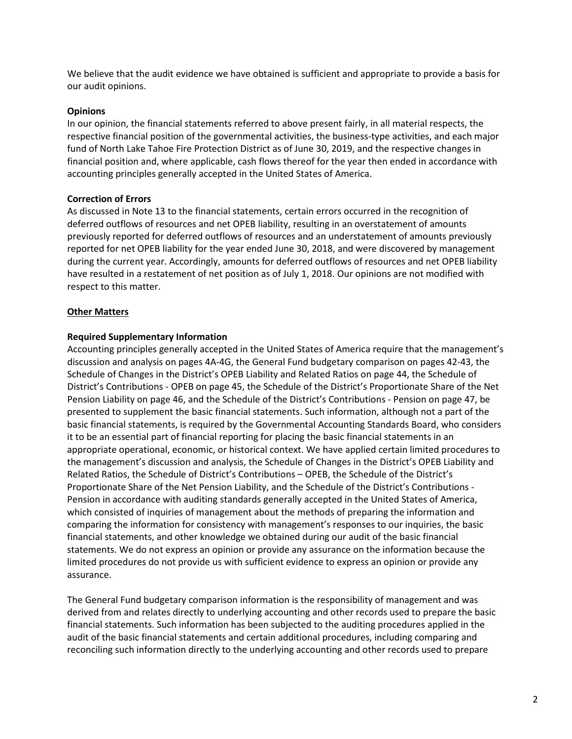We believe that the audit evidence we have obtained is sufficient and appropriate to provide a basis for our audit opinions.

#### **Opinions**

In our opinion, the financial statements referred to above present fairly, in all material respects, the respective financial position of the governmental activities, the business-type activities, and each major fund of North Lake Tahoe Fire Protection District as of June 30, 2019, and the respective changes in financial position and, where applicable, cash flows thereof for the year then ended in accordance with accounting principles generally accepted in the United States of America.

#### **Correction of Errors**

As discussed in Note 13 to the financial statements, certain errors occurred in the recognition of deferred outflows of resources and net OPEB liability, resulting in an overstatement of amounts previously reported for deferred outflows of resources and an understatement of amounts previously reported for net OPEB liability for the year ended June 30, 2018, and were discovered by management during the current year. Accordingly, amounts for deferred outflows of resources and net OPEB liability have resulted in a restatement of net position as of July 1, 2018. Our opinions are not modified with respect to this matter.

#### **Other Matters**

#### **Required Supplementary Information**

Accounting principles generally accepted in the United States of America require that the management's discussion and analysis on pages 4A-4G, the General Fund budgetary comparison on pages 42-43, the Schedule of Changes in the District's OPEB Liability and Related Ratios on page 44, the Schedule of District's Contributions - OPEB on page 45, the Schedule of the District's Proportionate Share of the Net Pension Liability on page 46, and the Schedule of the District's Contributions - Pension on page 47, be presented to supplement the basic financial statements. Such information, although not a part of the basic financial statements, is required by the Governmental Accounting Standards Board, who considers it to be an essential part of financial reporting for placing the basic financial statements in an appropriate operational, economic, or historical context. We have applied certain limited procedures to the management's discussion and analysis, the Schedule of Changes in the District's OPEB Liability and Related Ratios, the Schedule of District's Contributions – OPEB, the Schedule of the District's Proportionate Share of the Net Pension Liability, and the Schedule of the District's Contributions - Pension in accordance with auditing standards generally accepted in the United States of America, which consisted of inquiries of management about the methods of preparing the information and comparing the information for consistency with management's responses to our inquiries, the basic financial statements, and other knowledge we obtained during our audit of the basic financial statements. We do not express an opinion or provide any assurance on the information because the limited procedures do not provide us with sufficient evidence to express an opinion or provide any assurance.

The General Fund budgetary comparison information is the responsibility of management and was derived from and relates directly to underlying accounting and other records used to prepare the basic financial statements. Such information has been subjected to the auditing procedures applied in the audit of the basic financial statements and certain additional procedures, including comparing and reconciling such information directly to the underlying accounting and other records used to prepare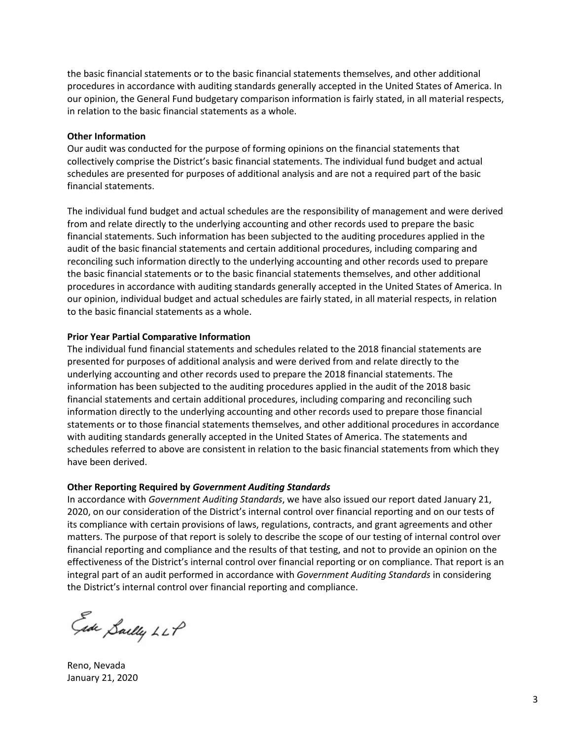the basic financial statements or to the basic financial statements themselves, and other additional procedures in accordance with auditing standards generally accepted in the United States of America. In our opinion, the General Fund budgetary comparison information is fairly stated, in all material respects, in relation to the basic financial statements as a whole.

#### **Other Information**

Our audit was conducted for the purpose of forming opinions on the financial statements that collectively comprise the District's basic financial statements. The individual fund budget and actual schedules are presented for purposes of additional analysis and are not a required part of the basic financial statements.

The individual fund budget and actual schedules are the responsibility of management and were derived from and relate directly to the underlying accounting and other records used to prepare the basic financial statements. Such information has been subjected to the auditing procedures applied in the audit of the basic financial statements and certain additional procedures, including comparing and reconciling such information directly to the underlying accounting and other records used to prepare the basic financial statements or to the basic financial statements themselves, and other additional procedures in accordance with auditing standards generally accepted in the United States of America. In our opinion, individual budget and actual schedules are fairly stated, in all material respects, in relation to the basic financial statements as a whole.

#### **Prior Year Partial Comparative Information**

The individual fund financial statements and schedules related to the 2018 financial statements are presented for purposes of additional analysis and were derived from and relate directly to the underlying accounting and other records used to prepare the 2018 financial statements. The information has been subjected to the auditing procedures applied in the audit of the 2018 basic financial statements and certain additional procedures, including comparing and reconciling such information directly to the underlying accounting and other records used to prepare those financial statements or to those financial statements themselves, and other additional procedures in accordance with auditing standards generally accepted in the United States of America. The statements and schedules referred to above are consistent in relation to the basic financial statements from which they have been derived.

#### **Other Reporting Required by** *Government Auditing Standards*

In accordance with *Government Auditing Standards*, we have also issued our report dated January 21, 2020, on our consideration of the District's internal control over financial reporting and on our tests of its compliance with certain provisions of laws, regulations, contracts, and grant agreements and other matters. The purpose of that report is solely to describe the scope of our testing of internal control over financial reporting and compliance and the results of that testing, and not to provide an opinion on the effectiveness of the District's internal control over financial reporting or on compliance. That report is an integral part of an audit performed in accordance with *Government Auditing Standards* in considering the District's internal control over financial reporting and compliance.

Ede Sailly LLP

Reno, Nevada January 21, 2020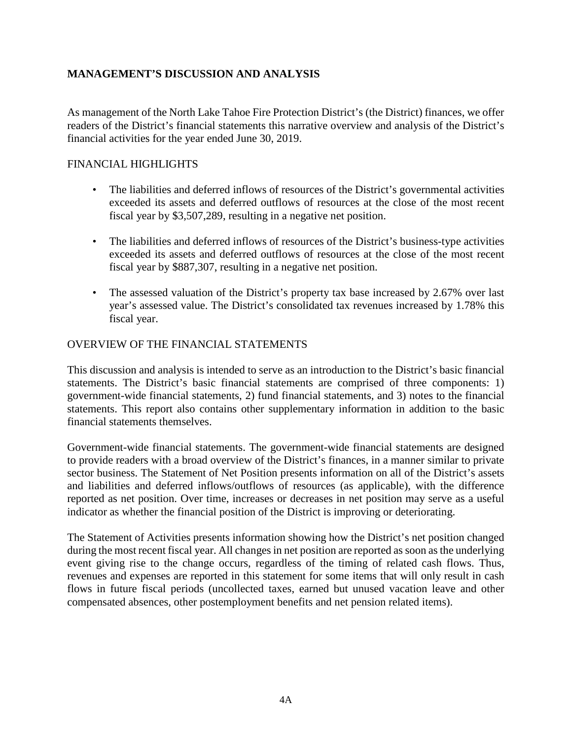### **MANAGEMENT'S DISCUSSION AND ANALYSIS**

As management of the North Lake Tahoe Fire Protection District's (the District) finances, we offer readers of the District's financial statements this narrative overview and analysis of the District's financial activities for the year ended June 30, 2019.

### FINANCIAL HIGHLIGHTS

- The liabilities and deferred inflows of resources of the District's governmental activities exceeded its assets and deferred outflows of resources at the close of the most recent fiscal year by \$3,507,289, resulting in a negative net position.
- The liabilities and deferred inflows of resources of the District's business-type activities exceeded its assets and deferred outflows of resources at the close of the most recent fiscal year by \$887,307, resulting in a negative net position.
- The assessed valuation of the District's property tax base increased by 2.67% over last year's assessed value. The District's consolidated tax revenues increased by 1.78% this fiscal year.

### OVERVIEW OF THE FINANCIAL STATEMENTS

This discussion and analysis is intended to serve as an introduction to the District's basic financial statements. The District's basic financial statements are comprised of three components: 1) government-wide financial statements, 2) fund financial statements, and 3) notes to the financial statements. This report also contains other supplementary information in addition to the basic financial statements themselves.

Government-wide financial statements. The government-wide financial statements are designed to provide readers with a broad overview of the District's finances, in a manner similar to private sector business. The Statement of Net Position presents information on all of the District's assets and liabilities and deferred inflows/outflows of resources (as applicable), with the difference reported as net position. Over time, increases or decreases in net position may serve as a useful indicator as whether the financial position of the District is improving or deteriorating.

The Statement of Activities presents information showing how the District's net position changed during the most recent fiscal year. All changes in net position are reported as soon as the underlying event giving rise to the change occurs, regardless of the timing of related cash flows. Thus, revenues and expenses are reported in this statement for some items that will only result in cash flows in future fiscal periods (uncollected taxes, earned but unused vacation leave and other compensated absences, other postemployment benefits and net pension related items).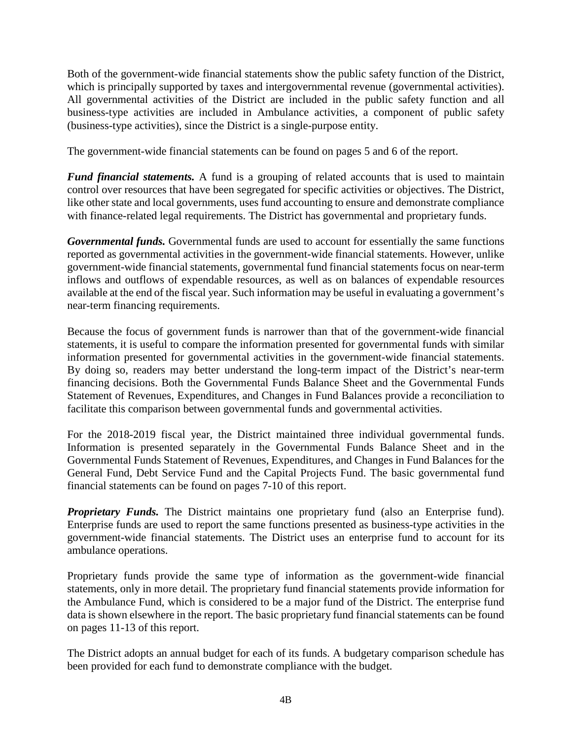Both of the government-wide financial statements show the public safety function of the District, which is principally supported by taxes and intergovernmental revenue (governmental activities). All governmental activities of the District are included in the public safety function and all business-type activities are included in Ambulance activities, a component of public safety (business-type activities), since the District is a single-purpose entity.

The government-wide financial statements can be found on pages 5 and 6 of the report.

*Fund financial statements.* A fund is a grouping of related accounts that is used to maintain control over resources that have been segregated for specific activities or objectives. The District, like other state and local governments, uses fund accounting to ensure and demonstrate compliance with finance-related legal requirements. The District has governmental and proprietary funds.

*Governmental funds.* Governmental funds are used to account for essentially the same functions reported as governmental activities in the government-wide financial statements. However, unlike government-wide financial statements, governmental fund financial statements focus on near-term inflows and outflows of expendable resources, as well as on balances of expendable resources available at the end of the fiscal year. Such information may be useful in evaluating a government's near-term financing requirements.

Because the focus of government funds is narrower than that of the government-wide financial statements, it is useful to compare the information presented for governmental funds with similar information presented for governmental activities in the government-wide financial statements. By doing so, readers may better understand the long-term impact of the District's near-term financing decisions. Both the Governmental Funds Balance Sheet and the Governmental Funds Statement of Revenues, Expenditures, and Changes in Fund Balances provide a reconciliation to facilitate this comparison between governmental funds and governmental activities.

For the 2018-2019 fiscal year, the District maintained three individual governmental funds. Information is presented separately in the Governmental Funds Balance Sheet and in the Governmental Funds Statement of Revenues, Expenditures, and Changes in Fund Balances for the General Fund, Debt Service Fund and the Capital Projects Fund. The basic governmental fund financial statements can be found on pages 7-10 of this report.

*Proprietary Funds.* The District maintains one proprietary fund (also an Enterprise fund). Enterprise funds are used to report the same functions presented as business-type activities in the government-wide financial statements. The District uses an enterprise fund to account for its ambulance operations.

Proprietary funds provide the same type of information as the government-wide financial statements, only in more detail. The proprietary fund financial statements provide information for the Ambulance Fund, which is considered to be a major fund of the District. The enterprise fund data is shown elsewhere in the report. The basic proprietary fund financial statements can be found on pages 11-13 of this report.

The District adopts an annual budget for each of its funds. A budgetary comparison schedule has been provided for each fund to demonstrate compliance with the budget.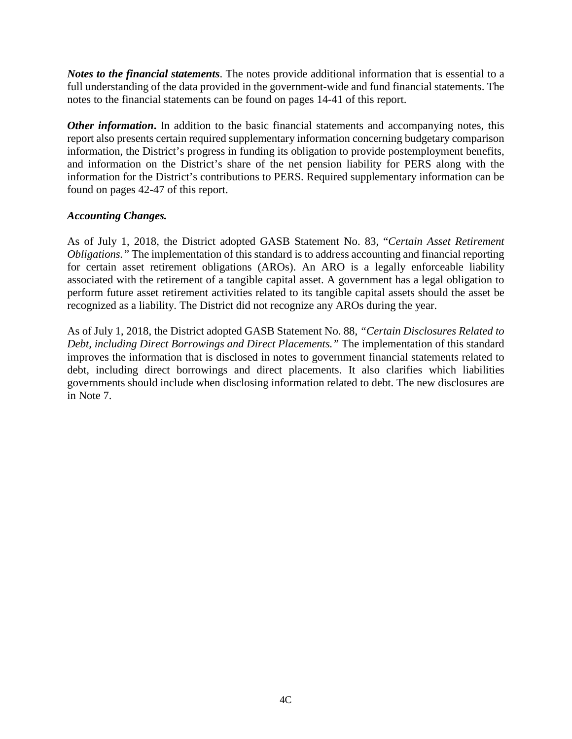*Notes to the financial statements*. The notes provide additional information that is essential to a full understanding of the data provided in the government-wide and fund financial statements. The notes to the financial statements can be found on pages 14-41 of this report.

*Other information*. In addition to the basic financial statements and accompanying notes, this report also presents certain required supplementary information concerning budgetary comparison information, the District's progress in funding its obligation to provide postemployment benefits, and information on the District's share of the net pension liability for PERS along with the information for the District's contributions to PERS. Required supplementary information can be found on pages 42-47 of this report.

### *Accounting Changes.*

As of July 1, 2018, the District adopted GASB Statement No. 83, "*Certain Asset Retirement Obligations."* The implementation of this standard is to address accounting and financial reporting for certain asset retirement obligations (AROs). An ARO is a legally enforceable liability associated with the retirement of a tangible capital asset. A government has a legal obligation to perform future asset retirement activities related to its tangible capital assets should the asset be recognized as a liability. The District did not recognize any AROs during the year.

As of July 1, 2018, the District adopted GASB Statement No. 88, *"Certain Disclosures Related to Debt, including Direct Borrowings and Direct Placements."* The implementation of this standard improves the information that is disclosed in notes to government financial statements related to debt, including direct borrowings and direct placements. It also clarifies which liabilities governments should include when disclosing information related to debt. The new disclosures are in Note 7.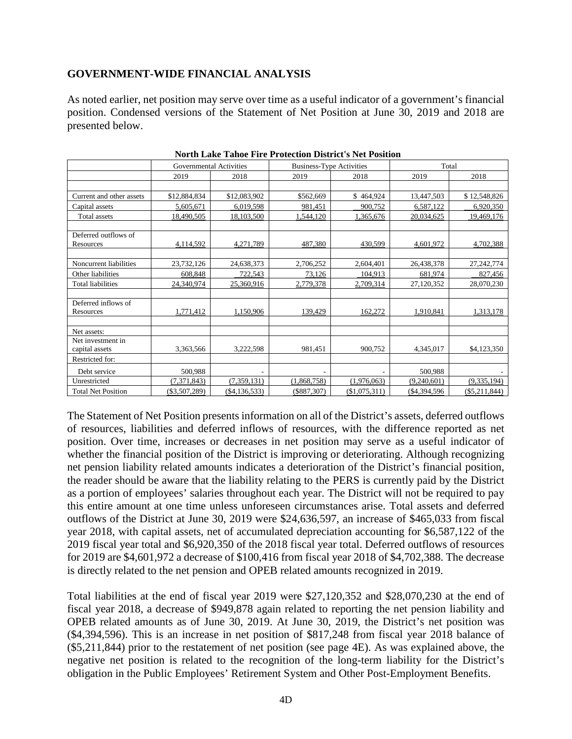### **GOVERNMENT-WIDE FINANCIAL ANALYSIS**

As noted earlier, net position may serve over time as a useful indicator of a government's financial position. Condensed versions of the Statement of Net Position at June 30, 2019 and 2018 are presented below.

|                           | <b>Governmental Activities</b> |                | <b>Business-Type Activities</b> |               | Total          |                 |  |  |  |  |
|---------------------------|--------------------------------|----------------|---------------------------------|---------------|----------------|-----------------|--|--|--|--|
|                           | 2019                           | 2018           | 2019                            | 2018          | 2019           | 2018            |  |  |  |  |
|                           |                                |                |                                 |               |                |                 |  |  |  |  |
| Current and other assets  | \$12,884,834                   | \$12,083,902   | \$562,669                       | \$464,924     | 13,447,503     | \$12,548,826    |  |  |  |  |
| Capital assets            | 5,605,671                      | 6,019,598      | 981,451                         | 900,752       | 6,587,122      | 6,920,350       |  |  |  |  |
| Total assets              | 18,490,505                     | 18,103,500     | 1,544,120                       | 1,365,676     | 20,034,625     | 19,469,176      |  |  |  |  |
|                           |                                |                |                                 |               |                |                 |  |  |  |  |
| Deferred outflows of      |                                |                |                                 |               |                |                 |  |  |  |  |
| Resources                 | 4,114,592                      | 4,271,789      | 487,380                         | 430,599       | 4,601,972      | 4,702,388       |  |  |  |  |
|                           |                                |                |                                 |               |                |                 |  |  |  |  |
| Noncurrent liabilities    | 23,732,126                     | 24,638,373     | 2,706,252                       | 2,604,401     | 26,438,378     | 27, 242, 774    |  |  |  |  |
| Other liabilities         | 608.848                        | 722,543        | 73,126                          | 104,913       | 681,974        | 827,456         |  |  |  |  |
| <b>Total liabilities</b>  | 24,340,974                     | 25,360,916     | 2,779,378                       | 2,709,314     | 27,120,352     | 28,070,230      |  |  |  |  |
|                           |                                |                |                                 |               |                |                 |  |  |  |  |
| Deferred inflows of       |                                |                |                                 |               |                |                 |  |  |  |  |
| Resources                 | 1,771,412                      | 1,150,906      | 139,429                         | 162,272       | 1,910,841      | 1,313,178       |  |  |  |  |
|                           |                                |                |                                 |               |                |                 |  |  |  |  |
| Net assets:               |                                |                |                                 |               |                |                 |  |  |  |  |
| Net investment in         |                                |                |                                 |               |                |                 |  |  |  |  |
| capital assets            | 3,363,566                      | 3,222,598      | 981,451                         | 900,752       | 4,345,017      | \$4,123,350     |  |  |  |  |
| Restricted for:           |                                |                |                                 |               |                |                 |  |  |  |  |
| Debt service              | 500,988                        |                |                                 |               | 500,988        |                 |  |  |  |  |
| Unrestricted              | (7,371,843)                    | (7,359,131)    | (1,868,758)                     | (1,976,063)   | (9,240,601)    | (9, 335, 194)   |  |  |  |  |
| <b>Total Net Position</b> | $(\$3,507,289)$                | ( \$4,136,533) | $(\$887,307)$                   | (\$1,075,311) | $(\$4,394,596$ | $(\$5,211,844)$ |  |  |  |  |

The Statement of Net Position presents information on all of the District's assets, deferred outflows of resources, liabilities and deferred inflows of resources, with the difference reported as net position. Over time, increases or decreases in net position may serve as a useful indicator of whether the financial position of the District is improving or deteriorating. Although recognizing net pension liability related amounts indicates a deterioration of the District's financial position, the reader should be aware that the liability relating to the PERS is currently paid by the District as a portion of employees' salaries throughout each year. The District will not be required to pay this entire amount at one time unless unforeseen circumstances arise. Total assets and deferred outflows of the District at June 30, 2019 were \$24,636,597, an increase of \$465,033 from fiscal year 2018, with capital assets, net of accumulated depreciation accounting for \$6,587,122 of the 2019 fiscal year total and \$6,920,350 of the 2018 fiscal year total. Deferred outflows of resources for 2019 are \$4,601,972 a decrease of \$100,416 from fiscal year 2018 of \$4,702,388. The decrease is directly related to the net pension and OPEB related amounts recognized in 2019.

Total liabilities at the end of fiscal year 2019 were \$27,120,352 and \$28,070,230 at the end of fiscal year 2018, a decrease of \$949,878 again related to reporting the net pension liability and OPEB related amounts as of June 30, 2019. At June 30, 2019, the District's net position was (\$4,394,596). This is an increase in net position of \$817,248 from fiscal year 2018 balance of (\$5,211,844) prior to the restatement of net position (see page 4E). As was explained above, the negative net position is related to the recognition of the long-term liability for the District's obligation in the Public Employees' Retirement System and Other Post-Employment Benefits.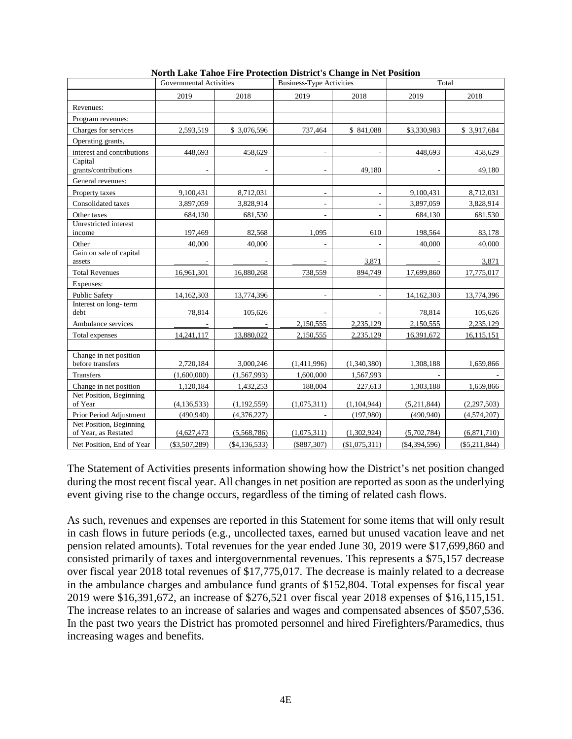|                                                 | <b>Governmental Activities</b> |                | <b>Business-Type Activities</b> |                          | Total          |                 |  |
|-------------------------------------------------|--------------------------------|----------------|---------------------------------|--------------------------|----------------|-----------------|--|
|                                                 | 2019                           | 2018           | 2019                            | 2018                     | 2019           | 2018            |  |
| Revenues:                                       |                                |                |                                 |                          |                |                 |  |
| Program revenues:                               |                                |                |                                 |                          |                |                 |  |
| Charges for services                            | 2,593,519                      | \$ 3,076,596   | 737,464                         | \$841,088                | \$3,330,983    | \$ 3,917,684    |  |
| Operating grants,                               |                                |                |                                 |                          |                |                 |  |
| interest and contributions                      | 448,693                        | 458,629        |                                 |                          | 448,693        | 458,629         |  |
| Capital<br>grants/contributions                 |                                |                |                                 | 49,180                   |                | 49,180          |  |
| General revenues:                               |                                |                |                                 |                          |                |                 |  |
| Property taxes                                  | 9,100,431                      | 8,712,031      | ٠                               | L.                       | 9,100,431      | 8,712,031       |  |
| Consolidated taxes                              | 3,897,059                      | 3,828,914      | $\overline{\phantom{a}}$        | $\overline{\phantom{a}}$ | 3,897,059      | 3,828,914       |  |
| Other taxes                                     | 684,130                        | 681,530        |                                 | L.                       | 684,130        | 681,530         |  |
| Unrestricted interest<br>income                 | 197,469                        | 82,568         | 1.095                           | 610                      | 198,564        | 83,178          |  |
| Other                                           | 40,000                         | 40,000         |                                 | $\overline{\phantom{a}}$ | 40,000         | 40,000          |  |
| Gain on sale of capital                         |                                |                | $\overline{\phantom{a}}$        |                          |                |                 |  |
| assets                                          |                                |                |                                 | 3,871                    |                | 3,871           |  |
| <b>Total Revenues</b>                           | 16,961,301                     | 16,880,268     | 738,559                         | 894,749                  | 17,699,860     | 17,775,017      |  |
| Expenses:                                       |                                |                |                                 |                          |                |                 |  |
| <b>Public Safety</b>                            | 14,162,303                     | 13,774,396     |                                 |                          | 14,162,303     | 13,774,396      |  |
| Interest on long-term<br>debt                   | 78,814                         | 105,626        |                                 |                          | 78,814         | 105,626         |  |
| Ambulance services                              |                                |                | 2,150,555                       | 2,235,129                | 2,150,555      | 2,235,129       |  |
| Total expenses                                  | 14,241,117                     | 13.880.022     | 2,150,555                       | 2,235,129                | 16,391,672     | 16,115,151      |  |
|                                                 |                                |                |                                 |                          |                |                 |  |
| Change in net position<br>before transfers      | 2,720,184                      | 3,000,246      | (1,411,996)                     | (1,340,380)              | 1,308,188      | 1,659,866       |  |
| Transfers                                       | (1,600,000)                    | (1,567,993)    | 1.600,000                       | 1,567,993                |                |                 |  |
| Change in net position                          | 1,120,184                      | 1,432,253      | 188,004                         | 227,613                  | 1,303,188      | 1,659,866       |  |
| Net Position, Beginning<br>of Year              | (4, 136, 533)                  | (1,192,559)    | (1,075,311)                     | (1,104,944)              | (5,211,844)    | (2,297,503)     |  |
| Prior Period Adjustment                         | (490, 940)                     | (4,376,227)    |                                 | (197,980)                | (490, 940)     | (4,574,207)     |  |
| Net Position, Beginning<br>of Year, as Restated | (4,627,473)                    | (5,568,786)    | (1,075,311)                     | (1,302,924)              | (5,702,784)    | (6,871,710)     |  |
| Net Position, End of Year                       | $(\$3,507,289)$                | ( \$4,136,533) | (\$887,307)                     | (\$1,075,311)            | ( \$4,394,596) | $(\$5,211,844)$ |  |

|  |  | North Lake Tahoe Fire Protection District's Change in Net Position |
|--|--|--------------------------------------------------------------------|
|  |  |                                                                    |

The Statement of Activities presents information showing how the District's net position changed during the most recent fiscal year. All changes in net position are reported as soon as the underlying event giving rise to the change occurs, regardless of the timing of related cash flows.

As such, revenues and expenses are reported in this Statement for some items that will only result in cash flows in future periods (e.g., uncollected taxes, earned but unused vacation leave and net pension related amounts). Total revenues for the year ended June 30, 2019 were \$17,699,860 and consisted primarily of taxes and intergovernmental revenues. This represents a \$75,157 decrease over fiscal year 2018 total revenues of \$17,775,017. The decrease is mainly related to a decrease in the ambulance charges and ambulance fund grants of \$152,804. Total expenses for fiscal year 2019 were \$16,391,672, an increase of \$276,521 over fiscal year 2018 expenses of \$16,115,151. The increase relates to an increase of salaries and wages and compensated absences of \$507,536. In the past two years the District has promoted personnel and hired Firefighters/Paramedics, thus increasing wages and benefits.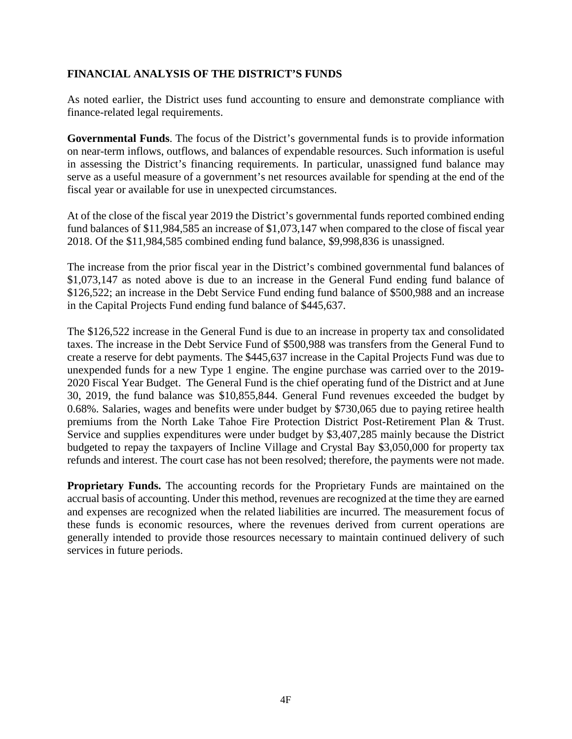### **FINANCIAL ANALYSIS OF THE DISTRICT'S FUNDS**

As noted earlier, the District uses fund accounting to ensure and demonstrate compliance with finance-related legal requirements.

**Governmental Funds**. The focus of the District's governmental funds is to provide information on near-term inflows, outflows, and balances of expendable resources. Such information is useful in assessing the District's financing requirements. In particular, unassigned fund balance may serve as a useful measure of a government's net resources available for spending at the end of the fiscal year or available for use in unexpected circumstances.

At of the close of the fiscal year 2019 the District's governmental funds reported combined ending fund balances of \$11,984,585 an increase of \$1,073,147 when compared to the close of fiscal year 2018. Of the \$11,984,585 combined ending fund balance, \$9,998,836 is unassigned.

The increase from the prior fiscal year in the District's combined governmental fund balances of \$1,073,147 as noted above is due to an increase in the General Fund ending fund balance of \$126,522; an increase in the Debt Service Fund ending fund balance of \$500,988 and an increase in the Capital Projects Fund ending fund balance of \$445,637.

The \$126,522 increase in the General Fund is due to an increase in property tax and consolidated taxes. The increase in the Debt Service Fund of \$500,988 was transfers from the General Fund to create a reserve for debt payments. The \$445,637 increase in the Capital Projects Fund was due to unexpended funds for a new Type 1 engine. The engine purchase was carried over to the 2019- 2020 Fiscal Year Budget. The General Fund is the chief operating fund of the District and at June 30, 2019, the fund balance was \$10,855,844. General Fund revenues exceeded the budget by 0.68%. Salaries, wages and benefits were under budget by \$730,065 due to paying retiree health premiums from the North Lake Tahoe Fire Protection District Post-Retirement Plan & Trust. Service and supplies expenditures were under budget by \$3,407,285 mainly because the District budgeted to repay the taxpayers of Incline Village and Crystal Bay \$3,050,000 for property tax refunds and interest. The court case has not been resolved; therefore, the payments were not made.

**Proprietary Funds.** The accounting records for the Proprietary Funds are maintained on the accrual basis of accounting. Under this method, revenues are recognized at the time they are earned and expenses are recognized when the related liabilities are incurred. The measurement focus of these funds is economic resources, where the revenues derived from current operations are generally intended to provide those resources necessary to maintain continued delivery of such services in future periods.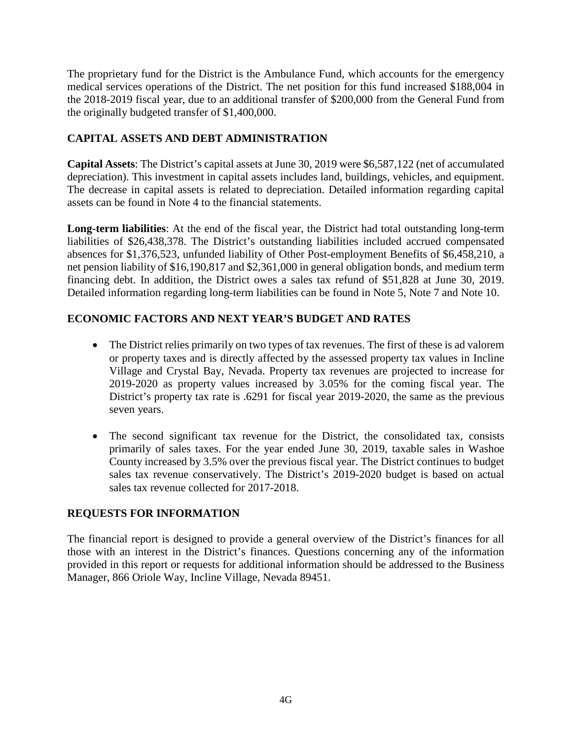The proprietary fund for the District is the Ambulance Fund, which accounts for the emergency medical services operations of the District. The net position for this fund increased \$188,004 in the 2018-2019 fiscal year, due to an additional transfer of \$200,000 from the General Fund from the originally budgeted transfer of \$1,400,000.

## **CAPITAL ASSETS AND DEBT ADMINISTRATION**

**Capital Assets**: The District's capital assets at June 30, 2019 were \$6,587,122 (net of accumulated depreciation). This investment in capital assets includes land, buildings, vehicles, and equipment. The decrease in capital assets is related to depreciation. Detailed information regarding capital assets can be found in Note 4 to the financial statements.

**Long-term liabilities**: At the end of the fiscal year, the District had total outstanding long-term liabilities of \$26,438,378. The District's outstanding liabilities included accrued compensated absences for \$1,376,523, unfunded liability of Other Post-employment Benefits of \$6,458,210, a net pension liability of \$16,190,817 and \$2,361,000 in general obligation bonds, and medium term financing debt. In addition, the District owes a sales tax refund of \$51,828 at June 30, 2019. Detailed information regarding long-term liabilities can be found in Note 5, Note 7 and Note 10.

## **ECONOMIC FACTORS AND NEXT YEAR'S BUDGET AND RATES**

- The District relies primarily on two types of tax revenues. The first of these is ad valorem or property taxes and is directly affected by the assessed property tax values in Incline Village and Crystal Bay, Nevada. Property tax revenues are projected to increase for 2019-2020 as property values increased by 3.05% for the coming fiscal year. The District's property tax rate is .6291 for fiscal year 2019-2020, the same as the previous seven years.
- The second significant tax revenue for the District, the consolidated tax, consists primarily of sales taxes. For the year ended June 30, 2019, taxable sales in Washoe County increased by 3.5% over the previous fiscal year. The District continues to budget sales tax revenue conservatively. The District's 2019-2020 budget is based on actual sales tax revenue collected for 2017-2018.

### **REQUESTS FOR INFORMATION**

The financial report is designed to provide a general overview of the District's finances for all those with an interest in the District's finances. Questions concerning any of the information provided in this report or requests for additional information should be addressed to the Business Manager, 866 Oriole Way, Incline Village, Nevada 89451.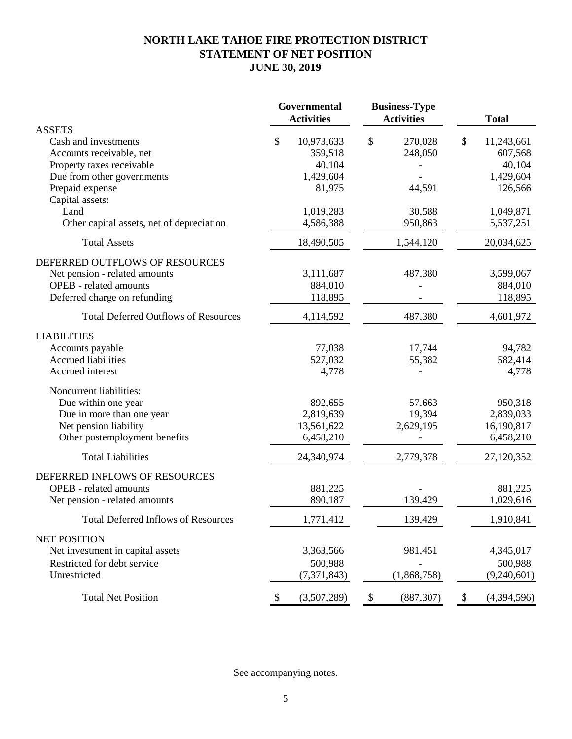## **NORTH LAKE TAHOE FIRE PROTECTION DISTRICT STATEMENT OF NET POSITION JUNE 30, 2019**

|                                             | Governmental<br><b>Activities</b> | <b>Business-Type</b><br><b>Activities</b> | <b>Total</b>        |
|---------------------------------------------|-----------------------------------|-------------------------------------------|---------------------|
| <b>ASSETS</b>                               |                                   |                                           |                     |
| Cash and investments                        | \$<br>10,973,633                  | \$<br>270,028                             | \$<br>11,243,661    |
| Accounts receivable, net                    | 359,518                           | 248,050                                   | 607,568             |
| Property taxes receivable                   | 40,104                            |                                           | 40,104              |
| Due from other governments                  | 1,429,604                         |                                           | 1,429,604           |
| Prepaid expense                             | 81,975                            | 44,591                                    | 126,566             |
| Capital assets:<br>Land                     | 1,019,283                         | 30,588                                    | 1,049,871           |
| Other capital assets, net of depreciation   | 4,586,388                         | 950,863                                   | 5,537,251           |
|                                             |                                   |                                           |                     |
| <b>Total Assets</b>                         | 18,490,505                        | 1,544,120                                 | 20,034,625          |
| DEFERRED OUTFLOWS OF RESOURCES              |                                   |                                           |                     |
| Net pension - related amounts               | 3,111,687                         | 487,380                                   | 3,599,067           |
| <b>OPEB</b> - related amounts               | 884,010                           |                                           | 884,010             |
| Deferred charge on refunding                | 118,895                           |                                           | 118,895             |
| <b>Total Deferred Outflows of Resources</b> | 4,114,592                         | 487,380                                   | 4,601,972           |
| <b>LIABILITIES</b>                          |                                   |                                           |                     |
| Accounts payable                            | 77,038                            | 17,744                                    | 94,782              |
| <b>Accrued liabilities</b>                  | 527,032                           | 55,382                                    | 582,414             |
| Accrued interest                            | 4,778                             |                                           | 4,778               |
| Noncurrent liabilities:                     |                                   |                                           |                     |
| Due within one year                         | 892,655                           | 57,663                                    | 950,318             |
| Due in more than one year                   | 2,819,639                         | 19,394                                    | 2,839,033           |
| Net pension liability                       | 13,561,622                        | 2,629,195                                 | 16,190,817          |
| Other postemployment benefits               | 6,458,210                         |                                           | 6,458,210           |
| <b>Total Liabilities</b>                    | 24,340,974                        | 2,779,378                                 | 27,120,352          |
| DEFERRED INFLOWS OF RESOURCES               |                                   |                                           |                     |
| <b>OPEB</b> - related amounts               | 881,225                           |                                           | 881,225             |
| Net pension - related amounts               | 890,187                           | 139,429                                   | 1,029,616           |
| <b>Total Deferred Inflows of Resources</b>  | 1,771,412                         | 139,429                                   | 1,910,841           |
| <b>NET POSITION</b>                         |                                   |                                           |                     |
| Net investment in capital assets            | 3,363,566                         | 981,451                                   | 4,345,017           |
| Restricted for debt service                 | 500,988                           |                                           | 500,988             |
| Unrestricted                                | (7,371,843)                       | (1,868,758)                               | (9,240,601)         |
| <b>Total Net Position</b>                   | \$<br>(3,507,289)                 | $\boldsymbol{\$}$<br>(887, 307)           | $\,$<br>(4,394,596) |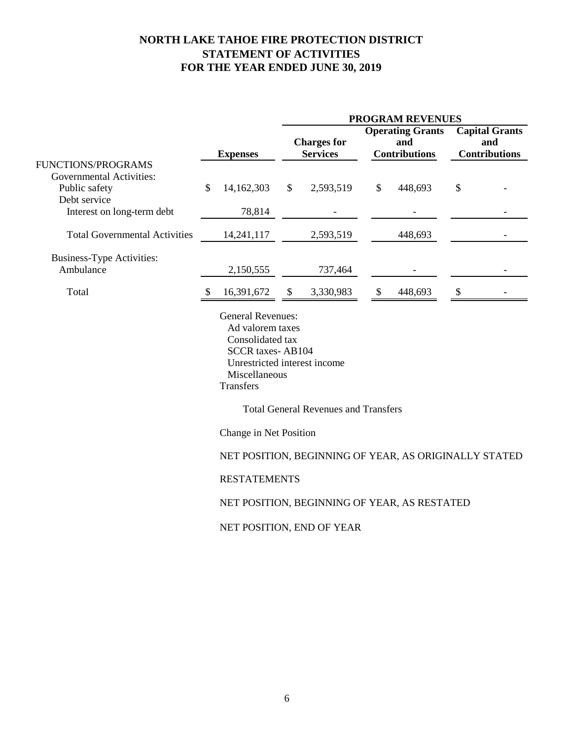## **NORTH LAKE TAHOE FIRE PROTECTION DISTRICT STATEMENT OF ACTIVITIES FOR THE YEAR ENDED JUNE 30, 2019**

|                                                                                                                                                           |                 |                        | <b>PROGRAM REVENUES</b> |                                             |                            |                                                        |                                                      |  |  |
|-----------------------------------------------------------------------------------------------------------------------------------------------------------|-----------------|------------------------|-------------------------|---------------------------------------------|----------------------------|--------------------------------------------------------|------------------------------------------------------|--|--|
|                                                                                                                                                           | <b>Expenses</b> |                        |                         | <b>Charges for</b><br><b>Services</b>       |                            | <b>Operating Grants</b><br>and<br><b>Contributions</b> | <b>Capital Grants</b><br>and<br><b>Contributions</b> |  |  |
| FUNCTIONS/PROGRAMS                                                                                                                                        |                 |                        |                         |                                             |                            |                                                        |                                                      |  |  |
| <b>Governmental Activities:</b>                                                                                                                           |                 |                        |                         |                                             |                            |                                                        |                                                      |  |  |
| Public safety                                                                                                                                             | $\mathcal{S}$   | 14,162,303             | $\mathbb{S}$            | 2,593,519                                   | \$                         | 448,693                                                | \$                                                   |  |  |
| Debt service                                                                                                                                              |                 |                        |                         |                                             |                            |                                                        |                                                      |  |  |
| Interest on long-term debt                                                                                                                                |                 | 78,814                 |                         |                                             |                            |                                                        |                                                      |  |  |
| <b>Total Governmental Activities</b>                                                                                                                      |                 | 14,241,117             |                         | 2,593,519                                   |                            | 448,693                                                |                                                      |  |  |
| <b>Business-Type Activities:</b>                                                                                                                          |                 |                        |                         |                                             |                            |                                                        |                                                      |  |  |
| Ambulance                                                                                                                                                 |                 | 2,150,555              |                         | 737,464                                     |                            |                                                        |                                                      |  |  |
| Total                                                                                                                                                     |                 | 16,391,672             | \$                      | 3,330,983                                   | $\boldsymbol{\mathcal{S}}$ | 448,693                                                | \$                                                   |  |  |
| <b>General Revenues:</b><br>Ad valorem taxes<br>Consolidated tax<br><b>SCCR</b> taxes-AB104<br>Unrestricted interest income<br>Miscellaneous<br>Transfers |                 |                        |                         |                                             |                            |                                                        |                                                      |  |  |
|                                                                                                                                                           |                 |                        |                         | <b>Total General Revenues and Transfers</b> |                            |                                                        |                                                      |  |  |
|                                                                                                                                                           |                 | Change in Net Position |                         |                                             |                            |                                                        |                                                      |  |  |

NET POSITION, BEGINNING OF YEAR, AS ORIGINALLY STATED

RESTATEMENTS

NET POSITION, BEGINNING OF YEAR, AS RESTATED

NET POSITION, END OF YEAR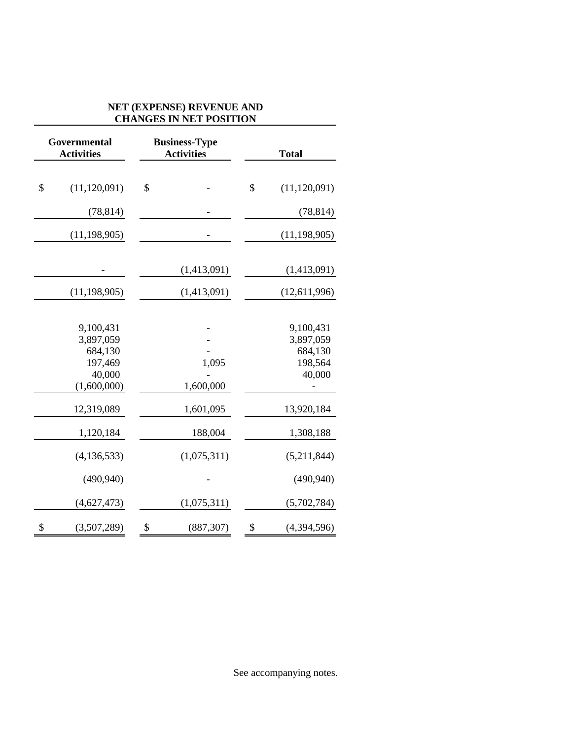### **NET (EXPENSE) REVENUE AND CHANGES IN NET POSITION**

| Governmental<br><b>Activities</b>                                     | <b>Business-Type</b><br><b>Activities</b> | <b>Total</b>                                           |
|-----------------------------------------------------------------------|-------------------------------------------|--------------------------------------------------------|
| \$<br>(11, 120, 091)                                                  | \$                                        | \$<br>(11, 120, 091)                                   |
| (78, 814)                                                             |                                           | (78, 814)                                              |
| (11, 198, 905)                                                        |                                           | (11, 198, 905)                                         |
|                                                                       | (1,413,091)                               | (1,413,091)                                            |
| (11, 198, 905)                                                        | (1,413,091)                               | (12,611,996)                                           |
| 9,100,431<br>3,897,059<br>684,130<br>197,469<br>40,000<br>(1,600,000) | 1,095<br>1,600,000                        | 9,100,431<br>3,897,059<br>684,130<br>198,564<br>40,000 |
| 12,319,089                                                            | 1,601,095                                 | 13,920,184                                             |
| 1,120,184                                                             | 188,004                                   | 1,308,188                                              |
| (4, 136, 533)                                                         | (1,075,311)                               | (5,211,844)                                            |
| (490, 940)                                                            |                                           | (490, 940)                                             |
| (4,627,473)                                                           | (1,075,311)                               | (5,702,784)                                            |
| $\boldsymbol{\mathsf{S}}$<br>(3,507,289)                              | \$<br>(887, 307)                          | \$<br>(4,394,596)                                      |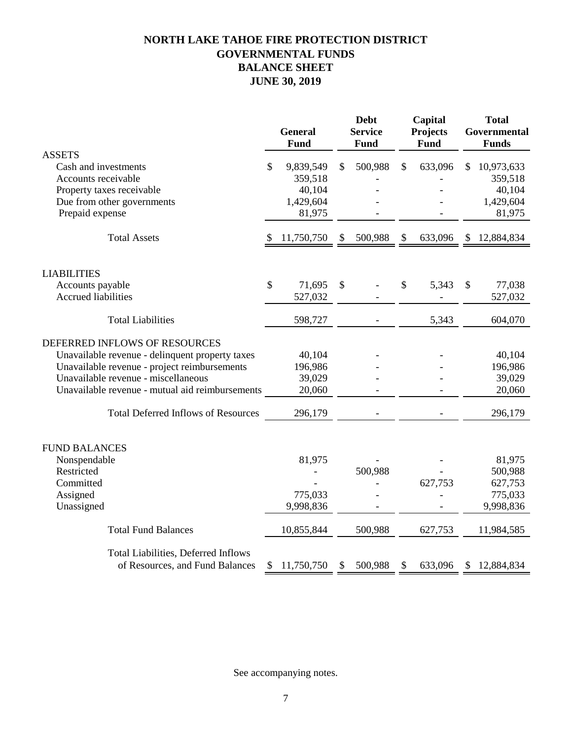## **NORTH LAKE TAHOE FIRE PROTECTION DISTRICT GOVERNMENTAL FUNDS BALANCE SHEET JUNE 30, 2019**

|                                                 |    | <b>General</b><br>Fund | <b>Debt</b><br><b>Service</b><br><b>Fund</b> |               | Capital<br>Projects<br>Fund |     | <b>Total</b><br>Governmental<br><b>Funds</b> |
|-------------------------------------------------|----|------------------------|----------------------------------------------|---------------|-----------------------------|-----|----------------------------------------------|
| <b>ASSETS</b>                                   |    |                        |                                              |               |                             |     |                                              |
| Cash and investments                            | S  | 9,839,549              | \$<br>500,988                                | $\mathcal{S}$ | 633,096                     | \$. | 10,973,633                                   |
| Accounts receivable                             |    | 359,518                |                                              |               |                             |     | 359,518                                      |
| Property taxes receivable                       |    | 40,104                 |                                              |               |                             |     | 40,104                                       |
| Due from other governments                      |    | 1,429,604              |                                              |               |                             |     | 1,429,604                                    |
| Prepaid expense                                 |    | 81,975                 |                                              |               |                             |     | 81,975                                       |
| <b>Total Assets</b>                             | \$ | 11,750,750             | \$<br>500,988                                | \$            | 633,096                     | S   | 12,884,834                                   |
| <b>LIABILITIES</b>                              |    |                        |                                              |               |                             |     |                                              |
| Accounts payable                                | \$ | 71,695                 | \$                                           | \$            | 5,343                       | \$  | 77,038                                       |
| <b>Accrued liabilities</b>                      |    | 527,032                |                                              |               |                             |     | 527,032                                      |
| <b>Total Liabilities</b>                        |    | 598,727                |                                              |               | 5,343                       |     | 604,070                                      |
| DEFERRED INFLOWS OF RESOURCES                   |    |                        |                                              |               |                             |     |                                              |
| Unavailable revenue - delinquent property taxes |    | 40,104                 |                                              |               |                             |     | 40,104                                       |
| Unavailable revenue - project reimbursements    |    | 196,986                |                                              |               |                             |     | 196,986                                      |
| Unavailable revenue - miscellaneous             |    | 39,029                 |                                              |               |                             |     | 39,029                                       |
| Unavailable revenue - mutual aid reimbursements |    | 20,060                 |                                              |               |                             |     | 20,060                                       |
| <b>Total Deferred Inflows of Resources</b>      |    | 296,179                |                                              |               |                             |     | 296,179                                      |
| <b>FUND BALANCES</b>                            |    |                        |                                              |               |                             |     |                                              |
| Nonspendable                                    |    | 81,975                 |                                              |               |                             |     | 81,975                                       |
| Restricted                                      |    |                        | 500,988                                      |               |                             |     | 500,988                                      |
| Committed                                       |    |                        |                                              |               | 627,753                     |     | 627,753                                      |
| Assigned                                        |    | 775,033                |                                              |               |                             |     | 775,033                                      |
| Unassigned                                      |    | 9,998,836              |                                              |               |                             |     | 9,998,836                                    |
| <b>Total Fund Balances</b>                      |    | 10,855,844             | 500,988                                      |               | 627,753                     |     | 11,984,585                                   |
| <b>Total Liabilities, Deferred Inflows</b>      |    |                        |                                              |               |                             |     |                                              |
| of Resources, and Fund Balances                 | \$ | 11,750,750             | \$<br>500,988                                | \$            | 633,096                     | S   | 12,884,834                                   |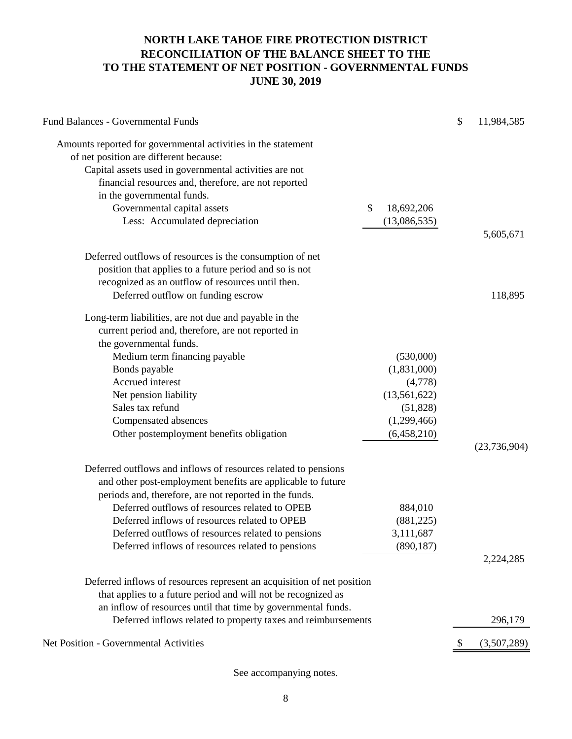## **NORTH LAKE TAHOE FIRE PROTECTION DISTRICT RECONCILIATION OF THE BALANCE SHEET TO THE TO THE STATEMENT OF NET POSITION - GOVERNMENTAL FUNDS JUNE 30, 2019**

| Amounts reported for governmental activities in the statement<br>of net position are different because:<br>Capital assets used in governmental activities are not<br>financial resources and, therefore, are not reported<br>in the governmental funds.<br>\$<br>Governmental capital assets<br>18,692,206<br>Less: Accumulated depreciation<br>(13,086,535)<br>5,605,671<br>Deferred outflows of resources is the consumption of net<br>position that applies to a future period and so is not<br>recognized as an outflow of resources until then.<br>Deferred outflow on funding escrow<br>118,895<br>Long-term liabilities, are not due and payable in the<br>current period and, therefore, are not reported in<br>the governmental funds.<br>Medium term financing payable<br>(530,000)<br>(1,831,000)<br>Bonds payable<br>Accrued interest<br>(4,778)<br>Net pension liability<br>(13, 561, 622)<br>Sales tax refund<br>(51, 828)<br>Compensated absences<br>(1,299,466)<br>Other postemployment benefits obligation<br>(6,458,210)<br>(23, 736, 904)<br>Deferred outflows and inflows of resources related to pensions<br>and other post-employment benefits are applicable to future<br>periods and, therefore, are not reported in the funds.<br>Deferred outflows of resources related to OPEB<br>884,010<br>Deferred inflows of resources related to OPEB<br>(881, 225)<br>Deferred outflows of resources related to pensions<br>3,111,687<br>Deferred inflows of resources related to pensions<br>(890, 187)<br>2,224,285<br>Deferred inflows of resources represent an acquisition of net position<br>that applies to a future period and will not be recognized as<br>an inflow of resources until that time by governmental funds.<br>Deferred inflows related to property taxes and reimbursements<br>296,179<br>(3,507,289) | Fund Balances - Governmental Funds     |  | \$<br>11,984,585 |
|-----------------------------------------------------------------------------------------------------------------------------------------------------------------------------------------------------------------------------------------------------------------------------------------------------------------------------------------------------------------------------------------------------------------------------------------------------------------------------------------------------------------------------------------------------------------------------------------------------------------------------------------------------------------------------------------------------------------------------------------------------------------------------------------------------------------------------------------------------------------------------------------------------------------------------------------------------------------------------------------------------------------------------------------------------------------------------------------------------------------------------------------------------------------------------------------------------------------------------------------------------------------------------------------------------------------------------------------------------------------------------------------------------------------------------------------------------------------------------------------------------------------------------------------------------------------------------------------------------------------------------------------------------------------------------------------------------------------------------------------------------------------------------------------------------------------------------------------------|----------------------------------------|--|------------------|
|                                                                                                                                                                                                                                                                                                                                                                                                                                                                                                                                                                                                                                                                                                                                                                                                                                                                                                                                                                                                                                                                                                                                                                                                                                                                                                                                                                                                                                                                                                                                                                                                                                                                                                                                                                                                                                               |                                        |  |                  |
|                                                                                                                                                                                                                                                                                                                                                                                                                                                                                                                                                                                                                                                                                                                                                                                                                                                                                                                                                                                                                                                                                                                                                                                                                                                                                                                                                                                                                                                                                                                                                                                                                                                                                                                                                                                                                                               |                                        |  |                  |
|                                                                                                                                                                                                                                                                                                                                                                                                                                                                                                                                                                                                                                                                                                                                                                                                                                                                                                                                                                                                                                                                                                                                                                                                                                                                                                                                                                                                                                                                                                                                                                                                                                                                                                                                                                                                                                               |                                        |  |                  |
|                                                                                                                                                                                                                                                                                                                                                                                                                                                                                                                                                                                                                                                                                                                                                                                                                                                                                                                                                                                                                                                                                                                                                                                                                                                                                                                                                                                                                                                                                                                                                                                                                                                                                                                                                                                                                                               |                                        |  |                  |
|                                                                                                                                                                                                                                                                                                                                                                                                                                                                                                                                                                                                                                                                                                                                                                                                                                                                                                                                                                                                                                                                                                                                                                                                                                                                                                                                                                                                                                                                                                                                                                                                                                                                                                                                                                                                                                               |                                        |  |                  |
|                                                                                                                                                                                                                                                                                                                                                                                                                                                                                                                                                                                                                                                                                                                                                                                                                                                                                                                                                                                                                                                                                                                                                                                                                                                                                                                                                                                                                                                                                                                                                                                                                                                                                                                                                                                                                                               |                                        |  |                  |
|                                                                                                                                                                                                                                                                                                                                                                                                                                                                                                                                                                                                                                                                                                                                                                                                                                                                                                                                                                                                                                                                                                                                                                                                                                                                                                                                                                                                                                                                                                                                                                                                                                                                                                                                                                                                                                               |                                        |  |                  |
|                                                                                                                                                                                                                                                                                                                                                                                                                                                                                                                                                                                                                                                                                                                                                                                                                                                                                                                                                                                                                                                                                                                                                                                                                                                                                                                                                                                                                                                                                                                                                                                                                                                                                                                                                                                                                                               |                                        |  |                  |
|                                                                                                                                                                                                                                                                                                                                                                                                                                                                                                                                                                                                                                                                                                                                                                                                                                                                                                                                                                                                                                                                                                                                                                                                                                                                                                                                                                                                                                                                                                                                                                                                                                                                                                                                                                                                                                               |                                        |  |                  |
|                                                                                                                                                                                                                                                                                                                                                                                                                                                                                                                                                                                                                                                                                                                                                                                                                                                                                                                                                                                                                                                                                                                                                                                                                                                                                                                                                                                                                                                                                                                                                                                                                                                                                                                                                                                                                                               |                                        |  |                  |
|                                                                                                                                                                                                                                                                                                                                                                                                                                                                                                                                                                                                                                                                                                                                                                                                                                                                                                                                                                                                                                                                                                                                                                                                                                                                                                                                                                                                                                                                                                                                                                                                                                                                                                                                                                                                                                               |                                        |  |                  |
|                                                                                                                                                                                                                                                                                                                                                                                                                                                                                                                                                                                                                                                                                                                                                                                                                                                                                                                                                                                                                                                                                                                                                                                                                                                                                                                                                                                                                                                                                                                                                                                                                                                                                                                                                                                                                                               |                                        |  |                  |
|                                                                                                                                                                                                                                                                                                                                                                                                                                                                                                                                                                                                                                                                                                                                                                                                                                                                                                                                                                                                                                                                                                                                                                                                                                                                                                                                                                                                                                                                                                                                                                                                                                                                                                                                                                                                                                               |                                        |  |                  |
|                                                                                                                                                                                                                                                                                                                                                                                                                                                                                                                                                                                                                                                                                                                                                                                                                                                                                                                                                                                                                                                                                                                                                                                                                                                                                                                                                                                                                                                                                                                                                                                                                                                                                                                                                                                                                                               |                                        |  |                  |
|                                                                                                                                                                                                                                                                                                                                                                                                                                                                                                                                                                                                                                                                                                                                                                                                                                                                                                                                                                                                                                                                                                                                                                                                                                                                                                                                                                                                                                                                                                                                                                                                                                                                                                                                                                                                                                               |                                        |  |                  |
|                                                                                                                                                                                                                                                                                                                                                                                                                                                                                                                                                                                                                                                                                                                                                                                                                                                                                                                                                                                                                                                                                                                                                                                                                                                                                                                                                                                                                                                                                                                                                                                                                                                                                                                                                                                                                                               |                                        |  |                  |
|                                                                                                                                                                                                                                                                                                                                                                                                                                                                                                                                                                                                                                                                                                                                                                                                                                                                                                                                                                                                                                                                                                                                                                                                                                                                                                                                                                                                                                                                                                                                                                                                                                                                                                                                                                                                                                               |                                        |  |                  |
|                                                                                                                                                                                                                                                                                                                                                                                                                                                                                                                                                                                                                                                                                                                                                                                                                                                                                                                                                                                                                                                                                                                                                                                                                                                                                                                                                                                                                                                                                                                                                                                                                                                                                                                                                                                                                                               |                                        |  |                  |
|                                                                                                                                                                                                                                                                                                                                                                                                                                                                                                                                                                                                                                                                                                                                                                                                                                                                                                                                                                                                                                                                                                                                                                                                                                                                                                                                                                                                                                                                                                                                                                                                                                                                                                                                                                                                                                               |                                        |  |                  |
|                                                                                                                                                                                                                                                                                                                                                                                                                                                                                                                                                                                                                                                                                                                                                                                                                                                                                                                                                                                                                                                                                                                                                                                                                                                                                                                                                                                                                                                                                                                                                                                                                                                                                                                                                                                                                                               |                                        |  |                  |
|                                                                                                                                                                                                                                                                                                                                                                                                                                                                                                                                                                                                                                                                                                                                                                                                                                                                                                                                                                                                                                                                                                                                                                                                                                                                                                                                                                                                                                                                                                                                                                                                                                                                                                                                                                                                                                               |                                        |  |                  |
|                                                                                                                                                                                                                                                                                                                                                                                                                                                                                                                                                                                                                                                                                                                                                                                                                                                                                                                                                                                                                                                                                                                                                                                                                                                                                                                                                                                                                                                                                                                                                                                                                                                                                                                                                                                                                                               |                                        |  |                  |
|                                                                                                                                                                                                                                                                                                                                                                                                                                                                                                                                                                                                                                                                                                                                                                                                                                                                                                                                                                                                                                                                                                                                                                                                                                                                                                                                                                                                                                                                                                                                                                                                                                                                                                                                                                                                                                               |                                        |  |                  |
|                                                                                                                                                                                                                                                                                                                                                                                                                                                                                                                                                                                                                                                                                                                                                                                                                                                                                                                                                                                                                                                                                                                                                                                                                                                                                                                                                                                                                                                                                                                                                                                                                                                                                                                                                                                                                                               |                                        |  |                  |
|                                                                                                                                                                                                                                                                                                                                                                                                                                                                                                                                                                                                                                                                                                                                                                                                                                                                                                                                                                                                                                                                                                                                                                                                                                                                                                                                                                                                                                                                                                                                                                                                                                                                                                                                                                                                                                               |                                        |  |                  |
|                                                                                                                                                                                                                                                                                                                                                                                                                                                                                                                                                                                                                                                                                                                                                                                                                                                                                                                                                                                                                                                                                                                                                                                                                                                                                                                                                                                                                                                                                                                                                                                                                                                                                                                                                                                                                                               |                                        |  |                  |
|                                                                                                                                                                                                                                                                                                                                                                                                                                                                                                                                                                                                                                                                                                                                                                                                                                                                                                                                                                                                                                                                                                                                                                                                                                                                                                                                                                                                                                                                                                                                                                                                                                                                                                                                                                                                                                               |                                        |  |                  |
|                                                                                                                                                                                                                                                                                                                                                                                                                                                                                                                                                                                                                                                                                                                                                                                                                                                                                                                                                                                                                                                                                                                                                                                                                                                                                                                                                                                                                                                                                                                                                                                                                                                                                                                                                                                                                                               |                                        |  |                  |
|                                                                                                                                                                                                                                                                                                                                                                                                                                                                                                                                                                                                                                                                                                                                                                                                                                                                                                                                                                                                                                                                                                                                                                                                                                                                                                                                                                                                                                                                                                                                                                                                                                                                                                                                                                                                                                               |                                        |  |                  |
|                                                                                                                                                                                                                                                                                                                                                                                                                                                                                                                                                                                                                                                                                                                                                                                                                                                                                                                                                                                                                                                                                                                                                                                                                                                                                                                                                                                                                                                                                                                                                                                                                                                                                                                                                                                                                                               |                                        |  |                  |
|                                                                                                                                                                                                                                                                                                                                                                                                                                                                                                                                                                                                                                                                                                                                                                                                                                                                                                                                                                                                                                                                                                                                                                                                                                                                                                                                                                                                                                                                                                                                                                                                                                                                                                                                                                                                                                               |                                        |  |                  |
|                                                                                                                                                                                                                                                                                                                                                                                                                                                                                                                                                                                                                                                                                                                                                                                                                                                                                                                                                                                                                                                                                                                                                                                                                                                                                                                                                                                                                                                                                                                                                                                                                                                                                                                                                                                                                                               |                                        |  |                  |
|                                                                                                                                                                                                                                                                                                                                                                                                                                                                                                                                                                                                                                                                                                                                                                                                                                                                                                                                                                                                                                                                                                                                                                                                                                                                                                                                                                                                                                                                                                                                                                                                                                                                                                                                                                                                                                               |                                        |  |                  |
|                                                                                                                                                                                                                                                                                                                                                                                                                                                                                                                                                                                                                                                                                                                                                                                                                                                                                                                                                                                                                                                                                                                                                                                                                                                                                                                                                                                                                                                                                                                                                                                                                                                                                                                                                                                                                                               |                                        |  |                  |
|                                                                                                                                                                                                                                                                                                                                                                                                                                                                                                                                                                                                                                                                                                                                                                                                                                                                                                                                                                                                                                                                                                                                                                                                                                                                                                                                                                                                                                                                                                                                                                                                                                                                                                                                                                                                                                               |                                        |  |                  |
|                                                                                                                                                                                                                                                                                                                                                                                                                                                                                                                                                                                                                                                                                                                                                                                                                                                                                                                                                                                                                                                                                                                                                                                                                                                                                                                                                                                                                                                                                                                                                                                                                                                                                                                                                                                                                                               | Net Position - Governmental Activities |  |                  |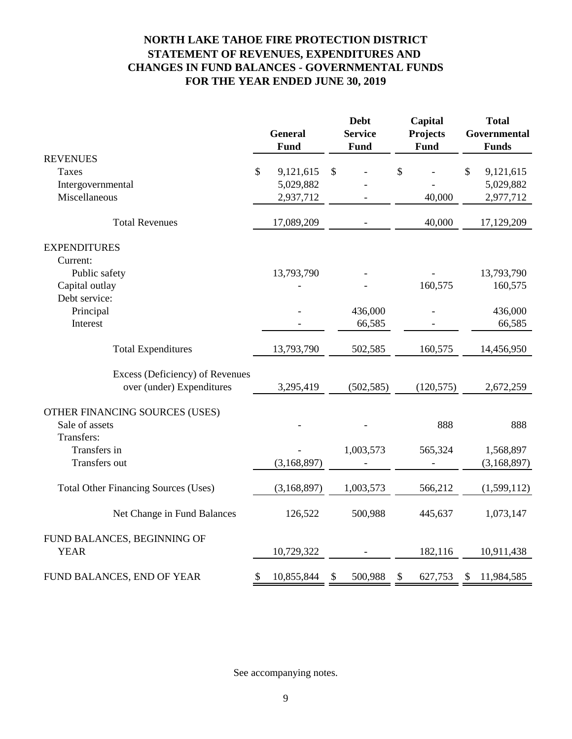## **NORTH LAKE TAHOE FIRE PROTECTION DISTRICT STATEMENT OF REVENUES, EXPENDITURES AND FOR THE YEAR ENDED JUNE 30, 2019 CHANGES IN FUND BALANCES - GOVERNMENTAL FUNDS**

|                                             | <b>General</b><br><b>Fund</b> | <b>Debt</b><br><b>Service</b><br>Fund | Capital<br><b>Projects</b><br>Fund | <b>Total</b><br>Governmental<br><b>Funds</b> |
|---------------------------------------------|-------------------------------|---------------------------------------|------------------------------------|----------------------------------------------|
| <b>REVENUES</b>                             |                               |                                       |                                    |                                              |
| Taxes                                       | \$<br>9,121,615               | \$                                    | \$                                 | \$<br>9,121,615                              |
| Intergovernmental                           | 5,029,882                     |                                       |                                    | 5,029,882                                    |
| Miscellaneous                               | 2,937,712                     |                                       | 40,000                             | 2,977,712                                    |
| <b>Total Revenues</b>                       | 17,089,209                    |                                       | 40,000                             | 17,129,209                                   |
| <b>EXPENDITURES</b>                         |                               |                                       |                                    |                                              |
| Current:                                    |                               |                                       |                                    |                                              |
| Public safety                               | 13,793,790                    |                                       |                                    | 13,793,790                                   |
| Capital outlay                              |                               |                                       | 160,575                            | 160,575                                      |
| Debt service:                               |                               |                                       |                                    |                                              |
| Principal                                   |                               | 436,000                               |                                    | 436,000                                      |
| Interest                                    |                               | 66,585                                |                                    | 66,585                                       |
| <b>Total Expenditures</b>                   | 13,793,790                    | 502,585                               | 160,575                            | 14,456,950                                   |
| Excess (Deficiency) of Revenues             |                               |                                       |                                    |                                              |
| over (under) Expenditures                   | 3,295,419                     | (502, 585)                            | (120, 575)                         | 2,672,259                                    |
| OTHER FINANCING SOURCES (USES)              |                               |                                       |                                    |                                              |
| Sale of assets                              |                               |                                       | 888                                | 888                                          |
| Transfers:                                  |                               |                                       |                                    |                                              |
| Transfers in                                |                               | 1,003,573                             | 565,324                            | 1,568,897                                    |
| Transfers out                               | (3,168,897)                   |                                       |                                    | (3,168,897)                                  |
| <b>Total Other Financing Sources (Uses)</b> | (3,168,897)                   | 1,003,573                             | 566,212                            | (1,599,112)                                  |
| Net Change in Fund Balances                 | 126,522                       | 500,988                               | 445,637                            | 1,073,147                                    |
| FUND BALANCES, BEGINNING OF                 |                               |                                       |                                    |                                              |
| <b>YEAR</b>                                 | 10,729,322                    |                                       | 182,116                            | 10,911,438                                   |
| FUND BALANCES, END OF YEAR                  | \$<br>10,855,844              | \$<br>500,988                         | \$<br>627,753                      | \$<br>11,984,585                             |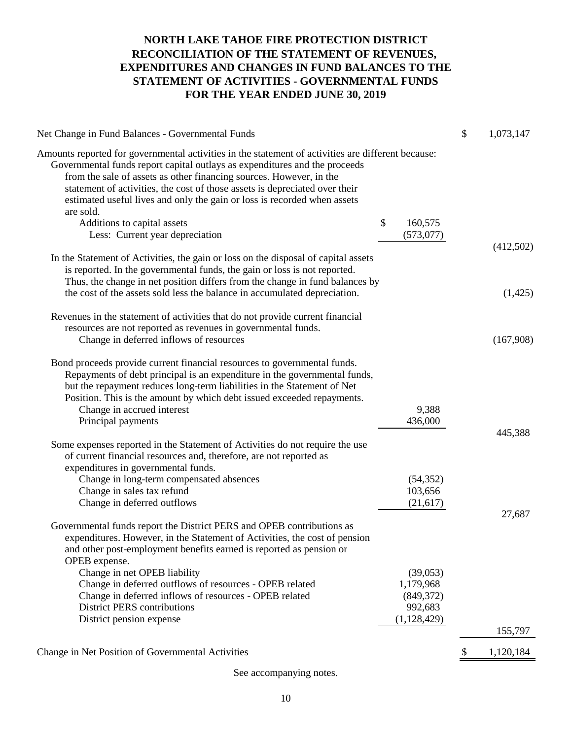## **FOR THE YEAR ENDED JUNE 30, 2019 NORTH LAKE TAHOE FIRE PROTECTION DISTRICT RECONCILIATION OF THE STATEMENT OF REVENUES, EXPENDITURES AND CHANGES IN FUND BALANCES TO THE STATEMENT OF ACTIVITIES - GOVERNMENTAL FUNDS**

| Net Change in Fund Balances - Governmental Funds                                                                                                                                                                                                                                                                                                                                                                                                                                                  |                             | \$            | 1,073,147 |
|---------------------------------------------------------------------------------------------------------------------------------------------------------------------------------------------------------------------------------------------------------------------------------------------------------------------------------------------------------------------------------------------------------------------------------------------------------------------------------------------------|-----------------------------|---------------|-----------|
| Amounts reported for governmental activities in the statement of activities are different because:<br>Governmental funds report capital outlays as expenditures and the proceeds<br>from the sale of assets as other financing sources. However, in the<br>statement of activities, the cost of those assets is depreciated over their<br>estimated useful lives and only the gain or loss is recorded when assets<br>are sold.<br>Additions to capital assets<br>Less: Current year depreciation | \$<br>160,575<br>(573, 077) |               |           |
|                                                                                                                                                                                                                                                                                                                                                                                                                                                                                                   |                             |               | (412,502) |
| In the Statement of Activities, the gain or loss on the disposal of capital assets<br>is reported. In the governmental funds, the gain or loss is not reported.<br>Thus, the change in net position differs from the change in fund balances by                                                                                                                                                                                                                                                   |                             |               |           |
| the cost of the assets sold less the balance in accumulated depreciation.                                                                                                                                                                                                                                                                                                                                                                                                                         |                             |               | (1,425)   |
| Revenues in the statement of activities that do not provide current financial                                                                                                                                                                                                                                                                                                                                                                                                                     |                             |               |           |
| resources are not reported as revenues in governmental funds.                                                                                                                                                                                                                                                                                                                                                                                                                                     |                             |               |           |
| Change in deferred inflows of resources                                                                                                                                                                                                                                                                                                                                                                                                                                                           |                             |               | (167,908) |
| Bond proceeds provide current financial resources to governmental funds.<br>Repayments of debt principal is an expenditure in the governmental funds,<br>but the repayment reduces long-term liabilities in the Statement of Net<br>Position. This is the amount by which debt issued exceeded repayments.                                                                                                                                                                                        |                             |               |           |
| Change in accrued interest                                                                                                                                                                                                                                                                                                                                                                                                                                                                        | 9,388                       |               |           |
| Principal payments                                                                                                                                                                                                                                                                                                                                                                                                                                                                                | 436,000                     |               |           |
|                                                                                                                                                                                                                                                                                                                                                                                                                                                                                                   |                             |               | 445,388   |
| Some expenses reported in the Statement of Activities do not require the use<br>of current financial resources and, therefore, are not reported as<br>expenditures in governmental funds.                                                                                                                                                                                                                                                                                                         |                             |               |           |
| Change in long-term compensated absences                                                                                                                                                                                                                                                                                                                                                                                                                                                          | (54, 352)                   |               |           |
| Change in sales tax refund                                                                                                                                                                                                                                                                                                                                                                                                                                                                        | 103,656                     |               |           |
| Change in deferred outflows                                                                                                                                                                                                                                                                                                                                                                                                                                                                       | (21, 617)                   |               |           |
|                                                                                                                                                                                                                                                                                                                                                                                                                                                                                                   |                             |               | 27,687    |
| Governmental funds report the District PERS and OPEB contributions as<br>expenditures. However, in the Statement of Activities, the cost of pension<br>and other post-employment benefits earned is reported as pension or<br>OPEB expense.                                                                                                                                                                                                                                                       |                             |               |           |
| Change in net OPEB liability                                                                                                                                                                                                                                                                                                                                                                                                                                                                      | (39,053)                    |               |           |
| Change in deferred outflows of resources - OPEB related                                                                                                                                                                                                                                                                                                                                                                                                                                           | 1,179,968                   |               |           |
| Change in deferred inflows of resources - OPEB related                                                                                                                                                                                                                                                                                                                                                                                                                                            | (849, 372)                  |               |           |
| <b>District PERS contributions</b>                                                                                                                                                                                                                                                                                                                                                                                                                                                                | 992,683                     |               |           |
| District pension expense                                                                                                                                                                                                                                                                                                                                                                                                                                                                          | (1,128,429)                 |               |           |
|                                                                                                                                                                                                                                                                                                                                                                                                                                                                                                   |                             |               | 155,797   |
| Change in Net Position of Governmental Activities                                                                                                                                                                                                                                                                                                                                                                                                                                                 |                             | $\frac{1}{2}$ | 1,120,184 |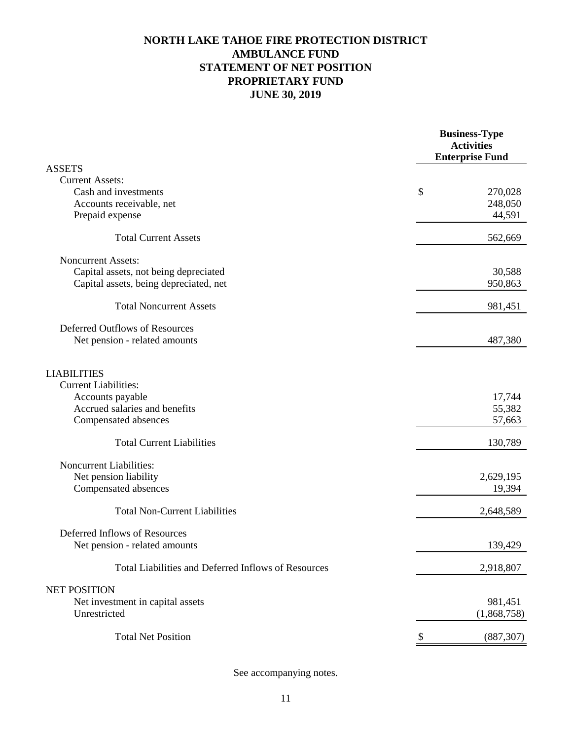## **JUNE 30, 2019 PROPRIETARY FUND STATEMENT OF NET POSITION AMBULANCE FUND NORTH LAKE TAHOE FIRE PROTECTION DISTRICT**

|                                                     | <b>Business-Type</b><br><b>Activities</b><br><b>Enterprise Fund</b> |
|-----------------------------------------------------|---------------------------------------------------------------------|
| <b>ASSETS</b>                                       |                                                                     |
| <b>Current Assets:</b>                              |                                                                     |
| Cash and investments                                | \$<br>270,028                                                       |
| Accounts receivable, net                            | 248,050                                                             |
| Prepaid expense                                     | 44,591                                                              |
| <b>Total Current Assets</b>                         | 562,669                                                             |
| <b>Noncurrent Assets:</b>                           |                                                                     |
| Capital assets, not being depreciated               | 30,588                                                              |
| Capital assets, being depreciated, net              | 950,863                                                             |
| <b>Total Noncurrent Assets</b>                      | 981,451                                                             |
| Deferred Outflows of Resources                      |                                                                     |
| Net pension - related amounts                       | 487,380                                                             |
| <b>LIABILITIES</b>                                  |                                                                     |
| <b>Current Liabilities:</b>                         |                                                                     |
| Accounts payable                                    | 17,744                                                              |
| Accrued salaries and benefits                       | 55,382                                                              |
| Compensated absences                                | 57,663                                                              |
| <b>Total Current Liabilities</b>                    | 130,789                                                             |
| Noncurrent Liabilities:                             |                                                                     |
| Net pension liability                               | 2,629,195                                                           |
| Compensated absences                                | 19,394                                                              |
| <b>Total Non-Current Liabilities</b>                | 2,648,589                                                           |
| Deferred Inflows of Resources                       |                                                                     |
| Net pension - related amounts                       | 139,429                                                             |
| Total Liabilities and Deferred Inflows of Resources | 2,918,807                                                           |
| <b>NET POSITION</b>                                 |                                                                     |
| Net investment in capital assets                    | 981,451                                                             |
| Unrestricted                                        | (1,868,758)                                                         |
| <b>Total Net Position</b>                           | \$<br>(887, 307)                                                    |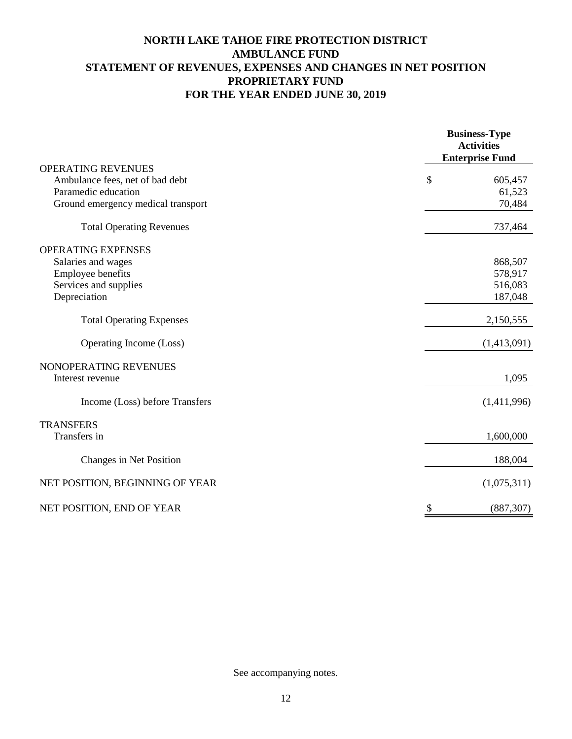## **NORTH LAKE TAHOE FIRE PROTECTION DISTRICT AMBULANCE FUND STATEMENT OF REVENUES, EXPENSES AND CHANGES IN NET POSITION PROPRIETARY FUND FOR THE YEAR ENDED JUNE 30, 2019**

|                                    | <b>Business-Type</b><br><b>Activities</b><br><b>Enterprise Fund</b> |
|------------------------------------|---------------------------------------------------------------------|
| <b>OPERATING REVENUES</b>          |                                                                     |
| Ambulance fees, net of bad debt    | \$<br>605,457                                                       |
| Paramedic education                | 61,523                                                              |
| Ground emergency medical transport | 70,484                                                              |
| <b>Total Operating Revenues</b>    | 737,464                                                             |
| <b>OPERATING EXPENSES</b>          |                                                                     |
| Salaries and wages                 | 868,507                                                             |
| Employee benefits                  | 578,917                                                             |
| Services and supplies              | 516,083                                                             |
| Depreciation                       | 187,048                                                             |
| <b>Total Operating Expenses</b>    | 2,150,555                                                           |
| Operating Income (Loss)            | (1,413,091)                                                         |
| NONOPERATING REVENUES              |                                                                     |
| Interest revenue                   | 1,095                                                               |
| Income (Loss) before Transfers     | (1,411,996)                                                         |
| <b>TRANSFERS</b>                   |                                                                     |
| Transfers in                       | 1,600,000                                                           |
| Changes in Net Position            | 188,004                                                             |
| NET POSITION, BEGINNING OF YEAR    | (1,075,311)                                                         |
| NET POSITION, END OF YEAR          | \$<br>(887, 307)                                                    |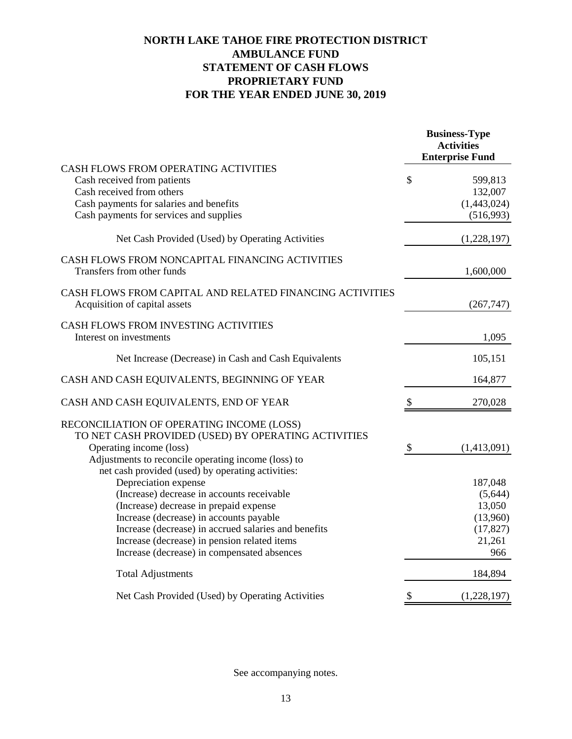## **NORTH LAKE TAHOE FIRE PROTECTION DISTRICT AMBULANCE FUND STATEMENT OF CASH FLOWS PROPRIETARY FUND FOR THE YEAR ENDED JUNE 30, 2019**

|                                                                                             |                           | <b>Business-Type</b><br><b>Activities</b><br><b>Enterprise Fund</b> |
|---------------------------------------------------------------------------------------------|---------------------------|---------------------------------------------------------------------|
| CASH FLOWS FROM OPERATING ACTIVITIES                                                        |                           |                                                                     |
| Cash received from patients                                                                 | $\mathcal{S}$             | 599,813                                                             |
| Cash received from others                                                                   |                           | 132,007                                                             |
| Cash payments for salaries and benefits                                                     |                           | (1,443,024)                                                         |
| Cash payments for services and supplies                                                     |                           | (516,993)                                                           |
| Net Cash Provided (Used) by Operating Activities                                            |                           | (1,228,197)                                                         |
| CASH FLOWS FROM NONCAPITAL FINANCING ACTIVITIES<br>Transfers from other funds               |                           | 1,600,000                                                           |
| CASH FLOWS FROM CAPITAL AND RELATED FINANCING ACTIVITIES<br>Acquisition of capital assets   |                           | (267, 747)                                                          |
| CASH FLOWS FROM INVESTING ACTIVITIES<br>Interest on investments                             |                           | 1,095                                                               |
| Net Increase (Decrease) in Cash and Cash Equivalents                                        |                           | 105,151                                                             |
| CASH AND CASH EQUIVALENTS, BEGINNING OF YEAR                                                |                           | 164,877                                                             |
| CASH AND CASH EQUIVALENTS, END OF YEAR                                                      | \$                        | 270,028                                                             |
| RECONCILIATION OF OPERATING INCOME (LOSS)                                                   |                           |                                                                     |
| TO NET CASH PROVIDED (USED) BY OPERATING ACTIVITIES                                         |                           |                                                                     |
| Operating income (loss)                                                                     | $\boldsymbol{\mathsf{S}}$ | (1,413,091)                                                         |
| Adjustments to reconcile operating income (loss) to                                         |                           |                                                                     |
| net cash provided (used) by operating activities:                                           |                           |                                                                     |
| Depreciation expense                                                                        |                           | 187,048                                                             |
| (Increase) decrease in accounts receivable                                                  |                           | (5,644)                                                             |
| (Increase) decrease in prepaid expense                                                      |                           | 13,050                                                              |
| Increase (decrease) in accounts payable                                                     |                           | (13,960)                                                            |
| Increase (decrease) in accrued salaries and benefits                                        |                           | (17, 827)<br>21,261                                                 |
| Increase (decrease) in pension related items<br>Increase (decrease) in compensated absences |                           | 966                                                                 |
| <b>Total Adjustments</b>                                                                    |                           | 184,894                                                             |
| Net Cash Provided (Used) by Operating Activities                                            | \$                        | (1,228,197)                                                         |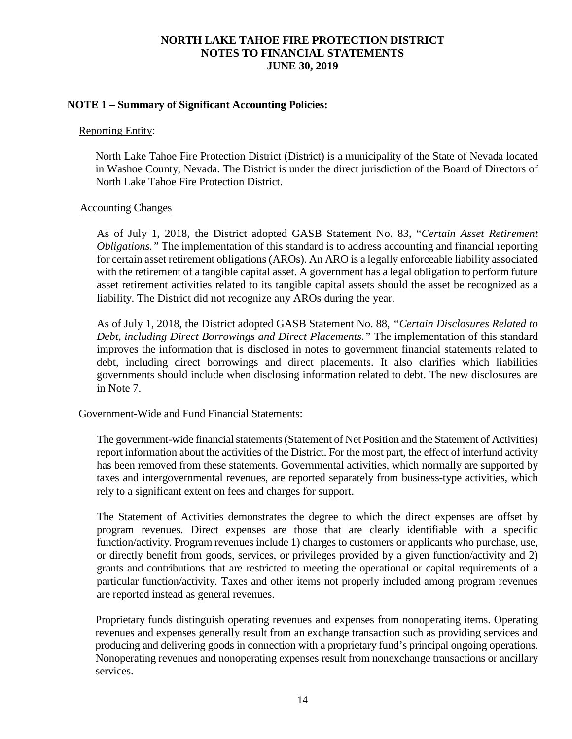### **NOTE 1 – Summary of Significant Accounting Policies:**

#### Reporting Entity:

North Lake Tahoe Fire Protection District (District) is a municipality of the State of Nevada located in Washoe County, Nevada. The District is under the direct jurisdiction of the Board of Directors of North Lake Tahoe Fire Protection District.

#### Accounting Changes

As of July 1, 2018, the District adopted GASB Statement No. 83, "*Certain Asset Retirement Obligations."* The implementation of this standard is to address accounting and financial reporting for certain asset retirement obligations (AROs). An ARO is a legally enforceable liability associated with the retirement of a tangible capital asset. A government has a legal obligation to perform future asset retirement activities related to its tangible capital assets should the asset be recognized as a liability. The District did not recognize any AROs during the year.

As of July 1, 2018, the District adopted GASB Statement No. 88, *"Certain Disclosures Related to Debt, including Direct Borrowings and Direct Placements."* The implementation of this standard improves the information that is disclosed in notes to government financial statements related to debt, including direct borrowings and direct placements. It also clarifies which liabilities governments should include when disclosing information related to debt. The new disclosures are in Note 7.

### Government-Wide and Fund Financial Statements:

The government-wide financial statements (Statement of Net Position and the Statement of Activities) report information about the activities of the District. For the most part, the effect of interfund activity has been removed from these statements. Governmental activities, which normally are supported by taxes and intergovernmental revenues, are reported separately from business-type activities, which rely to a significant extent on fees and charges for support.

The Statement of Activities demonstrates the degree to which the direct expenses are offset by program revenues. Direct expenses are those that are clearly identifiable with a specific function/activity. Program revenues include 1) charges to customers or applicants who purchase, use, or directly benefit from goods, services, or privileges provided by a given function/activity and 2) grants and contributions that are restricted to meeting the operational or capital requirements of a particular function/activity. Taxes and other items not properly included among program revenues are reported instead as general revenues.

Proprietary funds distinguish operating revenues and expenses from nonoperating items. Operating revenues and expenses generally result from an exchange transaction such as providing services and producing and delivering goods in connection with a proprietary fund's principal ongoing operations. Nonoperating revenues and nonoperating expenses result from nonexchange transactions or ancillary services.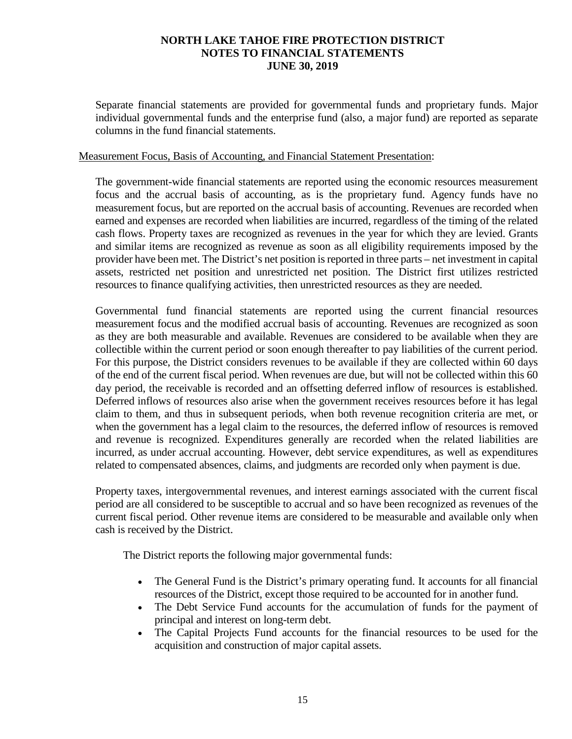Separate financial statements are provided for governmental funds and proprietary funds. Major individual governmental funds and the enterprise fund (also, a major fund) are reported as separate columns in the fund financial statements.

#### Measurement Focus, Basis of Accounting, and Financial Statement Presentation:

The government-wide financial statements are reported using the economic resources measurement focus and the accrual basis of accounting, as is the proprietary fund. Agency funds have no measurement focus, but are reported on the accrual basis of accounting. Revenues are recorded when earned and expenses are recorded when liabilities are incurred, regardless of the timing of the related cash flows. Property taxes are recognized as revenues in the year for which they are levied. Grants and similar items are recognized as revenue as soon as all eligibility requirements imposed by the provider have been met. The District's net position is reported in three parts – net investment in capital assets, restricted net position and unrestricted net position. The District first utilizes restricted resources to finance qualifying activities, then unrestricted resources as they are needed.

Governmental fund financial statements are reported using the current financial resources measurement focus and the modified accrual basis of accounting. Revenues are recognized as soon as they are both measurable and available. Revenues are considered to be available when they are collectible within the current period or soon enough thereafter to pay liabilities of the current period. For this purpose, the District considers revenues to be available if they are collected within 60 days of the end of the current fiscal period. When revenues are due, but will not be collected within this 60 day period, the receivable is recorded and an offsetting deferred inflow of resources is established. Deferred inflows of resources also arise when the government receives resources before it has legal claim to them, and thus in subsequent periods, when both revenue recognition criteria are met, or when the government has a legal claim to the resources, the deferred inflow of resources is removed and revenue is recognized. Expenditures generally are recorded when the related liabilities are incurred, as under accrual accounting. However, debt service expenditures, as well as expenditures related to compensated absences, claims, and judgments are recorded only when payment is due.

Property taxes, intergovernmental revenues, and interest earnings associated with the current fiscal period are all considered to be susceptible to accrual and so have been recognized as revenues of the current fiscal period. Other revenue items are considered to be measurable and available only when cash is received by the District.

The District reports the following major governmental funds:

- The General Fund is the District's primary operating fund. It accounts for all financial resources of the District, except those required to be accounted for in another fund.
- The Debt Service Fund accounts for the accumulation of funds for the payment of principal and interest on long-term debt.
- The Capital Projects Fund accounts for the financial resources to be used for the acquisition and construction of major capital assets.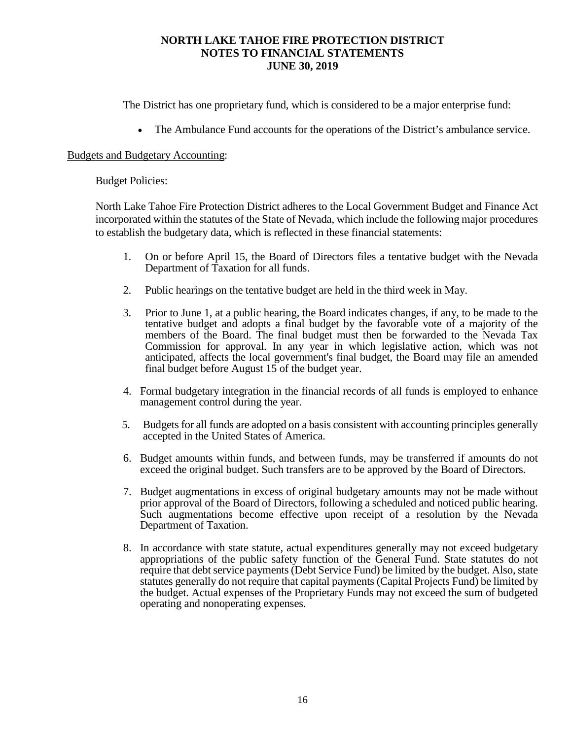The District has one proprietary fund, which is considered to be a major enterprise fund:

• The Ambulance Fund accounts for the operations of the District's ambulance service.

#### Budgets and Budgetary Accounting:

#### Budget Policies:

North Lake Tahoe Fire Protection District adheres to the Local Government Budget and Finance Act incorporated within the statutes of the State of Nevada, which include the following major procedures to establish the budgetary data, which is reflected in these financial statements:

- 1. On or before April 15, the Board of Directors files a tentative budget with the Nevada Department of Taxation for all funds.
- 2. Public hearings on the tentative budget are held in the third week in May.
- 3. Prior to June 1, at a public hearing, the Board indicates changes, if any, to be made to the tentative budget and adopts a final budget by the favorable vote of a majority of the members of the Board. The final budget must then be forwarded to the Nevada Tax Commission for approval. In any year in which legislative action, which was not anticipated, affects the local government's final budget, the Board may file an amended final budget before August 15 of the budget year.
- 4. Formal budgetary integration in the financial records of all funds is employed to enhance management control during the year.
- 5. Budgets for all funds are adopted on a basis consistent with accounting principles generally accepted in the United States of America.
- 6. Budget amounts within funds, and between funds, may be transferred if amounts do not exceed the original budget. Such transfers are to be approved by the Board of Directors.
- 7. Budget augmentations in excess of original budgetary amounts may not be made without prior approval of the Board of Directors, following a scheduled and noticed public hearing. Such augmentations become effective upon receipt of a resolution by the Nevada Department of Taxation.
- 8. In accordance with state statute, actual expenditures generally may not exceed budgetary appropriations of the public safety function of the General Fund. State statutes do not require that debt service payments (Debt Service Fund) be limited by the budget. Also, state statutes generally do not require that capital payments (Capital Projects Fund) be limited by the budget. Actual expenses of the Proprietary Funds may not exceed the sum of budgeted operating and nonoperating expenses.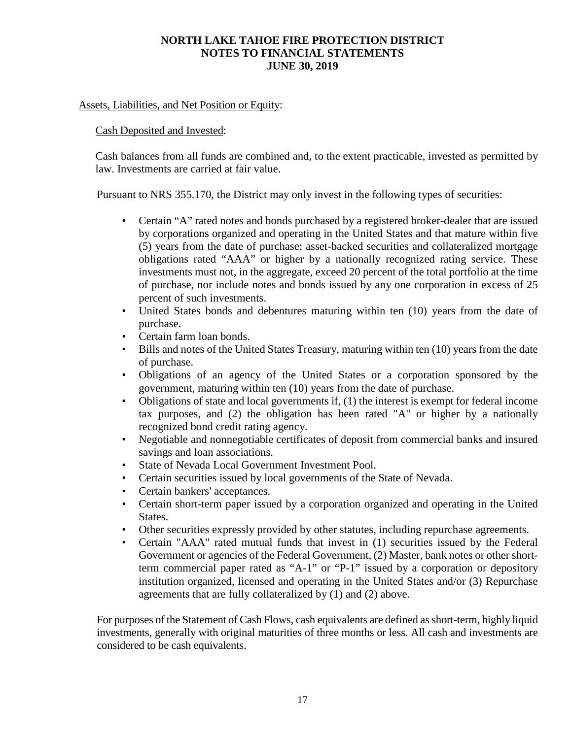### Assets, Liabilities, and Net Position or Equity:

### Cash Deposited and Invested:

Cash balances from all funds are combined and, to the extent practicable, invested as permitted by law. Investments are carried at fair value.

Pursuant to NRS 355.170, the District may only invest in the following types of securities:

- Certain "A" rated notes and bonds purchased by a registered broker-dealer that are issued by corporations organized and operating in the United States and that mature within five (5) years from the date of purchase; asset-backed securities and collateralized mortgage obligations rated "AAA" or higher by a nationally recognized rating service. These investments must not, in the aggregate, exceed 20 percent of the total portfolio at the time of purchase, nor include notes and bonds issued by any one corporation in excess of 25 percent of such investments.
- United States bonds and debentures maturing within ten (10) years from the date of purchase.
- Certain farm loan bonds.
- Bills and notes of the United States Treasury, maturing within ten (10) years from the date of purchase.
- Obligations of an agency of the United States or a corporation sponsored by the government, maturing within ten (10) years from the date of purchase.
- Obligations of state and local governments if, (1) the interest is exempt for federal income tax purposes, and (2) the obligation has been rated "A" or higher by a nationally recognized bond credit rating agency.
- Negotiable and nonnegotiable certificates of deposit from commercial banks and insured savings and loan associations.
- State of Nevada Local Government Investment Pool.
- Certain securities issued by local governments of the State of Nevada.
- Certain bankers' acceptances.
- Certain short-term paper issued by a corporation organized and operating in the United States.
- Other securities expressly provided by other statutes, including repurchase agreements.
- Certain "AAA" rated mutual funds that invest in (1) securities issued by the Federal Government or agencies of the Federal Government, (2) Master, bank notes or other shortterm commercial paper rated as "A-1" or "P-1" issued by a corporation or depository institution organized, licensed and operating in the United States and/or (3) Repurchase agreements that are fully collateralized by (1) and (2) above.

For purposes of the Statement of Cash Flows, cash equivalents are defined as short-term, highly liquid investments, generally with original maturities of three months or less. All cash and investments are considered to be cash equivalents.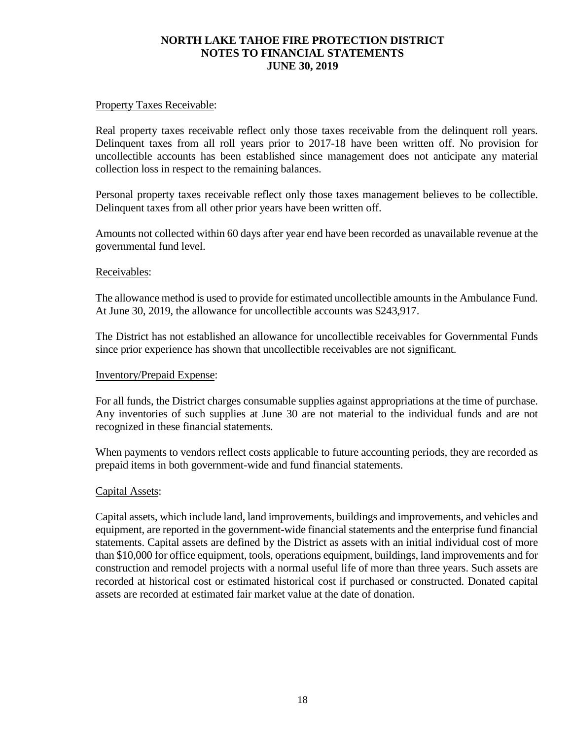### Property Taxes Receivable:

Real property taxes receivable reflect only those taxes receivable from the delinquent roll years. Delinquent taxes from all roll years prior to 2017-18 have been written off. No provision for uncollectible accounts has been established since management does not anticipate any material collection loss in respect to the remaining balances.

Personal property taxes receivable reflect only those taxes management believes to be collectible. Delinquent taxes from all other prior years have been written off.

Amounts not collected within 60 days after year end have been recorded as unavailable revenue at the governmental fund level.

### Receivables:

The allowance method is used to provide for estimated uncollectible amounts in the Ambulance Fund. At June 30, 2019, the allowance for uncollectible accounts was \$243,917.

The District has not established an allowance for uncollectible receivables for Governmental Funds since prior experience has shown that uncollectible receivables are not significant.

#### Inventory/Prepaid Expense:

For all funds, the District charges consumable supplies against appropriations at the time of purchase. Any inventories of such supplies at June 30 are not material to the individual funds and are not recognized in these financial statements.

When payments to vendors reflect costs applicable to future accounting periods, they are recorded as prepaid items in both government-wide and fund financial statements.

#### Capital Assets:

Capital assets, which include land, land improvements, buildings and improvements, and vehicles and equipment, are reported in the government-wide financial statements and the enterprise fund financial statements. Capital assets are defined by the District as assets with an initial individual cost of more than \$10,000 for office equipment, tools, operations equipment, buildings, land improvements and for construction and remodel projects with a normal useful life of more than three years. Such assets are recorded at historical cost or estimated historical cost if purchased or constructed. Donated capital assets are recorded at estimated fair market value at the date of donation.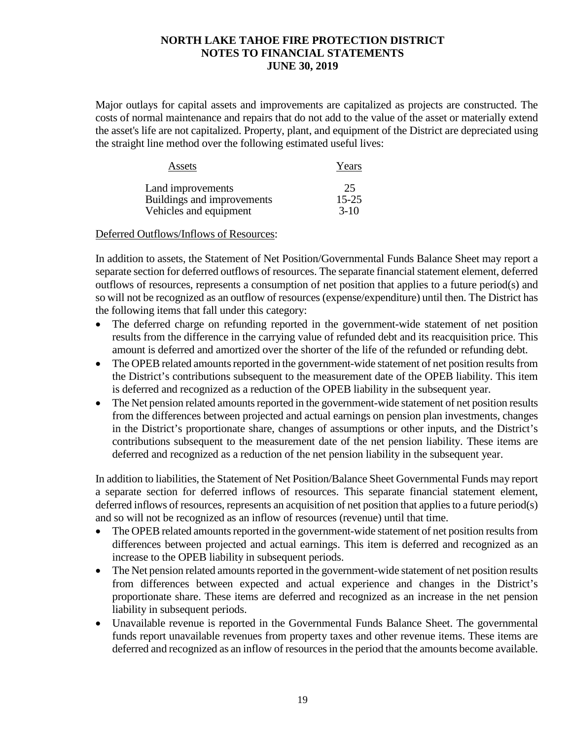Major outlays for capital assets and improvements are capitalized as projects are constructed. The costs of normal maintenance and repairs that do not add to the value of the asset or materially extend the asset's life are not capitalized. Property, plant, and equipment of the District are depreciated using the straight line method over the following estimated useful lives:

| Assets                     | Years     |
|----------------------------|-----------|
| Land improvements          | 25        |
| Buildings and improvements | $15 - 25$ |
| Vehicles and equipment     | $3-10$    |

### Deferred Outflows/Inflows of Resources:

In addition to assets, the Statement of Net Position/Governmental Funds Balance Sheet may report a separate section for deferred outflows of resources. The separate financial statement element, deferred outflows of resources, represents a consumption of net position that applies to a future period(s) and so will not be recognized as an outflow of resources (expense/expenditure) until then. The District has the following items that fall under this category:

- The deferred charge on refunding reported in the government-wide statement of net position results from the difference in the carrying value of refunded debt and its reacquisition price. This amount is deferred and amortized over the shorter of the life of the refunded or refunding debt.
- The OPEB related amounts reported in the government-wide statement of net position results from the District's contributions subsequent to the measurement date of the OPEB liability. This item is deferred and recognized as a reduction of the OPEB liability in the subsequent year.
- The Net pension related amounts reported in the government-wide statement of net position results from the differences between projected and actual earnings on pension plan investments, changes in the District's proportionate share, changes of assumptions or other inputs, and the District's contributions subsequent to the measurement date of the net pension liability. These items are deferred and recognized as a reduction of the net pension liability in the subsequent year.

In addition to liabilities, the Statement of Net Position/Balance Sheet Governmental Funds may report a separate section for deferred inflows of resources. This separate financial statement element, deferred inflows of resources, represents an acquisition of net position that applies to a future period(s) and so will not be recognized as an inflow of resources (revenue) until that time.

- The OPEB related amounts reported in the government-wide statement of net position results from differences between projected and actual earnings. This item is deferred and recognized as an increase to the OPEB liability in subsequent periods.
- The Net pension related amounts reported in the government-wide statement of net position results from differences between expected and actual experience and changes in the District's proportionate share. These items are deferred and recognized as an increase in the net pension liability in subsequent periods.
- Unavailable revenue is reported in the Governmental Funds Balance Sheet. The governmental funds report unavailable revenues from property taxes and other revenue items. These items are deferred and recognized as an inflow of resources in the period that the amounts become available.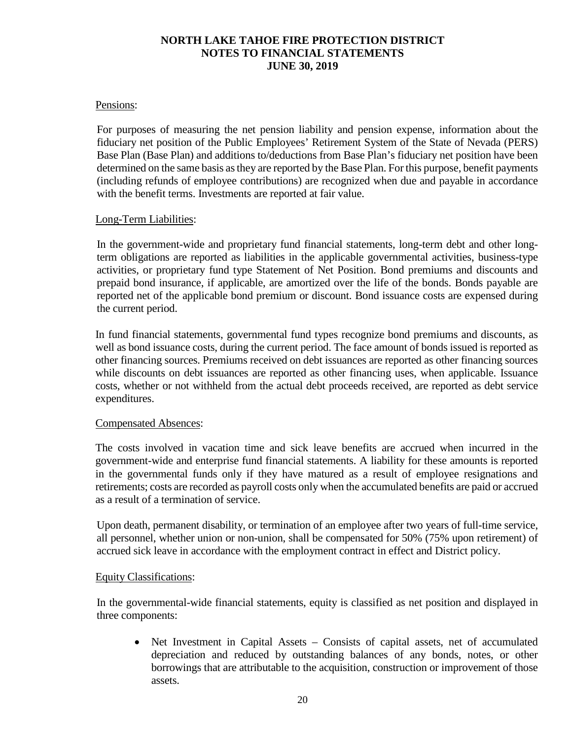### Pensions:

For purposes of measuring the net pension liability and pension expense, information about the fiduciary net position of the Public Employees' Retirement System of the State of Nevada (PERS) Base Plan (Base Plan) and additions to/deductions from Base Plan's fiduciary net position have been determined on the same basis as they are reported by the Base Plan. For this purpose, benefit payments (including refunds of employee contributions) are recognized when due and payable in accordance with the benefit terms. Investments are reported at fair value.

### Long-Term Liabilities:

In the government-wide and proprietary fund financial statements, long-term debt and other longterm obligations are reported as liabilities in the applicable governmental activities, business-type activities, or proprietary fund type Statement of Net Position. Bond premiums and discounts and prepaid bond insurance, if applicable, are amortized over the life of the bonds. Bonds payable are reported net of the applicable bond premium or discount. Bond issuance costs are expensed during the current period.

In fund financial statements, governmental fund types recognize bond premiums and discounts, as well as bond issuance costs, during the current period. The face amount of bonds issued is reported as other financing sources. Premiums received on debt issuances are reported as other financing sources while discounts on debt issuances are reported as other financing uses, when applicable. Issuance costs, whether or not withheld from the actual debt proceeds received, are reported as debt service expenditures.

#### Compensated Absences:

The costs involved in vacation time and sick leave benefits are accrued when incurred in the government-wide and enterprise fund financial statements. A liability for these amounts is reported in the governmental funds only if they have matured as a result of employee resignations and retirements; costs are recorded as payroll costs only when the accumulated benefits are paid or accrued as a result of a termination of service.

Upon death, permanent disability, or termination of an employee after two years of full-time service, all personnel, whether union or non-union, shall be compensated for 50% (75% upon retirement) of accrued sick leave in accordance with the employment contract in effect and District policy.

#### Equity Classifications:

In the governmental-wide financial statements, equity is classified as net position and displayed in three components:

• Net Investment in Capital Assets – Consists of capital assets, net of accumulated depreciation and reduced by outstanding balances of any bonds, notes, or other borrowings that are attributable to the acquisition, construction or improvement of those assets.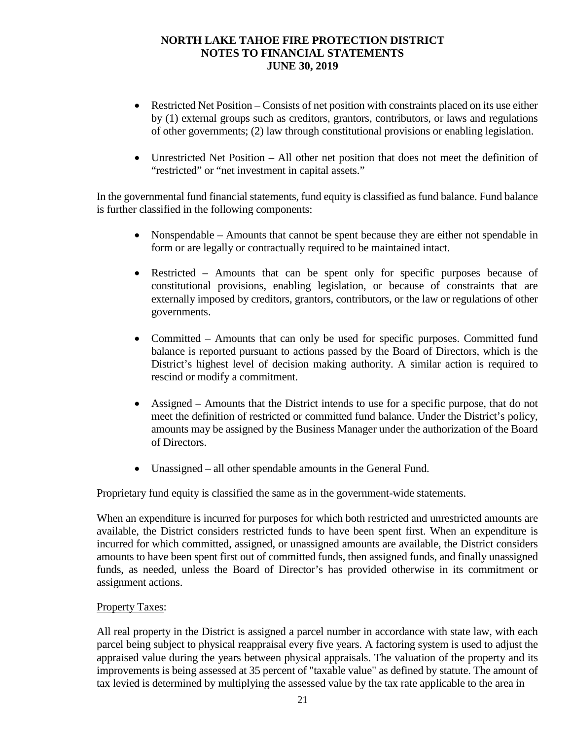- Restricted Net Position Consists of net position with constraints placed on its use either by (1) external groups such as creditors, grantors, contributors, or laws and regulations of other governments; (2) law through constitutional provisions or enabling legislation.
- Unrestricted Net Position All other net position that does not meet the definition of "restricted" or "net investment in capital assets."

In the governmental fund financial statements, fund equity is classified as fund balance. Fund balance is further classified in the following components:

- Nonspendable Amounts that cannot be spent because they are either not spendable in form or are legally or contractually required to be maintained intact.
- Restricted Amounts that can be spent only for specific purposes because of constitutional provisions, enabling legislation, or because of constraints that are externally imposed by creditors, grantors, contributors, or the law or regulations of other governments.
- Committed Amounts that can only be used for specific purposes. Committed fund balance is reported pursuant to actions passed by the Board of Directors, which is the District's highest level of decision making authority. A similar action is required to rescind or modify a commitment.
- Assigned Amounts that the District intends to use for a specific purpose, that do not meet the definition of restricted or committed fund balance. Under the District's policy, amounts may be assigned by the Business Manager under the authorization of the Board of Directors.
- Unassigned all other spendable amounts in the General Fund.

Proprietary fund equity is classified the same as in the government-wide statements.

When an expenditure is incurred for purposes for which both restricted and unrestricted amounts are available, the District considers restricted funds to have been spent first. When an expenditure is incurred for which committed, assigned, or unassigned amounts are available, the District considers amounts to have been spent first out of committed funds, then assigned funds, and finally unassigned funds, as needed, unless the Board of Director's has provided otherwise in its commitment or assignment actions.

### Property Taxes:

All real property in the District is assigned a parcel number in accordance with state law, with each parcel being subject to physical reappraisal every five years. A factoring system is used to adjust the appraised value during the years between physical appraisals. The valuation of the property and its improvements is being assessed at 35 percent of "taxable value" as defined by statute. The amount of tax levied is determined by multiplying the assessed value by the tax rate applicable to the area in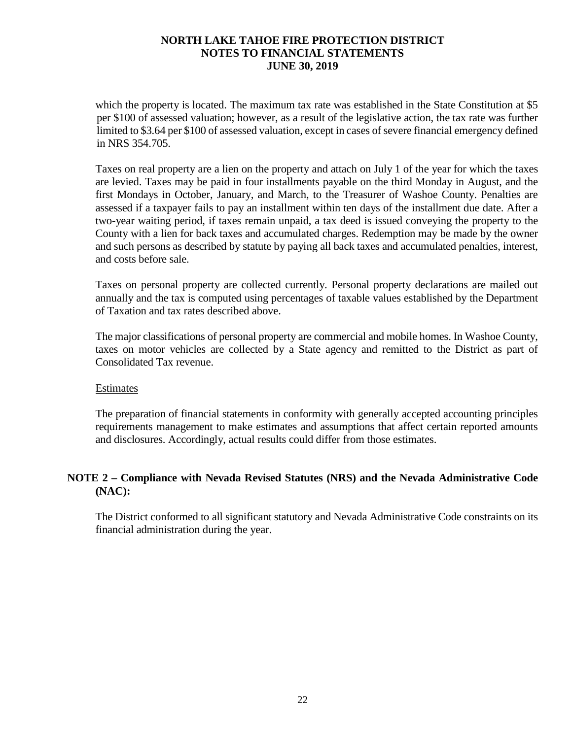which the property is located. The maximum tax rate was established in the State Constitution at \$5 per \$100 of assessed valuation; however, as a result of the legislative action, the tax rate was further limited to \$3.64 per \$100 of assessed valuation, except in cases of severe financial emergency defined in NRS 354.705.

Taxes on real property are a lien on the property and attach on July 1 of the year for which the taxes are levied. Taxes may be paid in four installments payable on the third Monday in August, and the first Mondays in October, January, and March, to the Treasurer of Washoe County. Penalties are assessed if a taxpayer fails to pay an installment within ten days of the installment due date. After a two-year waiting period, if taxes remain unpaid, a tax deed is issued conveying the property to the County with a lien for back taxes and accumulated charges. Redemption may be made by the owner and such persons as described by statute by paying all back taxes and accumulated penalties, interest, and costs before sale.

Taxes on personal property are collected currently. Personal property declarations are mailed out annually and the tax is computed using percentages of taxable values established by the Department of Taxation and tax rates described above.

The major classifications of personal property are commercial and mobile homes. In Washoe County, taxes on motor vehicles are collected by a State agency and remitted to the District as part of Consolidated Tax revenue.

#### Estimates

The preparation of financial statements in conformity with generally accepted accounting principles requirements management to make estimates and assumptions that affect certain reported amounts and disclosures. Accordingly, actual results could differ from those estimates.

### **NOTE 2 – Compliance with Nevada Revised Statutes (NRS) and the Nevada Administrative Code (NAC):**

The District conformed to all significant statutory and Nevada Administrative Code constraints on its financial administration during the year.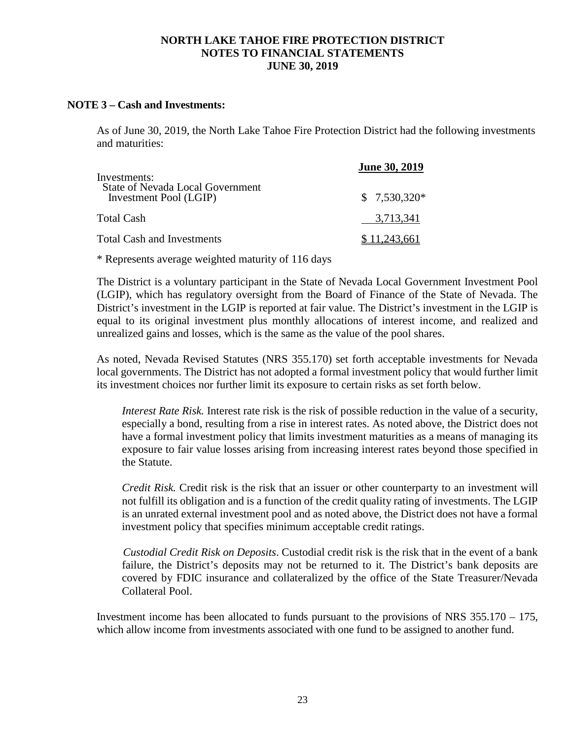### **NOTE 3 – Cash and Investments:**

As of June 30, 2019, the North Lake Tahoe Fire Protection District had the following investments and maturities:

| Investments:                                                      | <b>June 30, 2019</b> |
|-------------------------------------------------------------------|----------------------|
| <b>State of Nevada Local Government</b><br>Investment Pool (LGIP) | $$7,530,320*$        |
| Total Cash                                                        | 3,713,341            |
| Total Cash and Investments                                        | \$11,243,661         |

\* Represents average weighted maturity of 116 days

The District is a voluntary participant in the State of Nevada Local Government Investment Pool (LGIP), which has regulatory oversight from the Board of Finance of the State of Nevada. The District's investment in the LGIP is reported at fair value. The District's investment in the LGIP is equal to its original investment plus monthly allocations of interest income, and realized and unrealized gains and losses, which is the same as the value of the pool shares.

As noted, Nevada Revised Statutes (NRS 355.170) set forth acceptable investments for Nevada local governments. The District has not adopted a formal investment policy that would further limit its investment choices nor further limit its exposure to certain risks as set forth below.

*Interest Rate Risk.* Interest rate risk is the risk of possible reduction in the value of a security, especially a bond, resulting from a rise in interest rates. As noted above, the District does not have a formal investment policy that limits investment maturities as a means of managing its exposure to fair value losses arising from increasing interest rates beyond those specified in the Statute.

*Credit Risk.* Credit risk is the risk that an issuer or other counterparty to an investment will not fulfill its obligation and is a function of the credit quality rating of investments. The LGIP is an unrated external investment pool and as noted above, the District does not have a formal investment policy that specifies minimum acceptable credit ratings.

*Custodial Credit Risk on Deposits*. Custodial credit risk is the risk that in the event of a bank failure, the District's deposits may not be returned to it. The District's bank deposits are covered by FDIC insurance and collateralized by the office of the State Treasurer/Nevada Collateral Pool.

Investment income has been allocated to funds pursuant to the provisions of NRS 355.170 – 175, which allow income from investments associated with one fund to be assigned to another fund.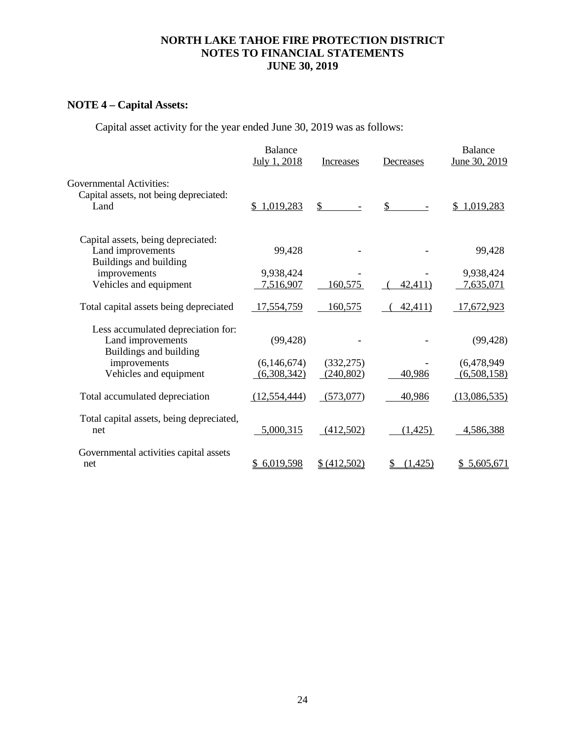## **NOTE 4 – Capital Assets:**

Capital asset activity for the year ended June 30, 2019 was as follows:

|                                                                                   | <b>Balance</b><br>July 1, 2018 | Increases    | Decreases | <b>Balance</b><br>June 30, 2019 |
|-----------------------------------------------------------------------------------|--------------------------------|--------------|-----------|---------------------------------|
| <b>Governmental Activities:</b><br>Capital assets, not being depreciated:<br>Land | \$1,019,283                    | \$           | \$        | 1,019,283                       |
| Capital assets, being depreciated:<br>Land improvements<br>Buildings and building | 99,428                         |              |           | 99,428                          |
| improvements                                                                      | 9,938,424                      |              |           | 9,938,424                       |
| Vehicles and equipment                                                            | 7,516,907                      | 160,575      | 42,411)   | 7,635,071                       |
| Total capital assets being depreciated                                            | <u>17,554,759</u>              | 160,575      | 42,411)   | <u>17,672,923</u>               |
| Less accumulated depreciation for:<br>Land improvements<br>Buildings and building | (99, 428)                      |              |           | (99, 428)                       |
| improvements                                                                      | (6,146,674)                    | (332, 275)   |           | (6,478,949)                     |
| Vehicles and equipment                                                            | (6,308,342)                    | (240, 802)   | 40,986    | (6,508,158)                     |
| Total accumulated depreciation                                                    | (12, 554, 444)                 | (573,077)    | 40,986    | (13,086,535)                    |
| Total capital assets, being depreciated,<br>net                                   | 5,000,315                      | (412,502)    | (1, 425)  | 4,586,388                       |
| Governmental activities capital assets<br>net                                     | 6,019,598                      | \$ (412,502) | (1,425)   | \$5,605,671                     |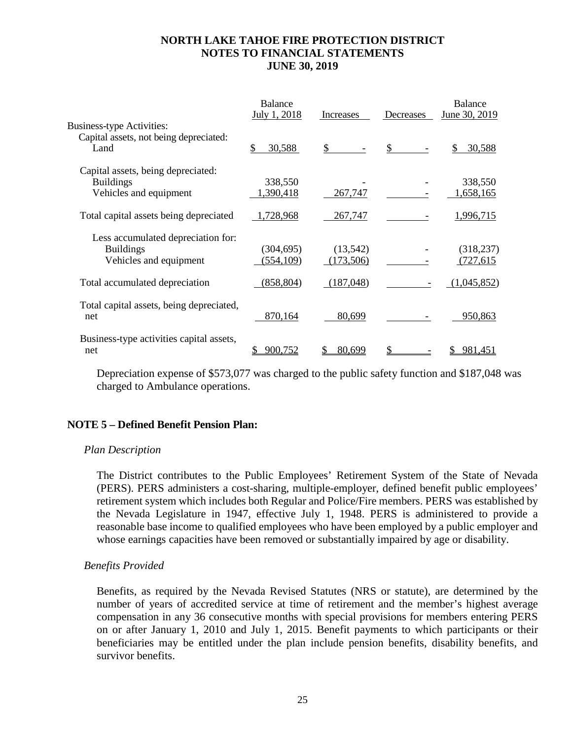|                                                                                    | <b>Balance</b><br>July 1, 2018 | Increases             | Decreases | <b>Balance</b><br>June 30, 2019 |
|------------------------------------------------------------------------------------|--------------------------------|-----------------------|-----------|---------------------------------|
| <b>Business-type Activities:</b><br>Capital assets, not being depreciated:<br>Land | \$<br>30,588                   | $\mathbb{S}$          | \$        | 30,588                          |
| Capital assets, being depreciated:<br><b>Buildings</b><br>Vehicles and equipment   | 338,550<br>1,390,418           | 267,747               |           | 338,550<br>1,658,165            |
| Total capital assets being depreciated                                             | 1,728,968                      | 267,747               |           | 1,996,715                       |
| Less accumulated depreciation for:<br><b>Buildings</b><br>Vehicles and equipment   | (304, 695)<br>(554, 109)       | (13,542)<br>(173,506) |           | (318, 237)<br>(727, 615)        |
| Total accumulated depreciation                                                     | (858, 804)                     | (187,048)             |           | (1,045,852)                     |
| Total capital assets, being depreciated,<br>net                                    | 870,164                        | 80,699                |           | 950,863                         |
| Business-type activities capital assets,<br>net                                    | 900,752                        | 80,699                |           | 981.451                         |

Depreciation expense of \$573,077 was charged to the public safety function and \$187,048 was charged to Ambulance operations.

### **NOTE 5 – Defined Benefit Pension Plan:**

#### *Plan Description*

The District contributes to the Public Employees' Retirement System of the State of Nevada (PERS). PERS administers a cost-sharing, multiple-employer, defined benefit public employees' retirement system which includes both Regular and Police/Fire members. PERS was established by the Nevada Legislature in 1947, effective July 1, 1948. PERS is administered to provide a reasonable base income to qualified employees who have been employed by a public employer and whose earnings capacities have been removed or substantially impaired by age or disability.

#### *Benefits Provided*

Benefits, as required by the Nevada Revised Statutes (NRS or statute), are determined by the number of years of accredited service at time of retirement and the member's highest average compensation in any 36 consecutive months with special provisions for members entering PERS on or after January 1, 2010 and July 1, 2015. Benefit payments to which participants or their beneficiaries may be entitled under the plan include pension benefits, disability benefits, and survivor benefits.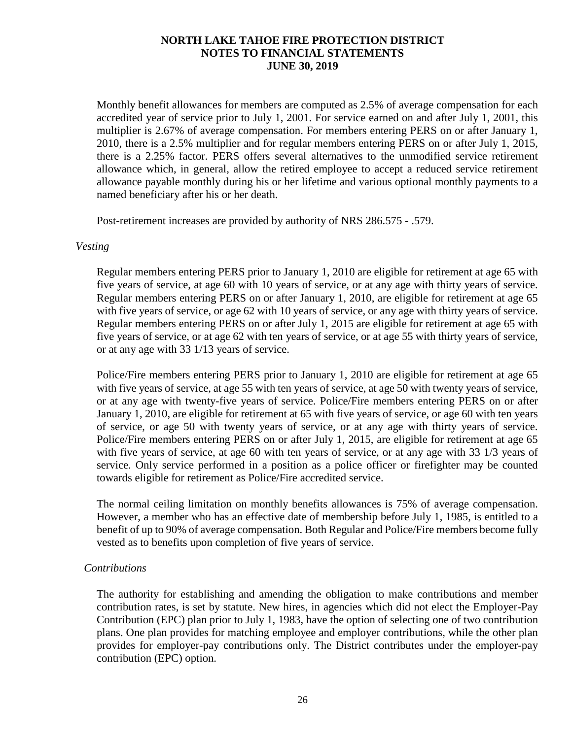Monthly benefit allowances for members are computed as 2.5% of average compensation for each accredited year of service prior to July 1, 2001. For service earned on and after July 1, 2001, this multiplier is 2.67% of average compensation. For members entering PERS on or after January 1, 2010, there is a 2.5% multiplier and for regular members entering PERS on or after July 1, 2015, there is a 2.25% factor. PERS offers several alternatives to the unmodified service retirement allowance which, in general, allow the retired employee to accept a reduced service retirement allowance payable monthly during his or her lifetime and various optional monthly payments to a named beneficiary after his or her death.

Post-retirement increases are provided by authority of NRS 286.575 - .579.

### *Vesting*

Regular members entering PERS prior to January 1, 2010 are eligible for retirement at age 65 with five years of service, at age 60 with 10 years of service, or at any age with thirty years of service. Regular members entering PERS on or after January 1, 2010, are eligible for retirement at age 65 with five years of service, or age 62 with 10 years of service, or any age with thirty years of service. Regular members entering PERS on or after July 1, 2015 are eligible for retirement at age 65 with five years of service, or at age 62 with ten years of service, or at age 55 with thirty years of service, or at any age with 33 1/13 years of service.

Police/Fire members entering PERS prior to January 1, 2010 are eligible for retirement at age 65 with five years of service, at age 55 with ten years of service, at age 50 with twenty years of service, or at any age with twenty-five years of service. Police/Fire members entering PERS on or after January 1, 2010, are eligible for retirement at 65 with five years of service, or age 60 with ten years of service, or age 50 with twenty years of service, or at any age with thirty years of service. Police/Fire members entering PERS on or after July 1, 2015, are eligible for retirement at age 65 with five years of service, at age 60 with ten years of service, or at any age with 33 1/3 years of service. Only service performed in a position as a police officer or firefighter may be counted towards eligible for retirement as Police/Fire accredited service.

The normal ceiling limitation on monthly benefits allowances is 75% of average compensation. However, a member who has an effective date of membership before July 1, 1985, is entitled to a benefit of up to 90% of average compensation. Both Regular and Police/Fire members become fully vested as to benefits upon completion of five years of service.

### *Contributions*

The authority for establishing and amending the obligation to make contributions and member contribution rates, is set by statute. New hires, in agencies which did not elect the Employer-Pay Contribution (EPC) plan prior to July 1, 1983, have the option of selecting one of two contribution plans. One plan provides for matching employee and employer contributions, while the other plan provides for employer-pay contributions only. The District contributes under the employer-pay contribution (EPC) option.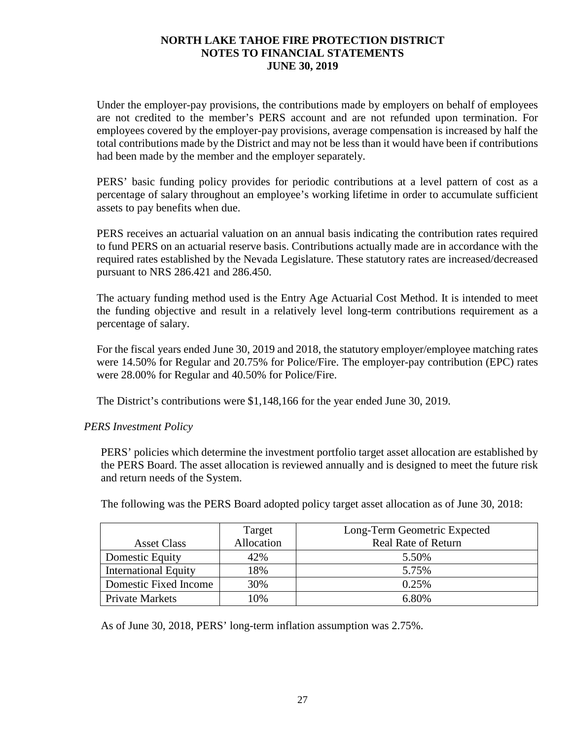Under the employer-pay provisions, the contributions made by employers on behalf of employees are not credited to the member's PERS account and are not refunded upon termination. For employees covered by the employer-pay provisions, average compensation is increased by half the total contributions made by the District and may not be less than it would have been if contributions had been made by the member and the employer separately.

PERS' basic funding policy provides for periodic contributions at a level pattern of cost as a percentage of salary throughout an employee's working lifetime in order to accumulate sufficient assets to pay benefits when due.

PERS receives an actuarial valuation on an annual basis indicating the contribution rates required to fund PERS on an actuarial reserve basis. Contributions actually made are in accordance with the required rates established by the Nevada Legislature. These statutory rates are increased/decreased pursuant to NRS 286.421 and 286.450.

The actuary funding method used is the Entry Age Actuarial Cost Method. It is intended to meet the funding objective and result in a relatively level long-term contributions requirement as a percentage of salary.

For the fiscal years ended June 30, 2019 and 2018, the statutory employer/employee matching rates were 14.50% for Regular and 20.75% for Police/Fire. The employer-pay contribution (EPC) rates were 28.00% for Regular and 40.50% for Police/Fire.

The District's contributions were \$1,148,166 for the year ended June 30, 2019.

### *PERS Investment Policy*

PERS' policies which determine the investment portfolio target asset allocation are established by the PERS Board. The asset allocation is reviewed annually and is designed to meet the future risk and return needs of the System.

|                             | Target     | Long-Term Geometric Expected |
|-----------------------------|------------|------------------------------|
| <b>Asset Class</b>          | Allocation | <b>Real Rate of Return</b>   |
| Domestic Equity             | 42%        | 5.50%                        |
| <b>International Equity</b> | 18%        | 5.75%                        |
| Domestic Fixed Income       | 30%        | 0.25%                        |
| <b>Private Markets</b>      | 10%        | 6.80%                        |

The following was the PERS Board adopted policy target asset allocation as of June 30, 2018:

As of June 30, 2018, PERS' long-term inflation assumption was 2.75%.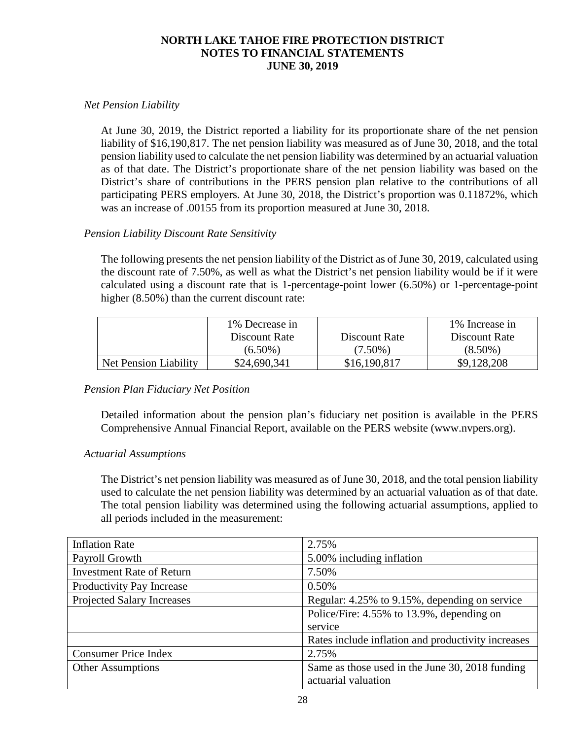### *Net Pension Liability*

At June 30, 2019, the District reported a liability for its proportionate share of the net pension liability of \$16,190,817. The net pension liability was measured as of June 30, 2018, and the total pension liability used to calculate the net pension liability was determined by an actuarial valuation as of that date. The District's proportionate share of the net pension liability was based on the District's share of contributions in the PERS pension plan relative to the contributions of all participating PERS employers. At June 30, 2018, the District's proportion was 0.11872%, which was an increase of .00155 from its proportion measured at June 30, 2018.

### *Pension Liability Discount Rate Sensitivity*

The following presents the net pension liability of the District as of June 30, 2019, calculated using the discount rate of 7.50%, as well as what the District's net pension liability would be if it were calculated using a discount rate that is 1-percentage-point lower (6.50%) or 1-percentage-point higher (8.50%) than the current discount rate:

|                       | 1% Decrease in |               | 1% Increase in |
|-----------------------|----------------|---------------|----------------|
|                       | Discount Rate  | Discount Rate | Discount Rate  |
|                       | $(6.50\%)$     | $(7.50\%)$    | $(8.50\%)$     |
| Net Pension Liability | \$24,690,341   | \$16,190,817  | \$9,128,208    |

### *Pension Plan Fiduciary Net Position*

Detailed information about the pension plan's fiduciary net position is available in the PERS Comprehensive Annual Financial Report, available on the PERS website (www.nvpers.org).

### *Actuarial Assumptions*

The District's net pension liability was measured as of June 30, 2018, and the total pension liability used to calculate the net pension liability was determined by an actuarial valuation as of that date. The total pension liability was determined using the following actuarial assumptions, applied to all periods included in the measurement:

| <b>Inflation Rate</b>             | 2.75%                                              |
|-----------------------------------|----------------------------------------------------|
| Payroll Growth                    | 5.00% including inflation                          |
| <b>Investment Rate of Return</b>  | 7.50%                                              |
| Productivity Pay Increase         | 0.50%                                              |
| <b>Projected Salary Increases</b> | Regular: 4.25% to 9.15%, depending on service      |
|                                   | Police/Fire: 4.55% to 13.9%, depending on          |
|                                   | service                                            |
|                                   | Rates include inflation and productivity increases |
| <b>Consumer Price Index</b>       | 2.75%                                              |
| <b>Other Assumptions</b>          | Same as those used in the June 30, 2018 funding    |
|                                   | actuarial valuation                                |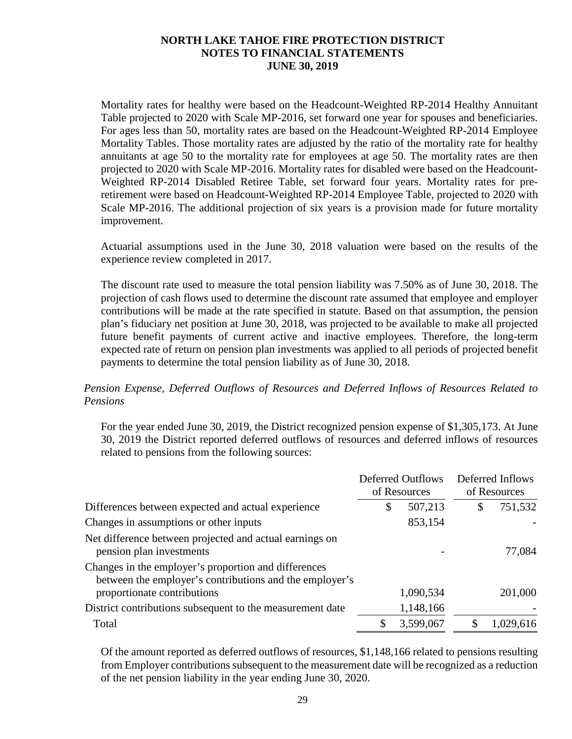Mortality rates for healthy were based on the Headcount-Weighted RP-2014 Healthy Annuitant Table projected to 2020 with Scale MP-2016, set forward one year for spouses and beneficiaries. For ages less than 50, mortality rates are based on the Headcount-Weighted RP-2014 Employee Mortality Tables. Those mortality rates are adjusted by the ratio of the mortality rate for healthy annuitants at age 50 to the mortality rate for employees at age 50. The mortality rates are then projected to 2020 with Scale MP-2016. Mortality rates for disabled were based on the Headcount-Weighted RP-2014 Disabled Retiree Table, set forward four years. Mortality rates for preretirement were based on Headcount-Weighted RP-2014 Employee Table, projected to 2020 with Scale MP-2016. The additional projection of six years is a provision made for future mortality improvement.

Actuarial assumptions used in the June 30, 2018 valuation were based on the results of the experience review completed in 2017.

The discount rate used to measure the total pension liability was 7.50% as of June 30, 2018. The projection of cash flows used to determine the discount rate assumed that employee and employer contributions will be made at the rate specified in statute. Based on that assumption, the pension plan's fiduciary net position at June 30, 2018, was projected to be available to make all projected future benefit payments of current active and inactive employees. Therefore, the long-term expected rate of return on pension plan investments was applied to all periods of projected benefit payments to determine the total pension liability as of June 30, 2018.

### *Pension Expense, Deferred Outflows of Resources and Deferred Inflows of Resources Related to Pensions*

For the year ended June 30, 2019, the District recognized pension expense of \$1,305,173. At June 30, 2019 the District reported deferred outflows of resources and deferred inflows of resources related to pensions from the following sources:

|                                                                                                                 | <b>Deferred Outflows</b><br>of Resources |    | Deferred Inflows<br>of Resources |
|-----------------------------------------------------------------------------------------------------------------|------------------------------------------|----|----------------------------------|
| Differences between expected and actual experience                                                              | \$<br>507,213                            | \$ | 751,532                          |
| Changes in assumptions or other inputs                                                                          | 853,154                                  |    |                                  |
| Net difference between projected and actual earnings on<br>pension plan investments                             |                                          |    | 77,084                           |
| Changes in the employer's proportion and differences<br>between the employer's contributions and the employer's |                                          |    |                                  |
| proportionate contributions                                                                                     | 1,090,534                                |    | 201,000                          |
| District contributions subsequent to the measurement date                                                       | 1,148,166                                |    |                                  |
| Total                                                                                                           | 3,599,067                                | S  | 1,029,616                        |

Of the amount reported as deferred outflows of resources, \$1,148,166 related to pensions resulting from Employer contributions subsequent to the measurement date will be recognized as a reduction of the net pension liability in the year ending June 30, 2020.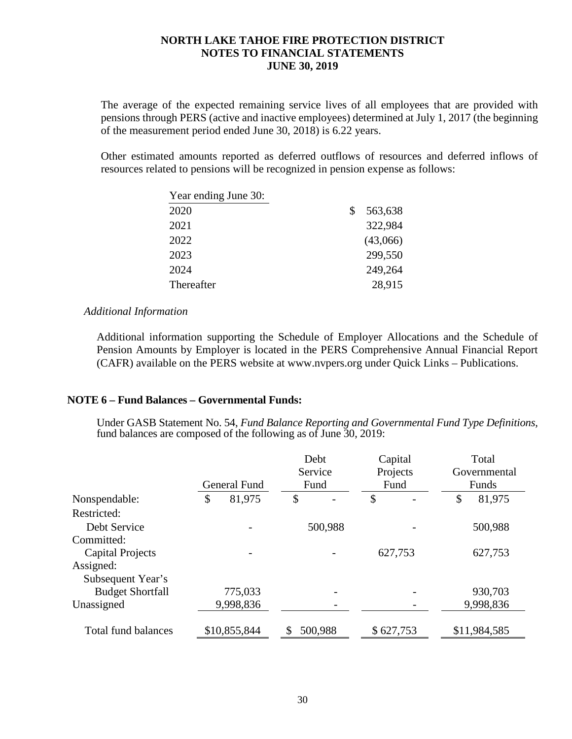The average of the expected remaining service lives of all employees that are provided with pensions through PERS (active and inactive employees) determined at July 1, 2017 (the beginning of the measurement period ended June 30, 2018) is 6.22 years.

Other estimated amounts reported as deferred outflows of resources and deferred inflows of resources related to pensions will be recognized in pension expense as follows:

| Year ending June 30: |               |
|----------------------|---------------|
| 2020                 | \$<br>563,638 |
| 2021                 | 322,984       |
| 2022                 | (43,066)      |
| 2023                 | 299,550       |
| 2024                 | 249,264       |
| Thereafter           | 28,915        |

#### *Additional Information*

Additional information supporting the Schedule of Employer Allocations and the Schedule of Pension Amounts by Employer is located in the PERS Comprehensive Annual Financial Report (CAFR) available on the PERS website at www.nvpers.org under Quick Links – Publications.

### **NOTE 6 – Fund Balances – Governmental Funds:**

Under GASB Statement No. 54, *Fund Balance Reporting and Governmental Fund Type Definitions,* fund balances are composed of the following as of June 30, 2019:

|                            |              | Debt    | Capital   | Total        |
|----------------------------|--------------|---------|-----------|--------------|
|                            |              | Service | Projects  | Governmental |
|                            | General Fund | Fund    | Fund      | Funds        |
| Nonspendable:              | \$<br>81,975 | \$      | \$        | \$<br>81,975 |
| Restricted:                |              |         |           |              |
| Debt Service               |              | 500,988 |           | 500,988      |
| Committed:                 |              |         |           |              |
| <b>Capital Projects</b>    |              |         | 627,753   | 627,753      |
| Assigned:                  |              |         |           |              |
| Subsequent Year's          |              |         |           |              |
| <b>Budget Shortfall</b>    | 775,033      |         |           | 930,703      |
| Unassigned                 | 9,998,836    |         |           | 9,998,836    |
| <b>Total fund balances</b> | \$10,855,844 | 500,988 | \$627,753 | \$11,984,585 |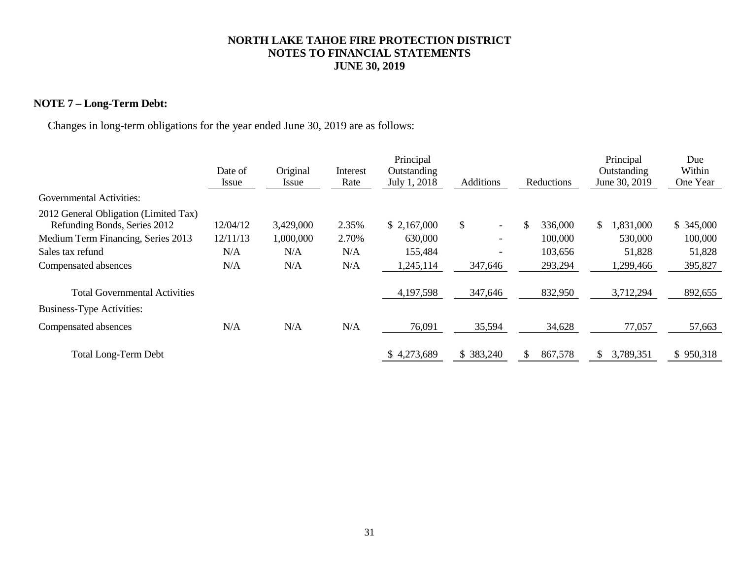## **NOTE 7 – Long-Term Debt:**

Changes in long-term obligations for the year ended June 30, 2019 are as follows:

|                                                                       |              |           |          | Principal    |                                |                | Principal        | Due       |
|-----------------------------------------------------------------------|--------------|-----------|----------|--------------|--------------------------------|----------------|------------------|-----------|
|                                                                       | Date of      | Original  | Interest | Outstanding  |                                |                | Outstanding      | Within    |
|                                                                       | <i>Issue</i> | Issue     | Rate     | July 1, 2018 | <b>Additions</b>               | Reductions     | June 30, 2019    | One Year  |
| Governmental Activities:                                              |              |           |          |              |                                |                |                  |           |
| 2012 General Obligation (Limited Tax)<br>Refunding Bonds, Series 2012 | 12/04/12     | 3,429,000 | 2.35%    | \$2,167,000  | \$<br>$\overline{\phantom{0}}$ | \$<br>336,000  | 1,831,000<br>\$. | \$345,000 |
| Medium Term Financing, Series 2013                                    | 12/11/13     | 1,000,000 | 2.70%    | 630,000      | $\overline{\phantom{0}}$       | 100,000        | 530,000          | 100,000   |
| Sales tax refund                                                      | N/A          | N/A       | N/A      | 155,484      | -                              | 103,656        | 51,828           | 51,828    |
| Compensated absences                                                  | N/A          | N/A       | N/A      | 1,245,114    | 347,646                        | 293,294        | 1,299,466        | 395,827   |
| <b>Total Governmental Activities</b>                                  |              |           |          | 4,197,598    | 347,646                        | 832,950        | 3,712,294        | 892,655   |
| <b>Business-Type Activities:</b>                                      |              |           |          |              |                                |                |                  |           |
| Compensated absences                                                  | N/A          | N/A       | N/A      | 76,091       | 35,594                         | 34,628         | 77,057           | 57,663    |
| <b>Total Long-Term Debt</b>                                           |              |           |          | \$4,273,689  | \$383,240                      | 867,578<br>\$. | 3,789,351<br>S.  | \$950,318 |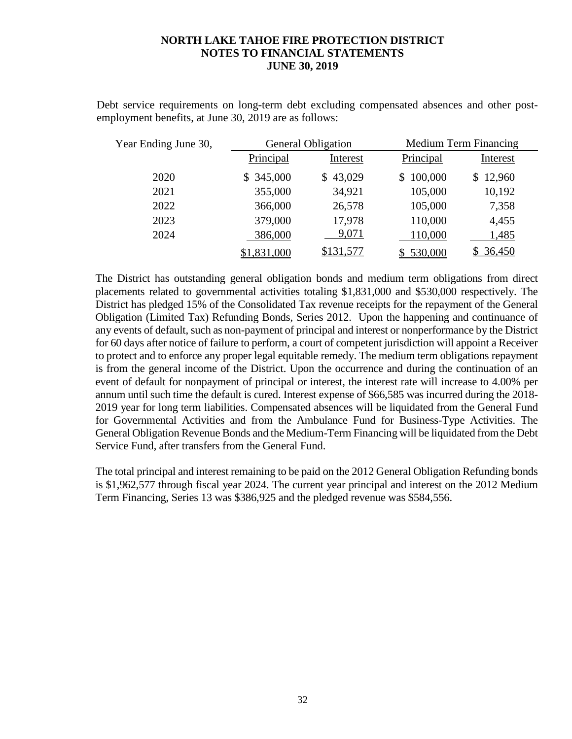Debt service requirements on long-term debt excluding compensated absences and other postemployment benefits, at June 30, 2019 are as follows:

| Year Ending June 30, | <b>General Obligation</b> |           |                | <b>Medium Term Financing</b> |  |
|----------------------|---------------------------|-----------|----------------|------------------------------|--|
|                      | Principal                 | Interest  | Principal      | Interest                     |  |
| 2020                 | \$345,000                 | \$43,029  | 100,000<br>\$. | \$12,960                     |  |
| 2021                 | 355,000                   | 34,921    | 105,000        | 10,192                       |  |
| 2022                 | 366,000                   | 26,578    | 105,000        | 7,358                        |  |
| 2023                 | 379,000                   | 17,978    | 110,000        | 4,455                        |  |
| 2024                 | 386,000                   | 9,071     | 110,000        | 1,485                        |  |
|                      | \$1,831,000               | \$131,577 | \$530,000      | \$36,450                     |  |

The District has outstanding general obligation bonds and medium term obligations from direct placements related to governmental activities totaling \$1,831,000 and \$530,000 respectively. The District has pledged 15% of the Consolidated Tax revenue receipts for the repayment of the General Obligation (Limited Tax) Refunding Bonds, Series 2012. Upon the happening and continuance of any events of default, such as non-payment of principal and interest or nonperformance by the District for 60 days after notice of failure to perform, a court of competent jurisdiction will appoint a Receiver to protect and to enforce any proper legal equitable remedy. The medium term obligations repayment is from the general income of the District. Upon the occurrence and during the continuation of an event of default for nonpayment of principal or interest, the interest rate will increase to 4.00% per annum until such time the default is cured. Interest expense of \$66,585 was incurred during the 2018- 2019 year for long term liabilities. Compensated absences will be liquidated from the General Fund for Governmental Activities and from the Ambulance Fund for Business-Type Activities. The General Obligation Revenue Bonds and the Medium-Term Financing will be liquidated from the Debt Service Fund, after transfers from the General Fund.

The total principal and interest remaining to be paid on the 2012 General Obligation Refunding bonds is \$1,962,577 through fiscal year 2024. The current year principal and interest on the 2012 Medium Term Financing, Series 13 was \$386,925 and the pledged revenue was \$584,556.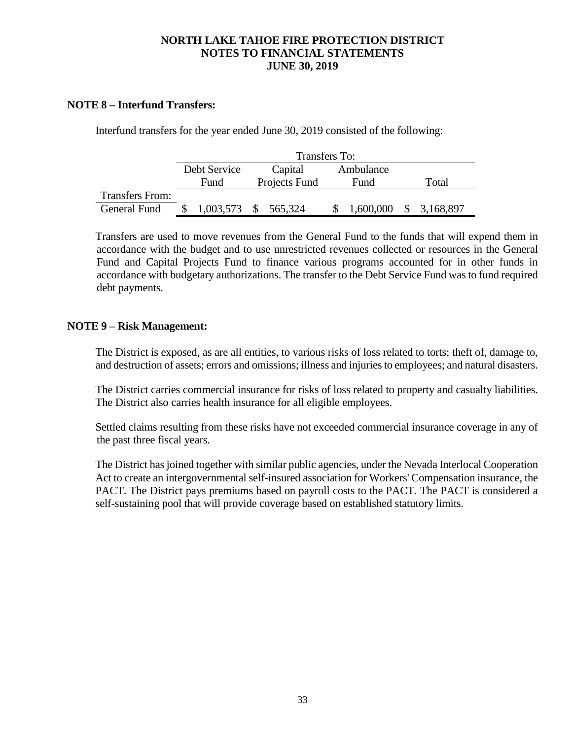### **NOTE 8 – Interfund Transfers:**

Interfund transfers for the year ended June 30, 2019 consisted of the following:

|                        | Transfers To: |                      |           |              |  |  |  |  |
|------------------------|---------------|----------------------|-----------|--------------|--|--|--|--|
|                        | Debt Service  | Capital              | Ambulance |              |  |  |  |  |
|                        | Fund          | Projects Fund        | Fund      | Total        |  |  |  |  |
| <b>Transfers From:</b> |               |                      |           |              |  |  |  |  |
| General Fund           |               | 1,003,573 \$ 565,324 | 1,600,000 | \$ 3,168,897 |  |  |  |  |

Transfers are used to move revenues from the General Fund to the funds that will expend them in accordance with the budget and to use unrestricted revenues collected or resources in the General Fund and Capital Projects Fund to finance various programs accounted for in other funds in accordance with budgetary authorizations. The transfer to the Debt Service Fund was to fund required debt payments.

### **NOTE 9 – Risk Management:**

The District is exposed, as are all entities, to various risks of loss related to torts; theft of, damage to, and destruction of assets; errors and omissions; illness and injuries to employees; and natural disasters.

The District carries commercial insurance for risks of loss related to property and casualty liabilities. The District also carries health insurance for all eligible employees.

Settled claims resulting from these risks have not exceeded commercial insurance coverage in any of the past three fiscal years.

The District has joined together with similar public agencies, under the Nevada Interlocal Cooperation Act to create an intergovernmental self-insured association for Workers' Compensation insurance, the PACT. The District pays premiums based on payroll costs to the PACT. The PACT is considered a self-sustaining pool that will provide coverage based on established statutory limits.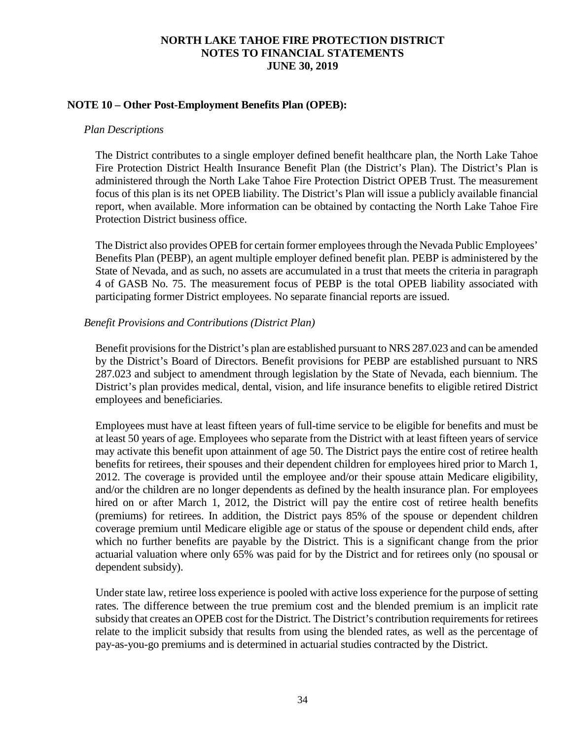### **NOTE 10 – Other Post-Employment Benefits Plan (OPEB):**

### *Plan Descriptions*

The District contributes to a single employer defined benefit healthcare plan, the North Lake Tahoe Fire Protection District Health Insurance Benefit Plan (the District's Plan). The District's Plan is administered through the North Lake Tahoe Fire Protection District OPEB Trust. The measurement focus of this plan is its net OPEB liability. The District's Plan will issue a publicly available financial report, when available. More information can be obtained by contacting the North Lake Tahoe Fire Protection District business office.

The District also provides OPEB for certain former employees through the Nevada Public Employees' Benefits Plan (PEBP), an agent multiple employer defined benefit plan. PEBP is administered by the State of Nevada, and as such, no assets are accumulated in a trust that meets the criteria in paragraph 4 of GASB No. 75. The measurement focus of PEBP is the total OPEB liability associated with participating former District employees. No separate financial reports are issued.

### *Benefit Provisions and Contributions (District Plan)*

Benefit provisions for the District's plan are established pursuant to NRS 287.023 and can be amended by the District's Board of Directors. Benefit provisions for PEBP are established pursuant to NRS 287.023 and subject to amendment through legislation by the State of Nevada, each biennium. The District's plan provides medical, dental, vision, and life insurance benefits to eligible retired District employees and beneficiaries.

Employees must have at least fifteen years of full-time service to be eligible for benefits and must be at least 50 years of age. Employees who separate from the District with at least fifteen years of service may activate this benefit upon attainment of age 50. The District pays the entire cost of retiree health benefits for retirees, their spouses and their dependent children for employees hired prior to March 1, 2012. The coverage is provided until the employee and/or their spouse attain Medicare eligibility, and/or the children are no longer dependents as defined by the health insurance plan. For employees hired on or after March 1, 2012, the District will pay the entire cost of retiree health benefits (premiums) for retirees. In addition, the District pays 85% of the spouse or dependent children coverage premium until Medicare eligible age or status of the spouse or dependent child ends, after which no further benefits are payable by the District. This is a significant change from the prior actuarial valuation where only 65% was paid for by the District and for retirees only (no spousal or dependent subsidy).

Under state law, retiree loss experience is pooled with active loss experience for the purpose of setting rates. The difference between the true premium cost and the blended premium is an implicit rate subsidy that creates an OPEB cost for the District. The District's contribution requirements for retirees relate to the implicit subsidy that results from using the blended rates, as well as the percentage of pay-as-you-go premiums and is determined in actuarial studies contracted by the District.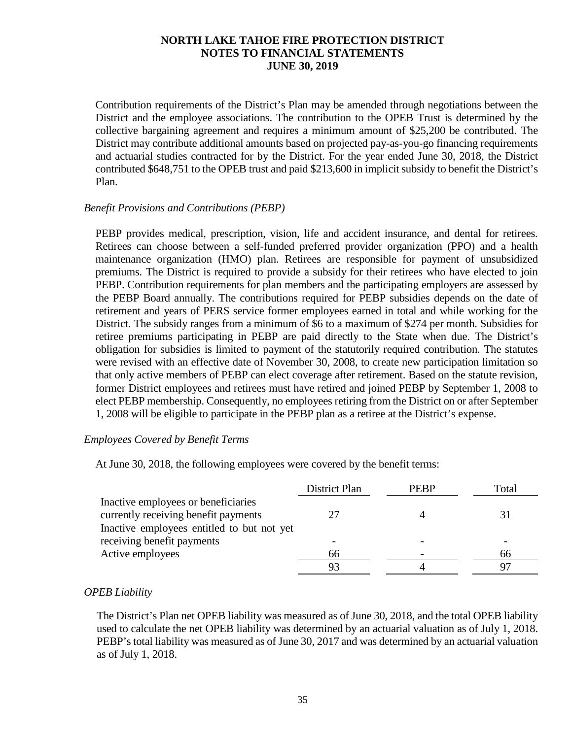Contribution requirements of the District's Plan may be amended through negotiations between the District and the employee associations. The contribution to the OPEB Trust is determined by the collective bargaining agreement and requires a minimum amount of \$25,200 be contributed. The District may contribute additional amounts based on projected pay-as-you-go financing requirements and actuarial studies contracted for by the District. For the year ended June 30, 2018, the District contributed \$648,751 to the OPEB trust and paid \$213,600 in implicit subsidy to benefit the District's Plan.

### *Benefit Provisions and Contributions (PEBP)*

PEBP provides medical, prescription, vision, life and accident insurance, and dental for retirees. Retirees can choose between a self-funded preferred provider organization (PPO) and a health maintenance organization (HMO) plan. Retirees are responsible for payment of unsubsidized premiums. The District is required to provide a subsidy for their retirees who have elected to join PEBP. Contribution requirements for plan members and the participating employers are assessed by the PEBP Board annually. The contributions required for PEBP subsidies depends on the date of retirement and years of PERS service former employees earned in total and while working for the District. The subsidy ranges from a minimum of \$6 to a maximum of \$274 per month. Subsidies for retiree premiums participating in PEBP are paid directly to the State when due. The District's obligation for subsidies is limited to payment of the statutorily required contribution. The statutes were revised with an effective date of November 30, 2008, to create new participation limitation so that only active members of PEBP can elect coverage after retirement. Based on the statute revision, former District employees and retirees must have retired and joined PEBP by September 1, 2008 to elect PEBP membership. Consequently, no employees retiring from the District on or after September 1, 2008 will be eligible to participate in the PEBP plan as a retiree at the District's expense.

### *Employees Covered by Benefit Terms*

At June 30, 2018, the following employees were covered by the benefit terms:

|                                                                                                                           | District Plan | <b>PERP</b> | Total |
|---------------------------------------------------------------------------------------------------------------------------|---------------|-------------|-------|
| Inactive employees or beneficiaries<br>currently receiving benefit payments<br>Inactive employees entitled to but not yet |               |             |       |
| receiving benefit payments                                                                                                |               |             |       |
| Active employees                                                                                                          | 66            |             | 66    |
|                                                                                                                           |               |             |       |

### *OPEB Liability*

The District's Plan net OPEB liability was measured as of June 30, 2018, and the total OPEB liability used to calculate the net OPEB liability was determined by an actuarial valuation as of July 1, 2018. PEBP's total liability was measured as of June 30, 2017 and was determined by an actuarial valuation as of July 1, 2018.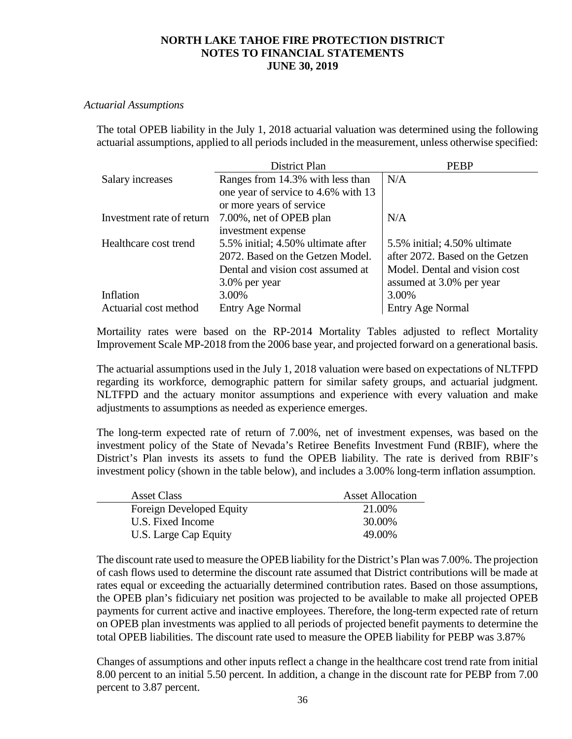### *Actuarial Assumptions*

The total OPEB liability in the July 1, 2018 actuarial valuation was determined using the following actuarial assumptions, applied to all periods included in the measurement, unless otherwise specified:

|                           | District Plan                       | <b>PEBP</b>                     |
|---------------------------|-------------------------------------|---------------------------------|
| Salary increases          | Ranges from 14.3% with less than    | N/A                             |
|                           | one year of service to 4.6% with 13 |                                 |
|                           | or more years of service            |                                 |
| Investment rate of return | 7.00%, net of OPEB plan             | N/A                             |
|                           | investment expense                  |                                 |
| Healthcare cost trend     | 5.5% initial; 4.50% ultimate after  | 5.5% initial; 4.50% ultimate    |
|                           | 2072. Based on the Getzen Model.    | after 2072. Based on the Getzen |
|                           | Dental and vision cost assumed at   | Model. Dental and vision cost   |
|                           | 3.0% per year                       | assumed at 3.0% per year        |
| Inflation                 | 3.00%                               | 3.00%                           |
| Actuarial cost method     | Entry Age Normal                    | <b>Entry Age Normal</b>         |

Mortaility rates were based on the RP-2014 Mortality Tables adjusted to reflect Mortality Improvement Scale MP-2018 from the 2006 base year, and projected forward on a generational basis.

The actuarial assumptions used in the July 1, 2018 valuation were based on expectations of NLTFPD regarding its workforce, demographic pattern for similar safety groups, and actuarial judgment. NLTFPD and the actuary monitor assumptions and experience with every valuation and make adjustments to assumptions as needed as experience emerges.

The long-term expected rate of return of 7.00%, net of investment expenses, was based on the investment policy of the State of Nevada's Retiree Benefits Investment Fund (RBIF), where the District's Plan invests its assets to fund the OPEB liability. The rate is derived from RBIF's investment policy (shown in the table below), and includes a 3.00% long-term inflation assumption.

| <b>Asset Class</b>       | <b>Asset Allocation</b> |
|--------------------------|-------------------------|
| Foreign Developed Equity | 21.00%                  |
| U.S. Fixed Income        | 30.00%                  |
| U.S. Large Cap Equity    | 49.00%                  |

The discount rate used to measure the OPEB liability for the District's Plan was 7.00%. The projection of cash flows used to determine the discount rate assumed that District contributions will be made at rates equal or exceeding the actuarially determined contribution rates. Based on those assumptions, the OPEB plan's fidicuiary net position was projected to be available to make all projected OPEB payments for current active and inactive employees. Therefore, the long-term expected rate of return on OPEB plan investments was applied to all periods of projected benefit payments to determine the total OPEB liabilities. The discount rate used to measure the OPEB liability for PEBP was 3.87%

Changes of assumptions and other inputs reflect a change in the healthcare cost trend rate from initial 8.00 percent to an initial 5.50 percent. In addition, a change in the discount rate for PEBP from 7.00 percent to 3.87 percent.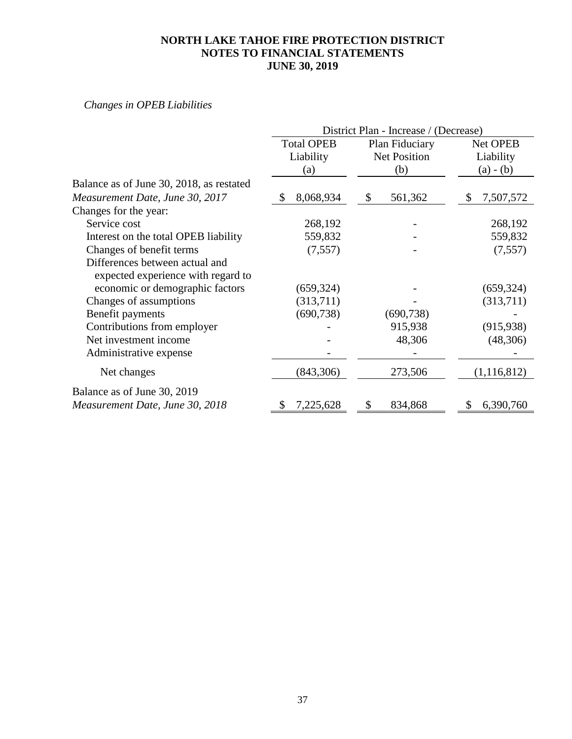## *Changes in OPEB Liabilities*

|                                                                      | District Plan - Increase / (Decrease) |            |                |                     |          |             |
|----------------------------------------------------------------------|---------------------------------------|------------|----------------|---------------------|----------|-------------|
|                                                                      | <b>Total OPEB</b><br>Liability        |            | Plan Fiduciary |                     | Net OPEB |             |
|                                                                      |                                       |            |                | <b>Net Position</b> |          | Liability   |
|                                                                      |                                       | (a)        |                | (b)                 |          | $(a) - (b)$ |
| Balance as of June 30, 2018, as restated                             |                                       |            |                |                     |          |             |
| Measurement Date, June 30, 2017                                      | \$                                    | 8,068,934  | \$             | 561,362             | \$       | 7,507,572   |
| Changes for the year:                                                |                                       |            |                |                     |          |             |
| Service cost                                                         |                                       | 268,192    |                |                     |          | 268,192     |
| Interest on the total OPEB liability                                 |                                       | 559,832    |                |                     |          | 559,832     |
| Changes of benefit terms                                             |                                       | (7, 557)   |                |                     |          | (7, 557)    |
| Differences between actual and<br>expected experience with regard to |                                       |            |                |                     |          |             |
| economic or demographic factors                                      |                                       | (659, 324) |                |                     |          | (659, 324)  |
| Changes of assumptions                                               |                                       | (313,711)  |                |                     |          | (313,711)   |
| Benefit payments                                                     |                                       | (690, 738) |                | (690, 738)          |          |             |
| Contributions from employer                                          |                                       |            |                | 915,938             |          | (915, 938)  |
| Net investment income                                                |                                       |            |                | 48,306              |          | (48,306)    |
| Administrative expense                                               |                                       |            |                |                     |          |             |
| Net changes                                                          |                                       | (843, 306) |                | 273,506             |          | (1,116,812) |
| Balance as of June 30, 2019                                          |                                       |            |                |                     |          |             |
| Measurement Date, June 30, 2018                                      | S                                     | 7,225,628  | \$             | 834,868             | \$       | 6,390,760   |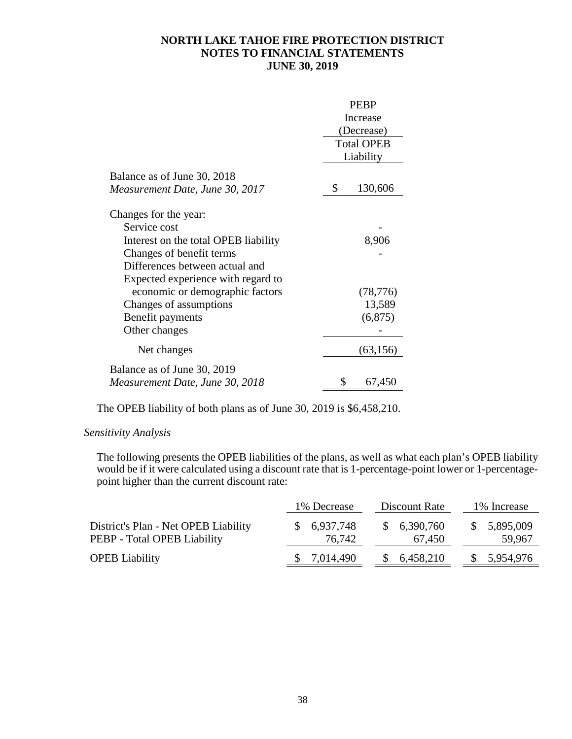|                                      | <b>PEBP</b> |                   |  |
|--------------------------------------|-------------|-------------------|--|
|                                      |             | Increase          |  |
|                                      |             | (Decrease)        |  |
|                                      |             | <b>Total OPEB</b> |  |
|                                      |             | Liability         |  |
| Balance as of June 30, 2018          |             |                   |  |
| Measurement Date, June 30, 2017      | \$          | 130,606           |  |
| Changes for the year:                |             |                   |  |
| Service cost                         |             |                   |  |
| Interest on the total OPEB liability |             | 8,906             |  |
| Changes of benefit terms             |             |                   |  |
| Differences between actual and       |             |                   |  |
| Expected experience with regard to   |             |                   |  |
| economic or demographic factors      |             | (78, 776)         |  |
| Changes of assumptions               |             | 13,589            |  |
| Benefit payments                     |             | (6,875)           |  |
| Other changes                        |             |                   |  |
| Net changes                          |             | (63, 156)         |  |
| Balance as of June 30, 2019          |             |                   |  |
| Measurement Date, June 30, 2018      | \$          | 67,450            |  |

The OPEB liability of both plans as of June 30, 2019 is \$6,458,210.

### *Sensitivity Analysis*

The following presents the OPEB liabilities of the plans, as well as what each plan's OPEB liability would be if it were calculated using a discount rate that is 1-percentage-point lower or 1-percentagepoint higher than the current discount rate:

|                                                                     | 1% Decrease                 | Discount Rate         | 1% Increase           |
|---------------------------------------------------------------------|-----------------------------|-----------------------|-----------------------|
| District's Plan - Net OPEB Liability<br>PEBP - Total OPEB Liability | \$6,937,748<br>76,742       | \$6,390,760<br>67,450 | \$5,895,009<br>59,967 |
| <b>OPEB</b> Liability                                               | 7,014,490<br>$\mathbb{S}^-$ | 6,458,210             | 5,954,976<br>S.       |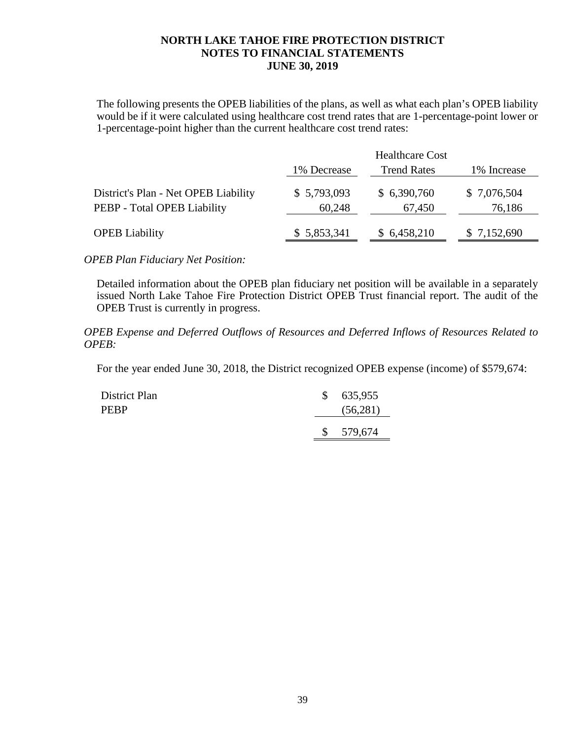The following presents the OPEB liabilities of the plans, as well as what each plan's OPEB liability would be if it were calculated using healthcare cost trend rates that are 1-percentage-point lower or 1-percentage-point higher than the current healthcare cost trend rates:

|                                                                     |                       | <b>Healthcare Cost</b> |                       |
|---------------------------------------------------------------------|-----------------------|------------------------|-----------------------|
|                                                                     | 1% Decrease           | <b>Trend Rates</b>     | 1% Increase           |
| District's Plan - Net OPEB Liability<br>PEBP - Total OPEB Liability | \$5,793,093<br>60,248 | \$6,390,760<br>67,450  | \$7,076,504<br>76,186 |
| <b>OPEB</b> Liability                                               | \$5,853,341           | \$6,458,210            | \$7,152,690           |

*OPEB Plan Fiduciary Net Position:* 

Detailed information about the OPEB plan fiduciary net position will be available in a separately issued North Lake Tahoe Fire Protection District OPEB Trust financial report. The audit of the OPEB Trust is currently in progress.

*OPEB Expense and Deferred Outflows of Resources and Deferred Inflows of Resources Related to OPEB:*

For the year ended June 30, 2018, the District recognized OPEB expense (income) of \$579,674:

| District Plan | \$635,955 |
|---------------|-----------|
| <b>PEBP</b>   | (56,281)  |
|               | \$579,674 |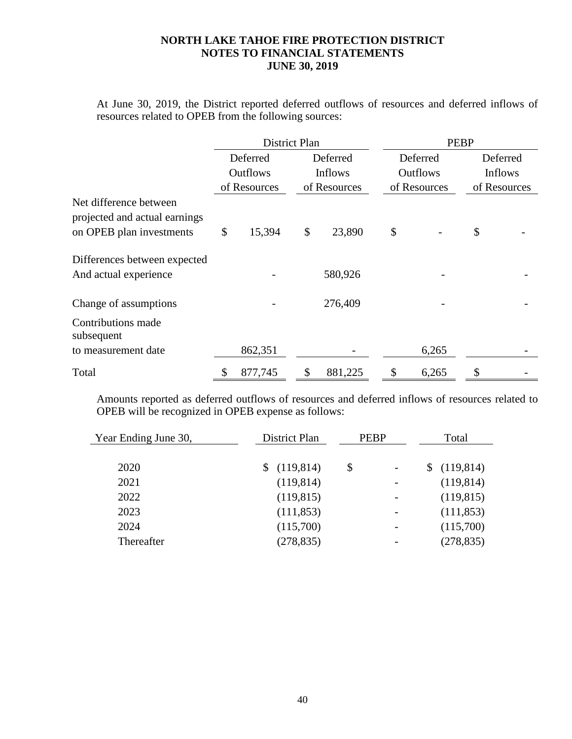At June 30, 2019, the District reported deferred outflows of resources and deferred inflows of resources related to OPEB from the following sources:

|                                                         | District Plan   |               | <b>PEBP</b> |                 |              |                |  |  |  |  |
|---------------------------------------------------------|-----------------|---------------|-------------|-----------------|--------------|----------------|--|--|--|--|
|                                                         | Deferred        | Deferred      |             | Deferred        |              | Deferred       |  |  |  |  |
|                                                         | <b>Outflows</b> | Inflows       |             | <b>Outflows</b> |              | <b>Inflows</b> |  |  |  |  |
|                                                         | of Resources    | of Resources  |             | of Resources    | of Resources |                |  |  |  |  |
| Net difference between<br>projected and actual earnings |                 |               |             |                 |              |                |  |  |  |  |
| on OPEB plan investments                                | \$<br>15,394    | \$<br>23,890  | \$          |                 | \$           |                |  |  |  |  |
| Differences between expected                            |                 |               |             |                 |              |                |  |  |  |  |
| And actual experience                                   |                 | 580,926       |             |                 |              |                |  |  |  |  |
| Change of assumptions                                   |                 | 276,409       |             |                 |              |                |  |  |  |  |
| Contributions made<br>subsequent                        |                 |               |             |                 |              |                |  |  |  |  |
| to measurement date                                     | 862,351         |               |             | 6,265           |              |                |  |  |  |  |
| Total                                                   | \$<br>877,745   | \$<br>881,225 | \$          | 6,265           | \$           |                |  |  |  |  |

Amounts reported as deferred outflows of resources and deferred inflows of resources related to OPEB will be recognized in OPEB expense as follows:

| Year Ending June 30, | District Plan | <b>PEBP</b> | Total |            |  |  |
|----------------------|---------------|-------------|-------|------------|--|--|
|                      |               |             |       |            |  |  |
| 2020                 | (119, 814)    | \$          |       | (119, 814) |  |  |
| 2021                 | (119, 814)    |             |       | (119, 814) |  |  |
| 2022                 | (119, 815)    |             |       | (119, 815) |  |  |
| 2023                 | (111, 853)    |             |       | (111, 853) |  |  |
| 2024                 | (115,700)     |             |       | (115,700)  |  |  |
| Thereafter           | (278, 835)    |             |       | (278, 835) |  |  |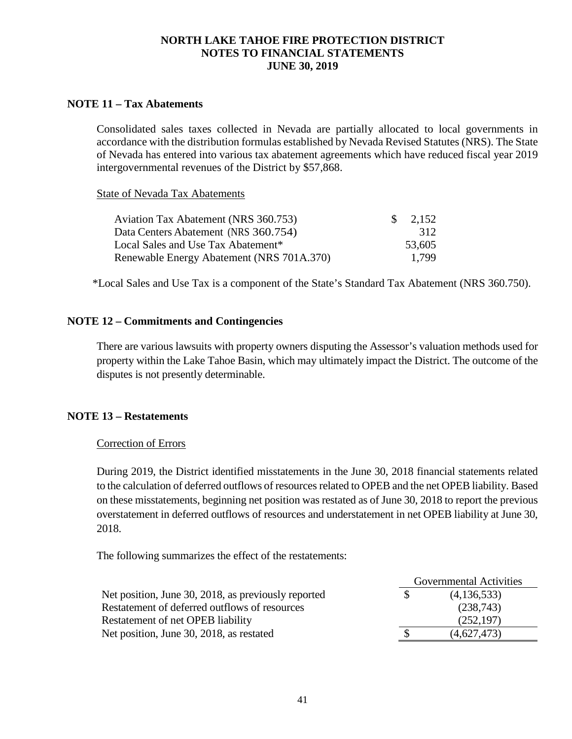### **NOTE 11 – Tax Abatements**

Consolidated sales taxes collected in Nevada are partially allocated to local governments in accordance with the distribution formulas established by Nevada Revised Statutes (NRS). The State of Nevada has entered into various tax abatement agreements which have reduced fiscal year 2019 intergovernmental revenues of the District by \$57,868.

State of Nevada Tax Abatements

| Aviation Tax Abatement (NRS 360.753)           | $\frac{\$}{2,152}$ |
|------------------------------------------------|--------------------|
| Data Centers Abatement (NRS 360.754)           | 312                |
| Local Sales and Use Tax Abatement <sup>*</sup> | 53,605             |
| Renewable Energy Abatement (NRS 701A.370)      | 1.799              |

\*Local Sales and Use Tax is a component of the State's Standard Tax Abatement (NRS 360.750).

### **NOTE 12 – Commitments and Contingencies**

There are various lawsuits with property owners disputing the Assessor's valuation methods used for property within the Lake Tahoe Basin, which may ultimately impact the District. The outcome of the disputes is not presently determinable.

### **NOTE 13 – Restatements**

### Correction of Errors

During 2019, the District identified misstatements in the June 30, 2018 financial statements related to the calculation of deferred outflows of resources related to OPEB and the net OPEB liability. Based on these misstatements, beginning net position was restated as of June 30, 2018 to report the previous overstatement in deferred outflows of resources and understatement in net OPEB liability at June 30, 2018.

The following summarizes the effect of the restatements:

|                                                     | <b>Governmental Activities</b> |
|-----------------------------------------------------|--------------------------------|
| Net position, June 30, 2018, as previously reported | (4,136,533)                    |
| Restatement of deferred outflows of resources       | (238,743)                      |
| Restatement of net OPEB liability                   | (252, 197)                     |
| Net position, June 30, 2018, as restated            | (4,627,473)                    |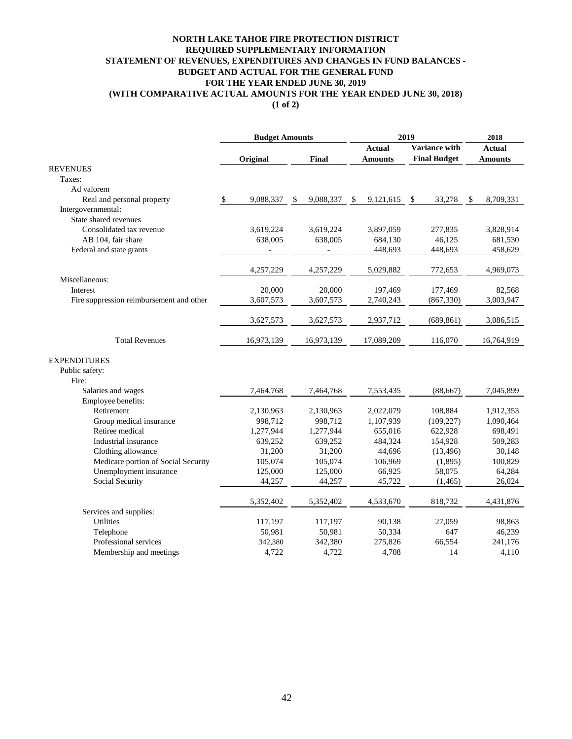#### **NORTH LAKE TAHOE FIRE PROTECTION DISTRICT STATEMENT OF REVENUES, EXPENDITURES AND CHANGES IN FUND BALANCES - BUDGET AND ACTUAL FOR THE GENERAL FUND FOR THE YEAR ENDED JUNE 30, 2019 REQUIRED SUPPLEMENTARY INFORMATION (WITH COMPARATIVE ACTUAL AMOUNTS FOR THE YEAR ENDED JUNE 30, 2018) (1 of 2)**

|                                          | <b>Budget Amounts</b> |                 | 2019                            | 2018                                        |                                 |
|------------------------------------------|-----------------------|-----------------|---------------------------------|---------------------------------------------|---------------------------------|
|                                          | Original              | Final           | <b>Actual</b><br><b>Amounts</b> | <b>Variance with</b><br><b>Final Budget</b> | <b>Actual</b><br><b>Amounts</b> |
| <b>REVENUES</b>                          |                       |                 |                                 |                                             |                                 |
| Taxes:                                   |                       |                 |                                 |                                             |                                 |
| Ad valorem                               |                       |                 |                                 |                                             |                                 |
| Real and personal property               | $\$$<br>9,088,337     | 9,088,337<br>\$ | \$<br>9,121,615                 | \$<br>33,278                                | 8,709,331<br>\$                 |
| Intergovernmental:                       |                       |                 |                                 |                                             |                                 |
| State shared revenues                    |                       |                 |                                 |                                             |                                 |
| Consolidated tax revenue                 | 3,619,224             | 3,619,224       | 3,897,059                       | 277,835                                     | 3,828,914                       |
| AB 104, fair share                       | 638,005               | 638,005         | 684,130                         | 46,125                                      | 681,530                         |
| Federal and state grants                 |                       |                 | 448,693                         | 448,693                                     | 458,629                         |
|                                          | 4,257,229             | 4,257,229       | 5,029,882                       | 772,653                                     | 4,969,073                       |
| Miscellaneous:                           |                       |                 |                                 |                                             |                                 |
| Interest                                 | 20,000                | 20,000          | 197,469                         | 177,469                                     | 82,568                          |
| Fire suppression reimbursement and other | 3,607,573             | 3,607,573       | 2,740,243                       | (867, 330)                                  | 3,003,947                       |
|                                          | 3,627,573             | 3,627,573       | 2,937,712                       | (689, 861)                                  | 3,086,515                       |
| <b>Total Revenues</b>                    | 16,973,139            | 16,973,139      | 17,089,209                      | 116,070                                     | 16,764,919                      |
| <b>EXPENDITURES</b>                      |                       |                 |                                 |                                             |                                 |
| Public safety:                           |                       |                 |                                 |                                             |                                 |
| Fire:                                    |                       |                 |                                 |                                             |                                 |
| Salaries and wages                       | 7,464,768             | 7,464,768       | 7,553,435                       | (88, 667)                                   | 7,045,899                       |
| Employee benefits:                       |                       |                 |                                 |                                             |                                 |
| Retirement                               | 2,130,963             | 2,130,963       | 2,022,079                       | 108,884                                     | 1,912,353                       |
| Group medical insurance                  | 998,712               | 998,712         | 1,107,939                       | (109, 227)                                  | 1,090,464                       |
| Retiree medical                          | 1,277,944             | 1,277,944       | 655,016                         | 622,928                                     | 698,491                         |
| Industrial insurance                     | 639,252               | 639,252         | 484,324                         | 154,928                                     | 509,283                         |
| Clothing allowance                       | 31,200                | 31,200          | 44,696                          | (13, 496)                                   | 30,148                          |
| Medicare portion of Social Security      | 105,074               | 105,074         | 106,969                         | (1,895)                                     | 100,829                         |
| Unemployment insurance                   | 125,000               | 125,000         | 66,925                          | 58,075                                      | 64,284                          |
| Social Security                          | 44,257                | 44,257          | 45,722                          | (1, 465)                                    | 26,024                          |
|                                          | 5,352,402             | 5,352,402       | 4,533,670                       | 818,732                                     | 4,431,876                       |
| Services and supplies:                   |                       |                 |                                 |                                             |                                 |
| Utilities                                | 117,197               | 117,197         | 90,138                          | 27,059                                      | 98,863                          |
| Telephone                                | 50,981                | 50,981          | 50,334                          | 647                                         | 46,239                          |
| Professional services                    | 342,380               | 342,380         | 275,826                         | 66,554                                      | 241,176                         |
| Membership and meetings                  | 4,722                 | 4,722           | 4,708                           | 14                                          | 4,110                           |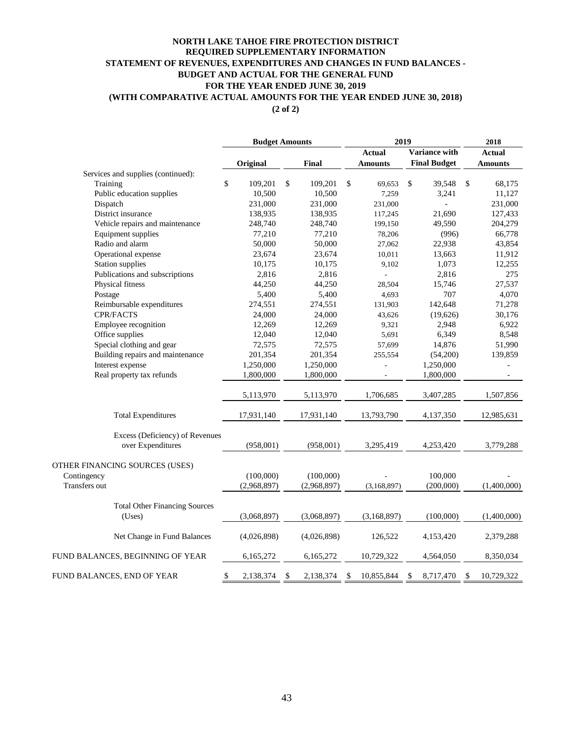### **NORTH LAKE TAHOE FIRE PROTECTION DISTRICT STATEMENT OF REVENUES, EXPENDITURES AND CHANGES IN FUND BALANCES - BUDGET AND ACTUAL FOR THE GENERAL FUND FOR THE YEAR ENDED JUNE 30, 2019 (WITH COMPARATIVE ACTUAL AMOUNTS FOR THE YEAR ENDED JUNE 30, 2018) REQUIRED SUPPLEMENTARY INFORMATION**

**(2 of 2)**

|                                                | <b>Budget Amounts</b> |    |             |    | 2019           | 2018                |                  |
|------------------------------------------------|-----------------------|----|-------------|----|----------------|---------------------|------------------|
|                                                |                       |    |             |    | <b>Actual</b>  | Variance with       | <b>Actual</b>    |
|                                                | Original              |    | Final       |    | <b>Amounts</b> | <b>Final Budget</b> | <b>Amounts</b>   |
| Services and supplies (continued):             |                       |    |             |    |                |                     |                  |
| Training                                       | \$<br>109,201         | \$ | 109,201     | \$ | 69,653         | \$<br>39,548        | \$<br>68,175     |
| Public education supplies                      | 10,500                |    | 10,500      |    | 7,259          | 3,241               | 11,127           |
| Dispatch                                       | 231,000               |    | 231,000     |    | 231,000        |                     | 231,000          |
| District insurance                             | 138,935               |    | 138,935     |    | 117,245        | 21,690              | 127,433          |
| Vehicle repairs and maintenance                | 248,740               |    | 248,740     |    | 199,150        | 49,590              | 204,279          |
| Equipment supplies                             | 77,210                |    | 77,210      |    | 78,206         | (996)               | 66,778           |
| Radio and alarm                                | 50,000                |    | 50,000      |    | 27,062         | 22,938              | 43,854           |
| Operational expense                            | 23,674                |    | 23,674      |    | 10,011         | 13,663              | 11,912           |
| <b>Station supplies</b>                        | 10,175                |    | 10,175      |    | 9,102          | 1,073               | 12,255           |
| Publications and subscriptions                 | 2,816                 |    | 2,816       |    |                | 2,816               | 275              |
| Physical fitness                               | 44,250                |    | 44,250      |    | 28,504         | 15,746              | 27,537           |
| Postage                                        | 5,400                 |    | 5,400       |    | 4,693          | 707                 | 4,070            |
| Reimbursable expenditures                      | 274,551               |    | 274,551     |    | 131,903        | 142,648             | 71,278           |
| CPR/FACTS                                      | 24,000                |    | 24,000      |    | 43,626         | (19,626)            | 30,176           |
| Employee recognition                           | 12,269                |    | 12,269      |    | 9,321          | 2,948               | 6,922            |
| Office supplies                                | 12,040                |    | 12,040      |    | 5,691          | 6,349               | 8,548            |
| Special clothing and gear                      | 72,575                |    | 72,575      |    | 57,699         | 14,876              | 51,990           |
| Building repairs and maintenance               | 201,354               |    | 201,354     |    | 255,554        | (54,200)            | 139,859          |
| Interest expense                               | 1,250,000             |    | 1,250,000   |    | $\overline{a}$ | 1,250,000           |                  |
| Real property tax refunds                      | 1,800,000             |    | 1,800,000   |    |                | 1,800,000           |                  |
|                                                | 5,113,970             |    | 5,113,970   |    | 1,706,685      | 3,407,285           | 1,507,856        |
| <b>Total Expenditures</b>                      | 17,931,140            |    | 17,931,140  |    | 13,793,790     | 4,137,350           | 12,985,631       |
| Excess (Deficiency) of Revenues                |                       |    |             |    |                |                     |                  |
| over Expenditures                              | (958,001)             |    | (958,001)   |    | 3,295,419      | 4,253,420           | 3,779,288        |
| OTHER FINANCING SOURCES (USES)                 |                       |    |             |    |                |                     |                  |
| Contingency                                    | (100,000)             |    | (100,000)   |    |                | 100,000             |                  |
| Transfers out                                  | (2,968,897)           |    | (2,968,897) |    | (3, 168, 897)  | (200,000)           | (1,400,000)      |
|                                                |                       |    |             |    |                |                     |                  |
| <b>Total Other Financing Sources</b><br>(Uses) | (3,068,897)           |    | (3,068,897) |    | (3,168,897)    | (100,000)           | (1,400,000)      |
| Net Change in Fund Balances                    | (4,026,898)           |    | (4,026,898) |    | 126,522        | 4,153,420           | 2,379,288        |
| FUND BALANCES, BEGINNING OF YEAR               | 6,165,272             |    | 6,165,272   |    | 10,729,322     | 4,564,050           | 8,350,034        |
| FUND BALANCES, END OF YEAR                     | \$<br>2,138,374       | \$ | 2,138,374   | \$ | 10,855,844     | \$<br>8,717,470     | \$<br>10,729,322 |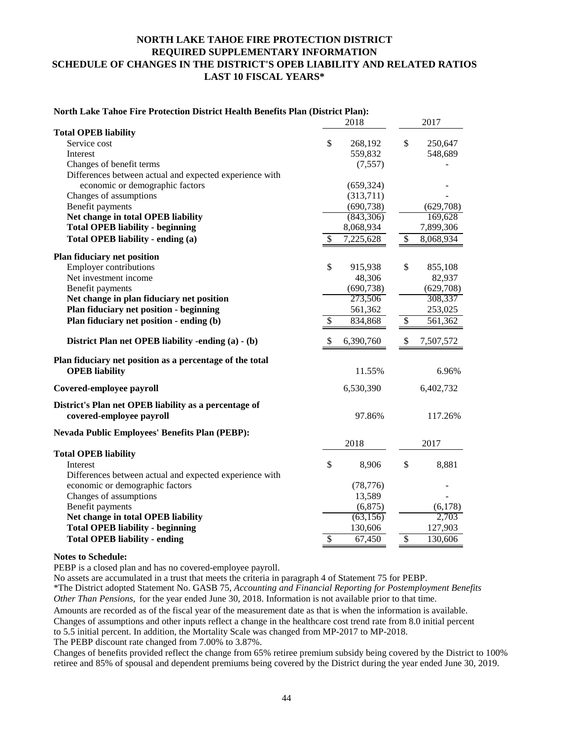### **NORTH LAKE TAHOE FIRE PROTECTION DISTRICT REQUIRED SUPPLEMENTARY INFORMATION SCHEDULE OF CHANGES IN THE DISTRICT'S OPEB LIABILITY AND RELATED RATIOS LAST 10 FISCAL YEARS\***

#### **North Lake Tahoe Fire Protection District Health Benefits Plan (District Plan):**

|                                                          | 2018                      |            |                          |           |
|----------------------------------------------------------|---------------------------|------------|--------------------------|-----------|
| <b>Total OPEB liability</b>                              |                           |            |                          |           |
| Service cost                                             | \$                        | 268,192    | \$                       | 250,647   |
| Interest                                                 |                           | 559,832    |                          | 548,689   |
| Changes of benefit terms                                 |                           | (7,557)    |                          |           |
| Differences between actual and expected experience with  |                           |            |                          |           |
| economic or demographic factors                          |                           | (659, 324) |                          |           |
| Changes of assumptions                                   |                           | (313,711)  |                          |           |
| Benefit payments                                         |                           | (690, 738) |                          | (629,708) |
| Net change in total OPEB liability                       |                           | (843,306)  |                          | 169,628   |
| <b>Total OPEB liability - beginning</b>                  |                           | 8,068,934  |                          | 7,899,306 |
| Total OPEB liability - ending (a)                        | \$                        | 7,225,628  | \$                       | 8,068,934 |
| Plan fiduciary net position                              |                           |            |                          |           |
| Employer contributions                                   | \$                        | 915,938    | \$                       | 855,108   |
| Net investment income                                    |                           | 48,306     |                          | 82,937    |
| Benefit payments                                         |                           | (690, 738) |                          | (629,708) |
| Net change in plan fiduciary net position                |                           | 273,506    |                          | 308,337   |
| Plan fiduciary net position - beginning                  |                           | 561,362    |                          | 253,025   |
| Plan fiduciary net position - ending (b)                 | \$                        | 834,868    | \$                       | 561,362   |
| District Plan net OPEB liability -ending (a) - (b)       | $\boldsymbol{\mathsf{S}}$ | 6,390,760  | \$                       | 7,507,572 |
| Plan fiduciary net position as a percentage of the total |                           |            |                          |           |
| <b>OPEB</b> liability                                    |                           | 11.55%     |                          | 6.96%     |
| Covered-employee payroll                                 |                           | 6,530,390  |                          | 6,402,732 |
| District's Plan net OPEB liability as a percentage of    |                           |            |                          |           |
| covered-employee payroll                                 |                           | 97.86%     |                          | 117.26%   |
| Nevada Public Employees' Benefits Plan (PEBP):           |                           |            |                          |           |
|                                                          |                           | 2018       |                          | 2017      |
| <b>Total OPEB liability</b>                              |                           |            |                          |           |
| Interest                                                 | \$                        | 8,906      | \$                       | 8,881     |
| Differences between actual and expected experience with  |                           |            |                          |           |
| economic or demographic factors                          |                           | (78, 776)  |                          |           |
| Changes of assumptions                                   |                           | 13,589     |                          |           |
| Benefit payments                                         |                           | (6,875)    |                          | (6,178)   |
| Net change in total OPEB liability                       |                           | (63, 156)  |                          | 2,703     |
| <b>Total OPEB liability - beginning</b>                  |                           | 130,606    |                          | 127,903   |
| <b>Total OPEB liability - ending</b>                     | \$                        | 67,450     | $\overline{\mathcal{S}}$ | 130,606   |

#### **Notes to Schedule:**

PEBP is a closed plan and has no covered-employee payroll.

No assets are accumulated in a trust that meets the criteria in paragraph 4 of Statement 75 for PEBP.

\*The District adopted Statement No. GASB 75, *Accounting and Financial Reporting for Postemployment Benefits Other Than Pensions,* for the year ended June 30, 2018. Information is not available prior to that time.

Amounts are recorded as of the fiscal year of the measurement date as that is when the information is available. Changes of assumptions and other inputs reflect a change in the healthcare cost trend rate from 8.0 initial percent to 5.5 initial percent. In addition, the Mortality Scale was changed from MP-2017 to MP-2018.

The PEBP discount rate changed from 7.00% to 3.87%.

Changes of benefits provided reflect the change from 65% retiree premium subsidy being covered by the District to 100% retiree and 85% of spousal and dependent premiums being covered by the District during the year ended June 30, 2019.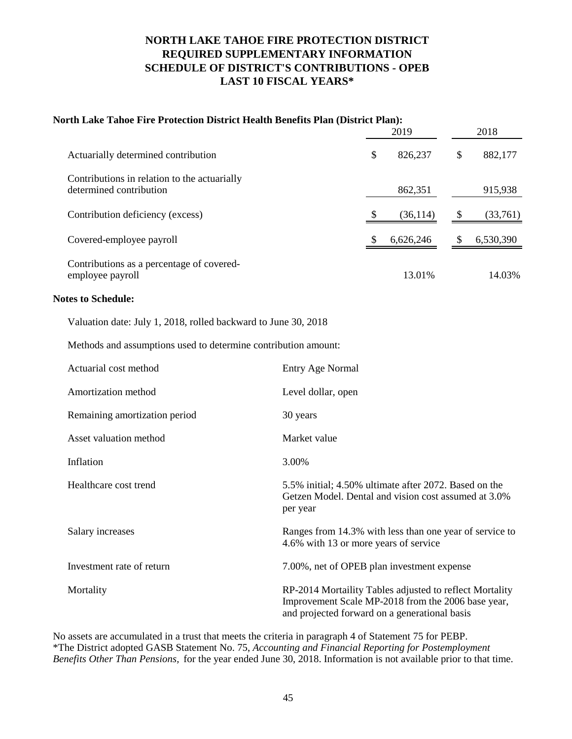## **NORTH LAKE TAHOE FIRE PROTECTION DISTRICT REQUIRED SUPPLEMENTARY INFORMATION SCHEDULE OF DISTRICT'S CONTRIBUTIONS - OPEB LAST 10 FISCAL YEARS\***

# **North Lake Tahoe Fire Protection District Health Benefits Plan (District Plan):**

|                                                                         | 2019          | 2018           |
|-------------------------------------------------------------------------|---------------|----------------|
| Actuarially determined contribution                                     | \$<br>826,237 | \$<br>882,177  |
| Contributions in relation to the actuarially<br>determined contribution | 862,351       | 915,938        |
| Contribution deficiency (excess)                                        | (36, 114)     | \$<br>(33,761) |
| Covered-employee payroll                                                | 6,626,246     | 6,530,390      |
| Contributions as a percentage of covered-<br>employee payroll           | 13.01%        | 14.03%         |

#### **Notes to Schedule:**

Valuation date: July 1, 2018, rolled backward to June 30, 2018

Methods and assumptions used to determine contribution amount:

| Actuarial cost method         | Entry Age Normal                                                                                                                                               |
|-------------------------------|----------------------------------------------------------------------------------------------------------------------------------------------------------------|
| Amortization method           | Level dollar, open                                                                                                                                             |
| Remaining amortization period | 30 years                                                                                                                                                       |
| Asset valuation method        | Market value                                                                                                                                                   |
| Inflation                     | 3.00%                                                                                                                                                          |
| Healthcare cost trend         | 5.5% initial; 4.50% ultimate after 2072. Based on the<br>Getzen Model. Dental and vision cost assumed at 3.0%<br>per year                                      |
| Salary increases              | Ranges from 14.3% with less than one year of service to<br>4.6% with 13 or more years of service                                                               |
| Investment rate of return     | 7.00%, net of OPEB plan investment expense                                                                                                                     |
| Mortality                     | RP-2014 Mortaility Tables adjusted to reflect Mortality<br>Improvement Scale MP-2018 from the 2006 base year,<br>and projected forward on a generational basis |

No assets are accumulated in a trust that meets the criteria in paragraph 4 of Statement 75 for PEBP. \*The District adopted GASB Statement No. 75, *Accounting and Financial Reporting for Postemployment Benefits Other Than Pensions,* for the year ended June 30, 2018. Information is not available prior to that time.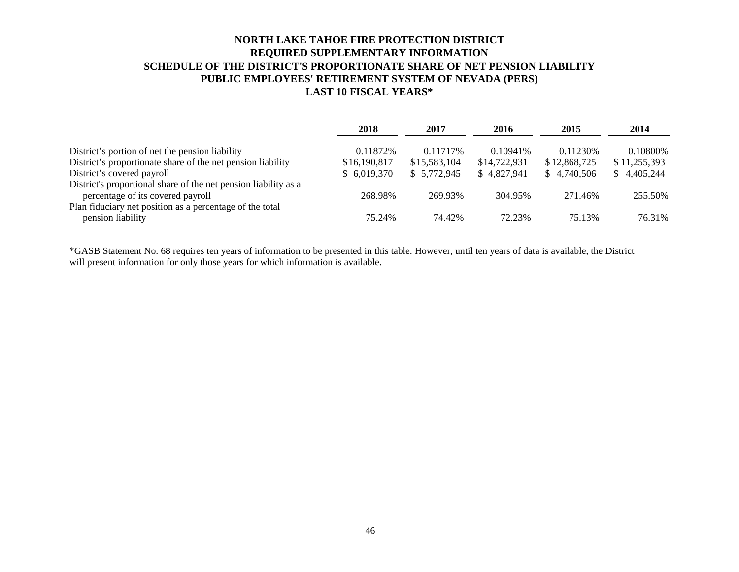### **NORTH LAKE TAHOE FIRE PROTECTION DISTRICT REQUIRED SUPPLEMENTARY INFORMATION SCHEDULE OF THE DISTRICT'S PROPORTIONATE SHARE OF NET PENSION LIABILITY PUBLIC EMPLOYEES' RETIREMENT SYSTEM OF NEVADA (PERS) LAST 10 FISCAL YEARS\***

|                                                                 | 2018         | 2017         | 2016         | 2015         | 2014         |
|-----------------------------------------------------------------|--------------|--------------|--------------|--------------|--------------|
| District's portion of net the pension liability                 | 0.11872\%    | 0.11717\%    | $0.10941\%$  | 0.11230\%    | 0.10800\%    |
| District's proportionate share of the net pension liability     | \$16,190,817 | \$15,583,104 | \$14,722,931 | \$12,868,725 | \$11,255,393 |
| District's covered payroll                                      | \$6,019,370  | \$ 5.772.945 | \$4.827.941  | \$4.740.506  | \$4,405,244  |
| District's proportional share of the net pension liability as a |              |              |              |              |              |
| percentage of its covered payroll                               | 268.98%      | 269.93%      | 304.95%      | 271.46%      | 255.50%      |
| Plan fiduciary net position as a percentage of the total        |              |              |              |              |              |
| pension liability                                               | 75.24%       | 74.42%       | 72.23%       | 75.13%       | 76.31%       |

\*GASB Statement No. 68 requires ten years of information to be presented in this table. However, until ten years of data is available, the District will present information for only those years for which information is available.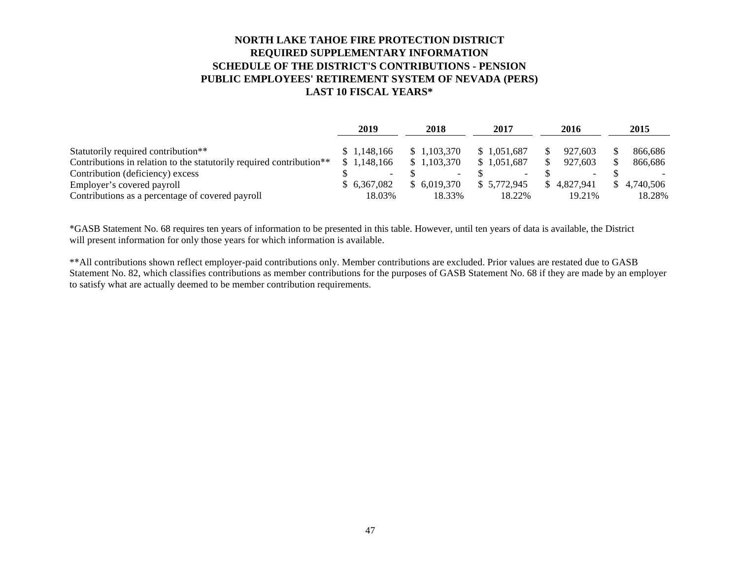### **SCHEDULE OF THE DISTRICT'S CONTRIBUTIONS - PENSION PUBLIC EMPLOYEES' RETIREMENT SYSTEM OF NEVADA (PERS) LAST 10 FISCAL YEARS\* NORTH LAKE TAHOE FIRE PROTECTION DISTRICT REQUIRED SUPPLEMENTARY INFORMATION**

|                                                                      | 2019 |              | 2018 |                          | 2017 |              |     | 2016                     | 2015 |             |
|----------------------------------------------------------------------|------|--------------|------|--------------------------|------|--------------|-----|--------------------------|------|-------------|
| Statutorily required contribution**                                  |      | \$1.148.166  |      | \$1.103.370              |      | \$1,051,687  |     | 927.603                  |      | 866.686     |
| Contributions in relation to the statutorily required contribution** |      | \$1.148.166  |      | \$1.103.370              |      | \$1,051,687  |     | 927.603                  |      | 866.686     |
| Contribution (deficiency) excess                                     |      | -            |      | $\overline{\phantom{0}}$ |      | $\sim$       |     | $\overline{\phantom{0}}$ |      |             |
| Employer's covered payroll                                           |      | \$ 6.367,082 |      | \$6.019.370              |      | \$ 5,772,945 | SS. | 4.827.941                |      | \$4.740.506 |
| Contributions as a percentage of covered payroll                     |      | 18.03%       |      | 18.33%                   |      | 18.22%       |     | 19.21%                   |      | 18.28%      |

\*GASB Statement No. 68 requires ten years of information to be presented in this table. However, until ten years of data is available, the District will present information for only those years for which information is available.

\*\*All contributions shown reflect employer-paid contributions only. Member contributions are excluded. Prior values are restated due to GASB Statement No. 82, which classifies contributions as member contributions for the purposes of GASB Statement No. 68 if they are made by an employer to satisfy what are actually deemed to be member contribution requirements.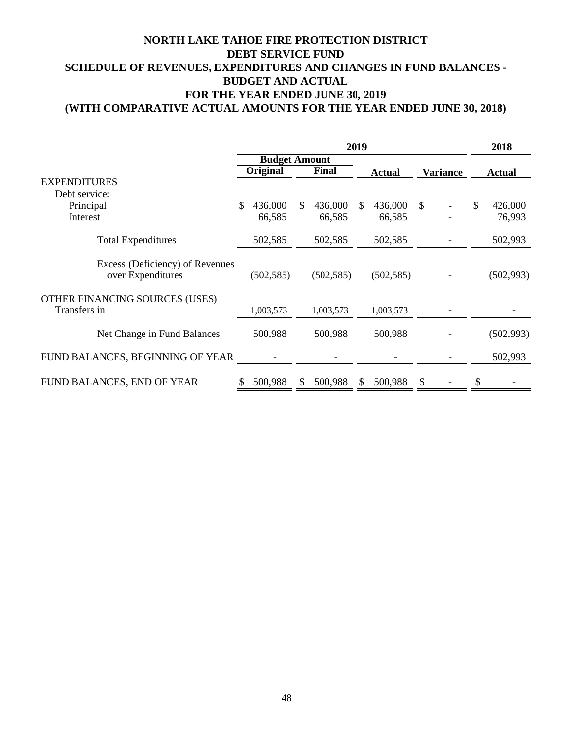### **(WITH COMPARATIVE ACTUAL AMOUNTS FOR THE YEAR ENDED JUNE 30, 2018) NORTH LAKE TAHOE FIRE PROTECTION DISTRICT DEBT SERVICE FUND SCHEDULE OF REVENUES, EXPENDITURES AND CHANGES IN FUND BALANCES - BUDGET AND ACTUAL FOR THE YEAR ENDED JUNE 30, 2019**

|                                                      | 2019                 |                 |     |            |               |            |    |          |    | 2018          |  |
|------------------------------------------------------|----------------------|-----------------|-----|------------|---------------|------------|----|----------|----|---------------|--|
|                                                      | <b>Budget Amount</b> |                 |     |            |               |            |    |          |    |               |  |
|                                                      |                      | <b>Original</b> |     | Final      | <b>Actual</b> |            |    | Variance |    | <b>Actual</b> |  |
| <b>EXPENDITURES</b>                                  |                      |                 |     |            |               |            |    |          |    |               |  |
| Debt service:                                        |                      |                 |     |            |               |            |    |          |    |               |  |
| Principal                                            | \$.                  | 436,000         | \$. | 436,000    | S.            | 436,000    | \$ |          | \$ | 426,000       |  |
| Interest                                             |                      | 66,585          |     | 66,585     |               | 66,585     |    |          |    | 76,993        |  |
| <b>Total Expenditures</b>                            |                      | 502,585         |     | 502,585    |               | 502,585    |    |          |    | 502,993       |  |
| Excess (Deficiency) of Revenues<br>over Expenditures |                      | (502, 585)      |     | (502, 585) |               | (502, 585) |    |          |    | (502, 993)    |  |
| OTHER FINANCING SOURCES (USES)                       |                      |                 |     |            |               |            |    |          |    |               |  |
| Transfers in                                         |                      | 1,003,573       |     | 1,003,573  |               | 1,003,573  |    |          |    |               |  |
| Net Change in Fund Balances                          |                      | 500,988         |     | 500,988    |               | 500,988    |    |          |    | (502, 993)    |  |
| FUND BALANCES, BEGINNING OF YEAR                     |                      |                 |     |            |               |            |    |          |    | 502,993       |  |
| FUND BALANCES, END OF YEAR                           |                      | 500,988         | S   | 500,988    | S.            | 500,988    | \$ |          | \$ |               |  |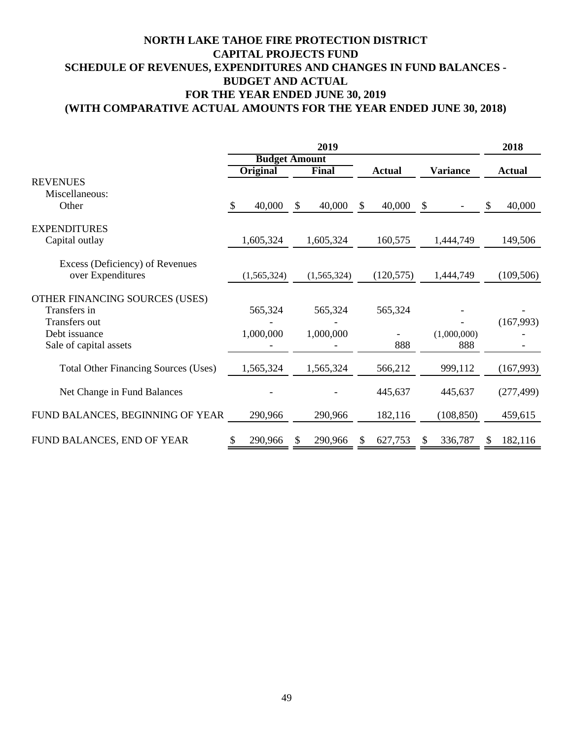### **(WITH COMPARATIVE ACTUAL AMOUNTS FOR THE YEAR ENDED JUNE 30, 2018) NORTH LAKE TAHOE FIRE PROTECTION DISTRICT CAPITAL PROJECTS FUND SCHEDULE OF REVENUES, EXPENDITURES AND CHANGES IN FUND BALANCES - BUDGET AND ACTUAL FOR THE YEAR ENDED JUNE 30, 2019**

|                                             |             | 2018                 |               |                 |               |  |
|---------------------------------------------|-------------|----------------------|---------------|-----------------|---------------|--|
|                                             |             | <b>Budget Amount</b> |               |                 |               |  |
|                                             | Original    | <b>Final</b>         | <b>Actual</b> | <b>Variance</b> | <b>Actual</b> |  |
| <b>REVENUES</b>                             |             |                      |               |                 |               |  |
| Miscellaneous:                              |             |                      |               |                 |               |  |
| Other                                       | 40,000<br>S | 40,000<br>S          | 40,000<br>\$  | <sup>\$</sup>   | 40,000<br>S   |  |
| <b>EXPENDITURES</b>                         |             |                      |               |                 |               |  |
| Capital outlay                              | 1,605,324   | 1,605,324            | 160,575       | 1,444,749       | 149,506       |  |
| Excess (Deficiency) of Revenues             |             |                      |               |                 |               |  |
| over Expenditures                           | (1,565,324) | (1,565,324)          | (120, 575)    | 1,444,749       | (109, 506)    |  |
| OTHER FINANCING SOURCES (USES)              |             |                      |               |                 |               |  |
| Transfers in                                | 565,324     | 565,324              | 565,324       |                 |               |  |
| Transfers out                               |             |                      |               |                 | (167,993)     |  |
| Debt issuance                               | 1,000,000   | 1,000,000            |               | (1,000,000)     |               |  |
| Sale of capital assets                      |             |                      | 888           | 888             |               |  |
| <b>Total Other Financing Sources (Uses)</b> | 1,565,324   | 1,565,324            | 566,212       | 999,112         | (167,993)     |  |
| Net Change in Fund Balances                 |             |                      | 445,637       | 445,637         | (277, 499)    |  |
| FUND BALANCES, BEGINNING OF YEAR            | 290,966     | 290,966              | 182,116       | (108, 850)      | 459,615       |  |
| FUND BALANCES, END OF YEAR                  | 290,966     | 290,966              | 627,753       | 336,787         | 182,116       |  |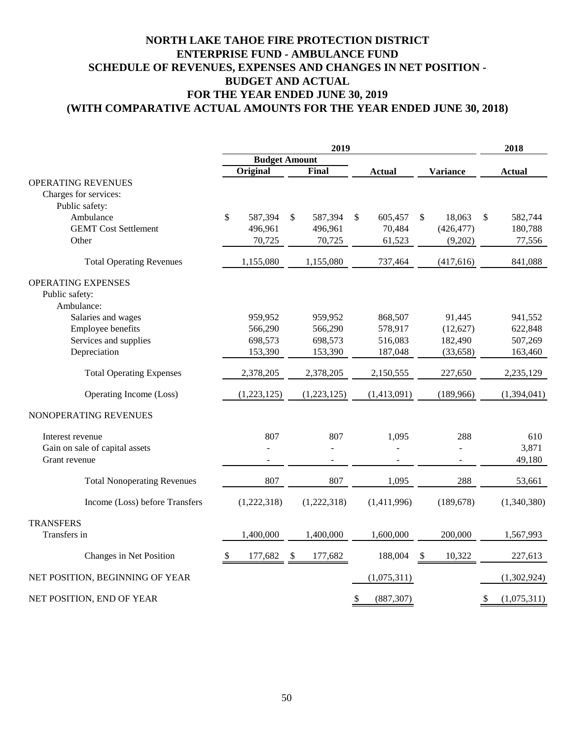### **(WITH COMPARATIVE ACTUAL AMOUNTS FOR THE YEAR ENDED JUNE 30, 2018) NORTH LAKE TAHOE FIRE PROTECTION DISTRICT ENTERPRISE FUND - AMBULANCE FUND SCHEDULE OF REVENUES, EXPENSES AND CHANGES IN NET POSITION - BUDGET AND ACTUAL FOR THE YEAR ENDED JUNE 30, 2019**

|                                    | 2019                 |             |    |              |    | 2018          |             |                 |                   |
|------------------------------------|----------------------|-------------|----|--------------|----|---------------|-------------|-----------------|-------------------|
|                                    | <b>Budget Amount</b> |             |    |              |    |               |             |                 |                   |
|                                    |                      | Original    |    | <b>Final</b> |    | <b>Actual</b> |             | <b>Variance</b> | <b>Actual</b>     |
| <b>OPERATING REVENUES</b>          |                      |             |    |              |    |               |             |                 |                   |
| Charges for services:              |                      |             |    |              |    |               |             |                 |                   |
| Public safety:                     |                      |             |    |              |    |               |             |                 |                   |
| Ambulance                          | \$                   | 587,394     | \$ | 587,394      | \$ | 605,457       | $\sqrt{\ }$ | 18,063          | \$<br>582,744     |
| <b>GEMT</b> Cost Settlement        |                      | 496,961     |    | 496,961      |    | 70,484        |             | (426, 477)      | 180,788           |
| Other                              |                      | 70,725      |    | 70,725       |    | 61,523        |             | (9,202)         | 77,556            |
| <b>Total Operating Revenues</b>    |                      | 1,155,080   |    | 1,155,080    |    | 737,464       |             | (417, 616)      | 841,088           |
| OPERATING EXPENSES                 |                      |             |    |              |    |               |             |                 |                   |
| Public safety:                     |                      |             |    |              |    |               |             |                 |                   |
| Ambulance:                         |                      |             |    |              |    |               |             |                 |                   |
| Salaries and wages                 |                      | 959,952     |    | 959,952      |    | 868,507       |             | 91,445          | 941,552           |
| Employee benefits                  |                      | 566,290     |    | 566,290      |    | 578,917       |             | (12,627)        | 622,848           |
| Services and supplies              |                      | 698,573     |    | 698,573      |    | 516,083       |             | 182,490         | 507,269           |
| Depreciation                       |                      | 153,390     |    | 153,390      |    | 187,048       |             | (33, 658)       | 163,460           |
| <b>Total Operating Expenses</b>    |                      | 2,378,205   |    | 2,378,205    |    | 2,150,555     |             | 227,650         | 2,235,129         |
| Operating Income (Loss)            |                      | (1,223,125) |    | (1,223,125)  |    | (1,413,091)   |             | (189,966)       | (1, 394, 041)     |
| NONOPERATING REVENUES              |                      |             |    |              |    |               |             |                 |                   |
| Interest revenue                   |                      | 807         |    | 807          |    | 1,095         |             | 288             | 610               |
| Gain on sale of capital assets     |                      |             |    |              |    |               |             |                 | 3,871             |
| Grant revenue                      |                      |             |    |              |    |               |             |                 | 49,180            |
| <b>Total Nonoperating Revenues</b> |                      | 807         |    | 807          |    | 1,095         |             | 288             | 53,661            |
| Income (Loss) before Transfers     |                      | (1,222,318) |    | (1,222,318)  |    | (1,411,996)   |             | (189, 678)      | (1,340,380)       |
| <b>TRANSFERS</b>                   |                      |             |    |              |    |               |             |                 |                   |
| Transfers in                       |                      | 1,400,000   |    | 1,400,000    |    | 1,600,000     |             | 200,000         | 1,567,993         |
|                                    |                      |             |    |              |    |               |             |                 |                   |
| Changes in Net Position            | S,                   | 177,682     | -S | 177,682      |    | 188,004       | -S          | 10,322          | 227,613           |
| NET POSITION, BEGINNING OF YEAR    |                      |             |    |              |    | (1,075,311)   |             |                 | (1,302,924)       |
| NET POSITION, END OF YEAR          |                      |             |    |              | \$ | (887, 307)    |             |                 | \$<br>(1,075,311) |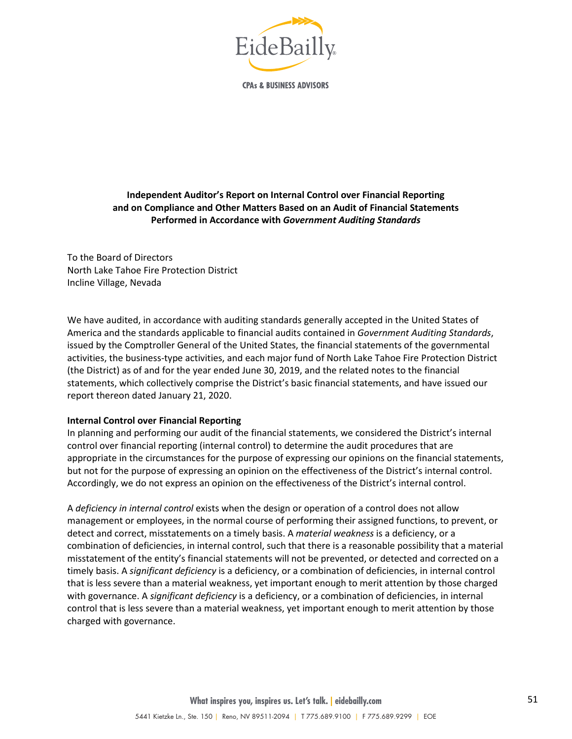

**CPAs & BUSINESS ADVISORS** 

### **Independent Auditor's Report on Internal Control over Financial Reporting and on Compliance and Other Matters Based on an Audit of Financial Statements Performed in Accordance with** *Government Auditing Standards*

To the Board of Directors North Lake Tahoe Fire Protection District Incline Village, Nevada

We have audited, in accordance with auditing standards generally accepted in the United States of America and the standards applicable to financial audits contained in *Government Auditing Standards*, issued by the Comptroller General of the United States, the financial statements of the governmental activities, the business-type activities, and each major fund of North Lake Tahoe Fire Protection District (the District) as of and for the year ended June 30, 2019, and the related notes to the financial statements, which collectively comprise the District's basic financial statements, and have issued our report thereon dated January 21, 2020.

#### **Internal Control over Financial Reporting**

In planning and performing our audit of the financial statements, we considered the District's internal control over financial reporting (internal control) to determine the audit procedures that are appropriate in the circumstances for the purpose of expressing our opinions on the financial statements, but not for the purpose of expressing an opinion on the effectiveness of the District's internal control. Accordingly, we do not express an opinion on the effectiveness of the District's internal control.

A *deficiency in internal control* exists when the design or operation of a control does not allow management or employees, in the normal course of performing their assigned functions, to prevent, or detect and correct, misstatements on a timely basis. A *material weakness* is a deficiency, or a combination of deficiencies, in internal control, such that there is a reasonable possibility that a material misstatement of the entity's financial statements will not be prevented, or detected and corrected on a timely basis. A *significant deficiency* is a deficiency, or a combination of deficiencies, in internal control that is less severe than a material weakness, yet important enough to merit attention by those charged with governance. A *significant deficiency* is a deficiency, or a combination of deficiencies, in internal control that is less severe than a material weakness, yet important enough to merit attention by those charged with governance.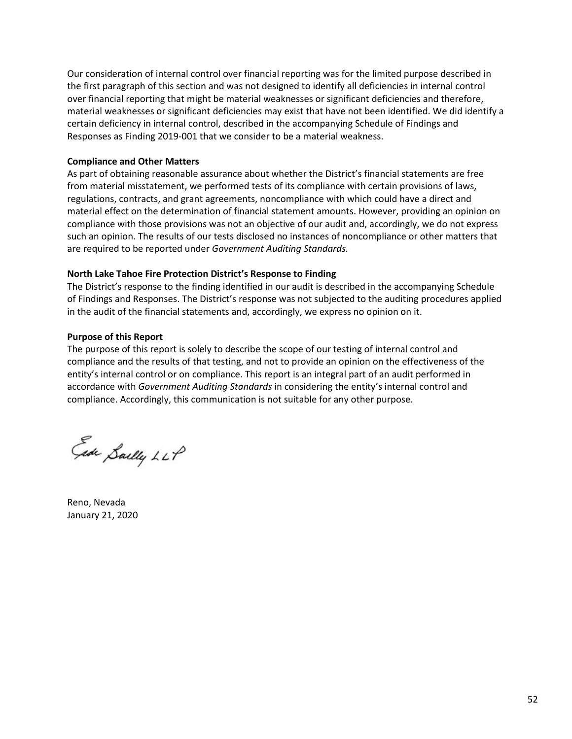Our consideration of internal control over financial reporting was for the limited purpose described in the first paragraph of this section and was not designed to identify all deficiencies in internal control over financial reporting that might be material weaknesses or significant deficiencies and therefore, material weaknesses or significant deficiencies may exist that have not been identified. We did identify a certain deficiency in internal control, described in the accompanying Schedule of Findings and Responses as Finding 2019-001 that we consider to be a material weakness.

#### **Compliance and Other Matters**

As part of obtaining reasonable assurance about whether the District's financial statements are free from material misstatement, we performed tests of its compliance with certain provisions of laws, regulations, contracts, and grant agreements, noncompliance with which could have a direct and material effect on the determination of financial statement amounts. However, providing an opinion on compliance with those provisions was not an objective of our audit and, accordingly, we do not express such an opinion. The results of our tests disclosed no instances of noncompliance or other matters that are required to be reported under *Government Auditing Standards.*

### **North Lake Tahoe Fire Protection District's Response to Finding**

The District's response to the finding identified in our audit is described in the accompanying Schedule of Findings and Responses. The District's response was not subjected to the auditing procedures applied in the audit of the financial statements and, accordingly, we express no opinion on it.

### **Purpose of this Report**

The purpose of this report is solely to describe the scope of our testing of internal control and compliance and the results of that testing, and not to provide an opinion on the effectiveness of the entity's internal control or on compliance. This report is an integral part of an audit performed in accordance with *Government Auditing Standards* in considering the entity's internal control and compliance. Accordingly, this communication is not suitable for any other purpose.

Ede Sailly LLP

Reno, Nevada January 21, 2020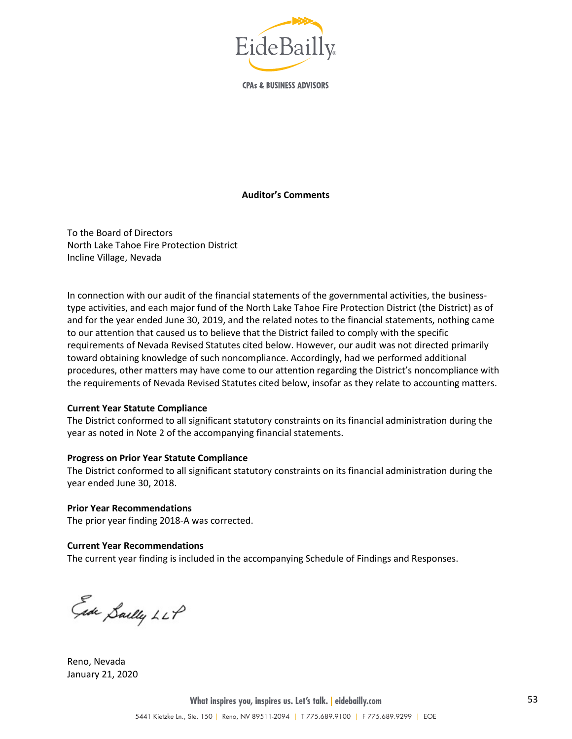

**CPAs & BUSINESS ADVISORS** 

#### **Auditor's Comments**

To the Board of Directors North Lake Tahoe Fire Protection District Incline Village, Nevada

In connection with our audit of the financial statements of the governmental activities, the businesstype activities, and each major fund of the North Lake Tahoe Fire Protection District (the District) as of and for the year ended June 30, 2019, and the related notes to the financial statements, nothing came to our attention that caused us to believe that the District failed to comply with the specific requirements of Nevada Revised Statutes cited below. However, our audit was not directed primarily toward obtaining knowledge of such noncompliance. Accordingly, had we performed additional procedures, other matters may have come to our attention regarding the District's noncompliance with the requirements of Nevada Revised Statutes cited below, insofar as they relate to accounting matters.

#### **Current Year Statute Compliance**

The District conformed to all significant statutory constraints on its financial administration during the year as noted in Note 2 of the accompanying financial statements.

#### **Progress on Prior Year Statute Compliance**

The District conformed to all significant statutory constraints on its financial administration during the year ended June 30, 2018.

**Prior Year Recommendations**

The prior year finding 2018-A was corrected.

#### **Current Year Recommendations**

The current year finding is included in the accompanying Schedule of Findings and Responses.

Ede Sailly LLP

Reno, Nevada January 21, 2020